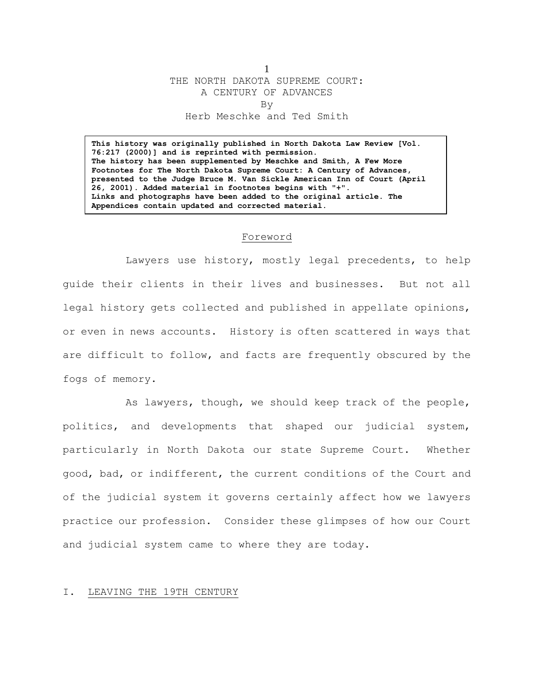1 THE NORTH DAKOTA SUPREME COURT: A CENTURY OF ADVANCES By Herb Meschke and Ted Smith

**This history was originally published in North Dakota Law Review [Vol. 76:217 (2000)] and is reprinted with permission. The history has been supplemented by Meschke and Smith, A Few More Footnotes for The North Dakota Supreme Court: A Century of Advances, presented to the Judge Bruce M. Van Sickle American Inn of Court (April 26, 2001). Added material in footnotes begins with "+". Links and photographs have been added to the original article. The Appendices contain updated and corrected material.**

#### Foreword

Lawyers use history, mostly legal precedents, to help guide their clients in their lives and businesses. But not all legal history gets collected and published in appellate opinions, or even in news accounts. History is often scattered in ways that are difficult to follow, and facts are frequently obscured by the fogs of memory.

As lawyers, though, we should keep track of the people, politics, and developments that shaped our judicial system, particularly in North Dakota our state Supreme Court. Whether good, bad, or indifferent, the current conditions of the Court and of the judicial system it governs certainly affect how we lawyers practice our profession. Consider these glimpses of how our Court and judicial system came to where they are today.

#### I. LEAVING THE 19TH CENTURY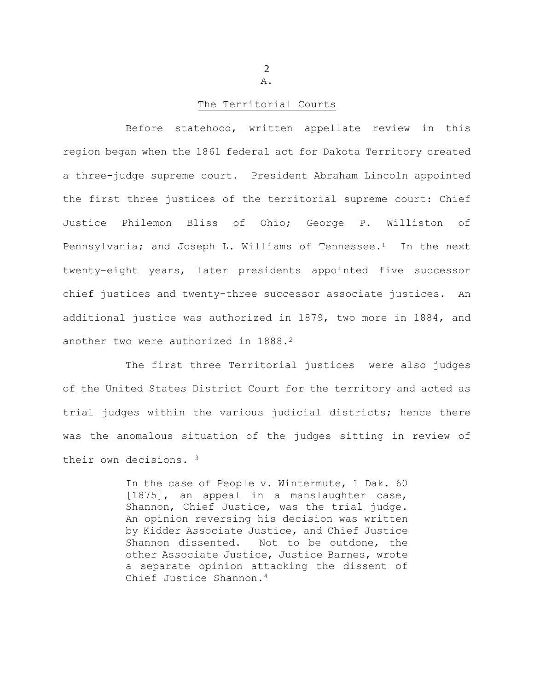2 A.

## The Territorial Courts

Before statehood, written appellate review in this region began when the 1861 federal act for Dakota Territory created a three-judge supreme court. President Abraham Lincoln appointed the first three justices of the territorial supreme court: Chief Justice Philemon Bliss of Ohio; George P. Williston of Pennsylvania; and Joseph L. Williams of Tennessee.<sup>1</sup> In the next twenty-eight years, later presidents appointed five successor chief justices and twenty-three successor associate justices. An additional justice was authorized in 1879, two more in 1884, and another two were authorized in 1888.<sup>2</sup>

The first three Territorial justices were also judges of the United States District Court for the territory and acted as trial judges within the various judicial districts; hence there was the anomalous situation of the judges sitting in review of their own decisions. <sup>3</sup>

> In the case of People v. Wintermute, 1 Dak. 60 [1875], an appeal in a manslaughter case, Shannon, Chief Justice, was the trial judge. An opinion reversing his decision was written by Kidder Associate Justice, and Chief Justice Shannon dissented. Not to be outdone, the other Associate Justice, Justice Barnes, wrote a separate opinion attacking the dissent of Chief Justice Shannon.4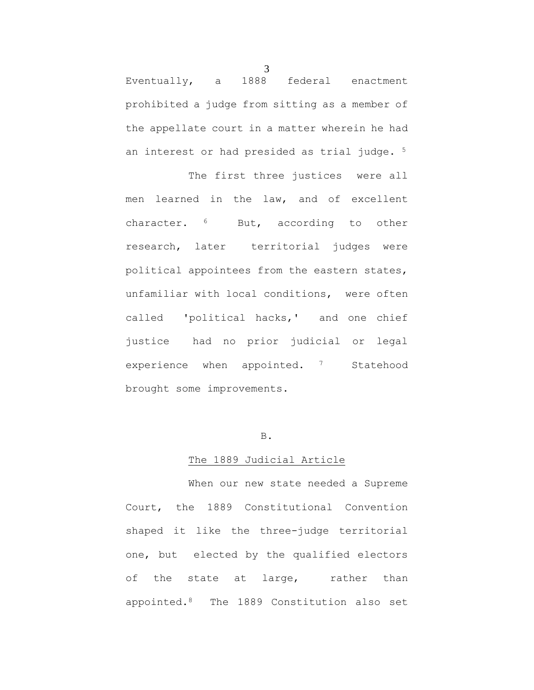Eventually, a 1888 federal enactment prohibited a judge from sitting as a member of the appellate court in a matter wherein he had an interest or had presided as trial judge. <sup>5</sup>

The first three justices were all men learned in the law, and of excellent character. 6 But, according to other research, later territorial judges were political appointees from the eastern states, unfamiliar with local conditions, were often called 'political hacks,' and one chief justice had no prior judicial or legal experience when appointed. <sup>7</sup> Statehood brought some improvements.

# B.

## The 1889 Judicial Article

When our new state needed a Supreme Court, the 1889 Constitutional Convention shaped it like the three-judge territorial one, but elected by the qualified electors of the state at large, rather than appointed.8 The 1889 Constitution also set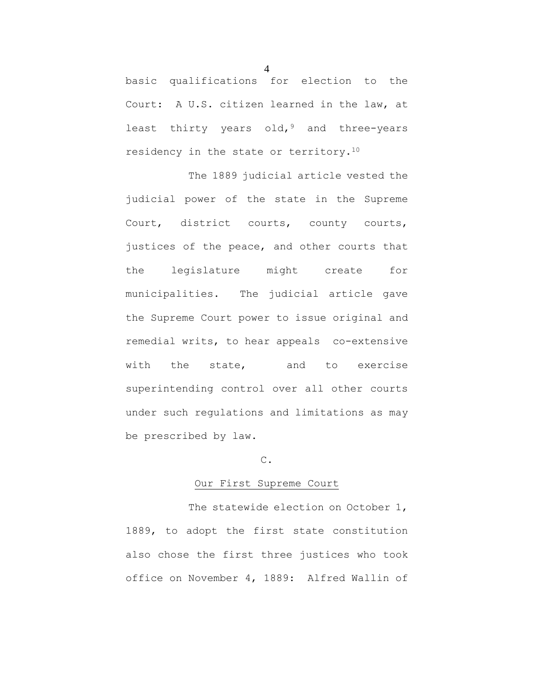basic qualifications for election to the Court: A U.S. citizen learned in the law, at least thirty years old,  $9$  and three-years residency in the state or territory.<sup>10</sup>

The 1889 judicial article vested the judicial power of the state in the Supreme Court, district courts, county courts, justices of the peace, and other courts that the legislature might create for municipalities. The judicial article gave the Supreme Court power to issue original and remedial writs, to hear appeals co-extensive with the state, and to exercise superintending control over all other courts under such regulations and limitations as may be prescribed by law.

# C.

# Our First Supreme Court

The statewide election on October 1, 1889, to adopt the first state constitution also chose the first three justices who took office on November 4, 1889: Alfred Wallin of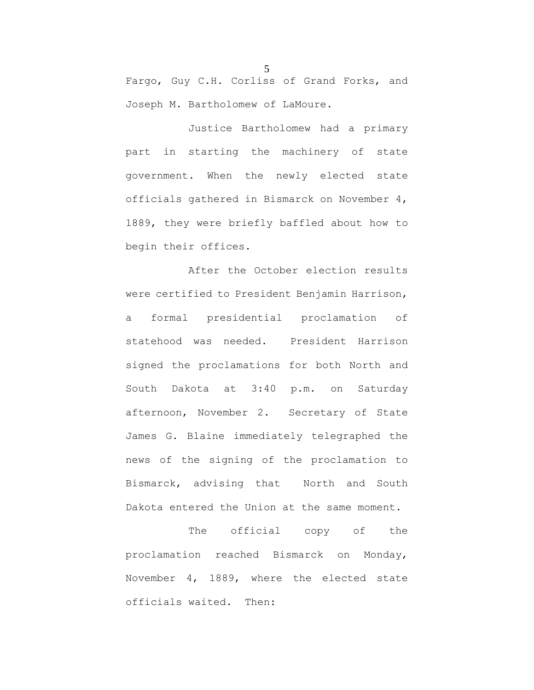Fargo, Guy C.H. Corliss of Grand Forks, and Joseph M. Bartholomew of LaMoure.

Justice Bartholomew had a primary part in starting the machinery of state government. When the newly elected state officials gathered in Bismarck on November 4, 1889, they were briefly baffled about how to begin their offices.

After the October election results were certified to President Benjamin Harrison, a formal presidential proclamation of statehood was needed. President Harrison signed the proclamations for both North and South Dakota at 3:40 p.m. on Saturday afternoon, November 2. Secretary of State James G. Blaine immediately telegraphed the news of the signing of the proclamation to Bismarck, advising that North and South Dakota entered the Union at the same moment.

The official copy of the proclamation reached Bismarck on Monday, November 4, 1889, where the elected state officials waited. Then: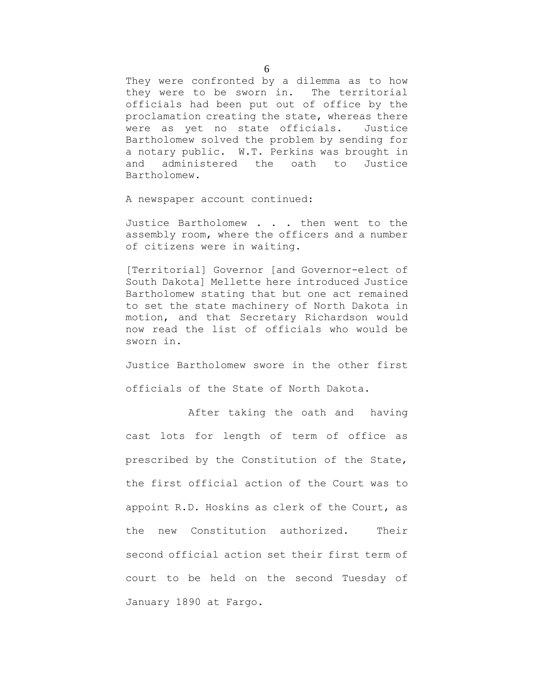They were confronted by a dilemma as to how they were to be sworn in. The territorial officials had been put out of office by the proclamation creating the state, whereas there were as yet no state officials. Justice Bartholomew solved the problem by sending for a notary public. W.T. Perkins was brought in and administered the oath to Justice Bartholomew.

A newspaper account continued:

Justice Bartholomew . . . then went to the assembly room, where the officers and a number of citizens were in waiting.

[Territorial] Governor [and Governor-elect of South Dakota] Mellette here introduced Justice Bartholomew stating that but one act remained to set the state machinery of North Dakota in motion, and that Secretary Richardson would now read the list of officials who would be sworn in.

Justice Bartholomew swore in the other first officials of the State of North Dakota.

After taking the oath and having cast lots for length of term of office as prescribed by the Constitution of the State, the first official action of the Court was to appoint R.D. Hoskins as clerk of the Court, as the new Constitution authorized. Their second official action set their first term of court to be held on the second Tuesday of January 1890 at Fargo.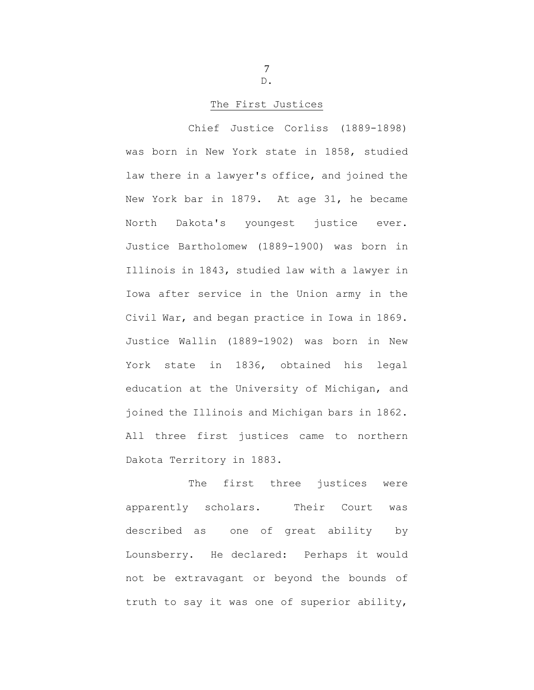7 D.

## The First Justices

Chief Justice Corliss (1889-1898) was born in New York state in 1858, studied law there in a lawyer's office, and joined the New York bar in 1879. At age 31, he became North Dakota's youngest justice ever. Justice Bartholomew (1889-1900) was born in Illinois in 1843, studied law with a lawyer in Iowa after service in the Union army in the Civil War, and began practice in Iowa in 1869. Justice Wallin (1889-1902) was born in New York state in 1836, obtained his legal education at the University of Michigan, and joined the Illinois and Michigan bars in 1862. All three first justices came to northern Dakota Territory in 1883.

The first three justices were apparently scholars. Their Court was described as one of great ability by Lounsberry. He declared: Perhaps it would not be extravagant or beyond the bounds of truth to say it was one of superior ability,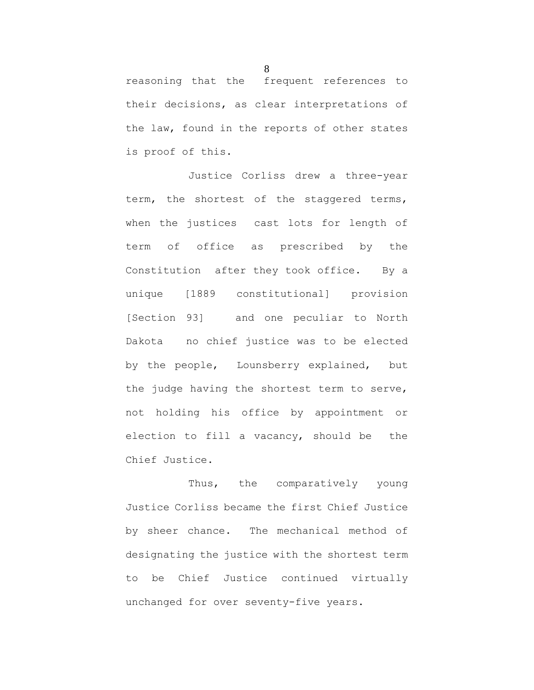reasoning that the frequent references to their decisions, as clear interpretations of the law, found in the reports of other states is proof of this.

Justice Corliss drew a three-year term, the shortest of the staggered terms, when the justices cast lots for length of term of office as prescribed by the Constitution after they took office. By a unique [1889 constitutional] provision [Section 93] and one peculiar to North Dakota no chief justice was to be elected by the people, Lounsberry explained, but the judge having the shortest term to serve, not holding his office by appointment or election to fill a vacancy, should be the Chief Justice.

Thus, the comparatively young Justice Corliss became the first Chief Justice by sheer chance. The mechanical method of designating the justice with the shortest term to be Chief Justice continued virtually unchanged for over seventy-five years.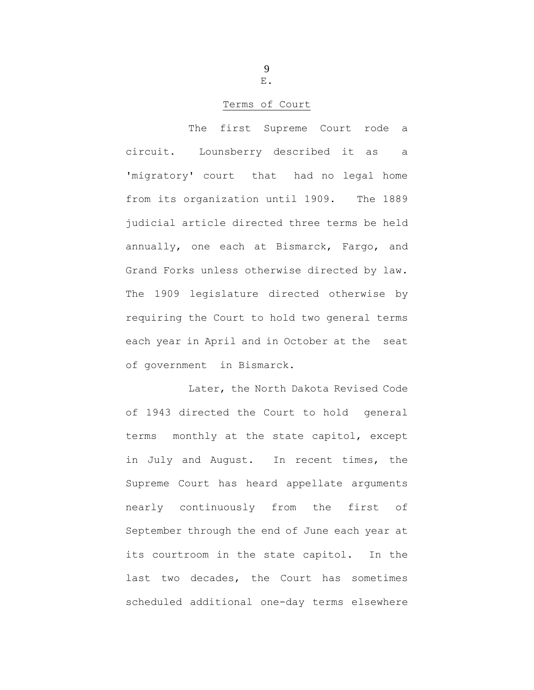9 E.

## Terms of Court

The first Supreme Court rode a circuit. Lounsberry described it as a 'migratory' court that had no legal home from its organization until 1909. The 1889 judicial article directed three terms be held annually, one each at Bismarck, Fargo, and Grand Forks unless otherwise directed by law. The 1909 legislature directed otherwise by requiring the Court to hold two general terms each year in April and in October at the seat of government in Bismarck.

Later, the North Dakota Revised Code of 1943 directed the Court to hold general terms monthly at the state capitol, except in July and August. In recent times, the Supreme Court has heard appellate arguments nearly continuously from the first of September through the end of June each year at its courtroom in the state capitol. In the last two decades, the Court has sometimes scheduled additional one-day terms elsewhere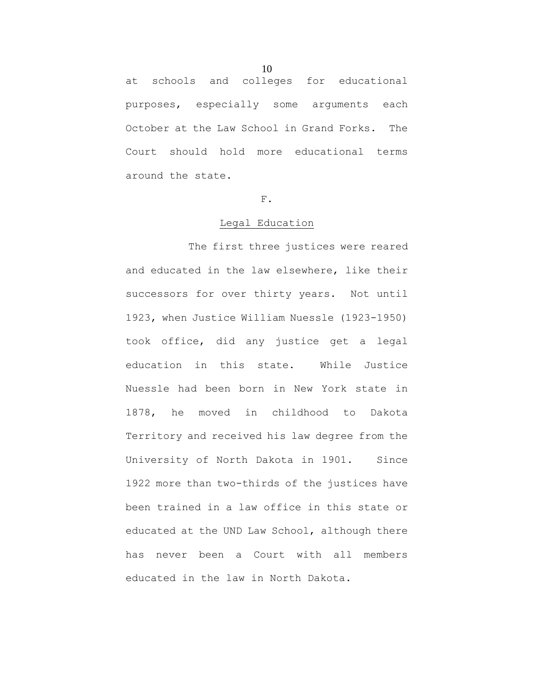at schools and colleges for educational purposes, especially some arguments each October at the Law School in Grand Forks. The

Court should hold more educational terms around the state.

#### F.

#### Legal Education

The first three justices were reared and educated in the law elsewhere, like their successors for over thirty years. Not until 1923, when Justice William Nuessle (1923-1950) took office, did any justice get a legal education in this state. While Justice Nuessle had been born in New York state in 1878, he moved in childhood to Dakota Territory and received his law degree from the University of North Dakota in 1901. Since 1922 more than two-thirds of the justices have been trained in a law office in this state or educated at the UND Law School, although there has never been a Court with all members educated in the law in North Dakota.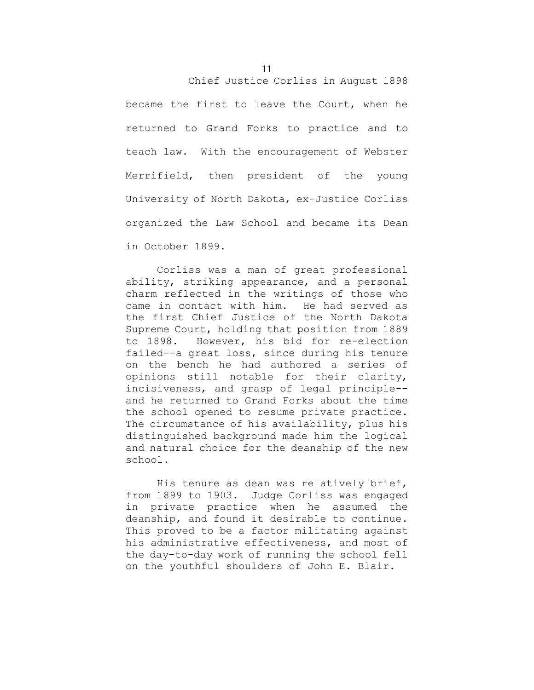Chief Justice Corliss in August 1898

became the first to leave the Court, when he returned to Grand Forks to practice and to teach law. With the encouragement of Webster Merrifield, then president of the young University of North Dakota, ex-Justice Corliss organized the Law School and became its Dean in October 1899.

 Corliss was a man of great professional ability, striking appearance, and a personal charm reflected in the writings of those who came in contact with him. He had served as the first Chief Justice of the North Dakota Supreme Court, holding that position from 1889 to 1898. However, his bid for re-election failed--a great loss, since during his tenure on the bench he had authored a series of opinions still notable for their clarity, incisiveness, and grasp of legal principle- and he returned to Grand Forks about the time the school opened to resume private practice. The circumstance of his availability, plus his distinguished background made him the logical and natural choice for the deanship of the new school.

 His tenure as dean was relatively brief, from 1899 to 1903. Judge Corliss was engaged in private practice when he assumed the deanship, and found it desirable to continue. This proved to be a factor militating against his administrative effectiveness, and most of the day-to-day work of running the school fell on the youthful shoulders of John E. Blair.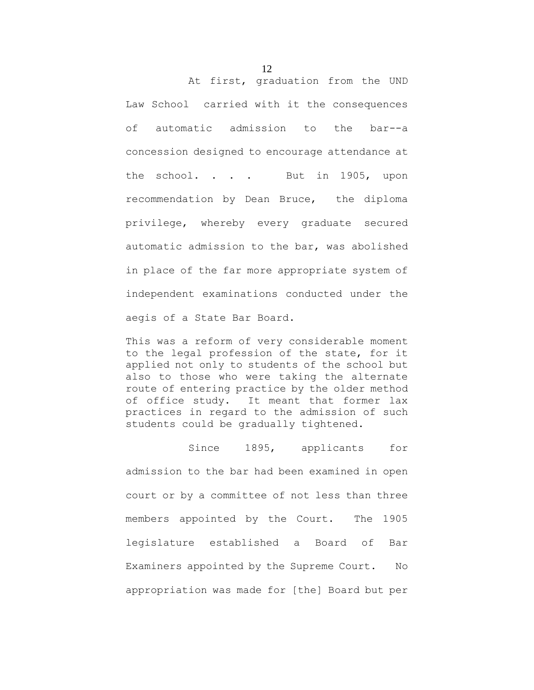At first, graduation from the UND Law School carried with it the consequences of automatic admission to the bar--a concession designed to encourage attendance at the school. . . . But in 1905, upon recommendation by Dean Bruce, the diploma privilege, whereby every graduate secured automatic admission to the bar, was abolished in place of the far more appropriate system of independent examinations conducted under the aegis of a State Bar Board.

This was a reform of very considerable moment to the legal profession of the state, for it applied not only to students of the school but also to those who were taking the alternate route of entering practice by the older method of office study. It meant that former lax practices in regard to the admission of such students could be gradually tightened.

Since 1895, applicants for admission to the bar had been examined in open court or by a committee of not less than three members appointed by the Court. The 1905 legislature established a Board of Bar Examiners appointed by the Supreme Court. No appropriation was made for [the] Board but per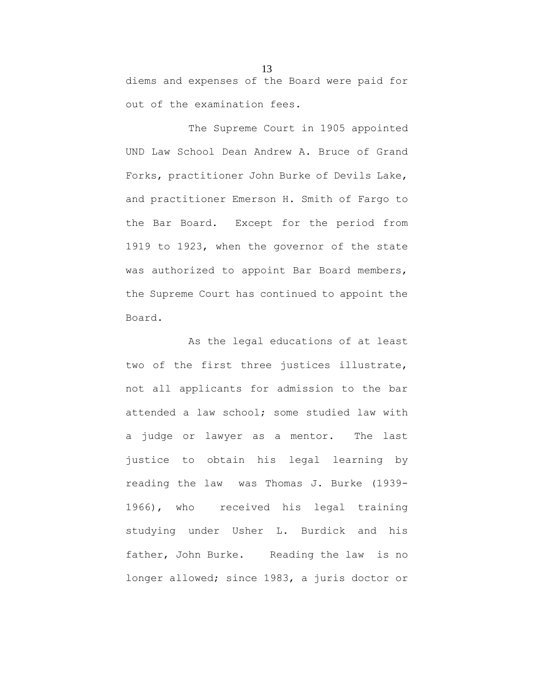diems and expenses of the Board were paid for out of the examination fees.

The Supreme Court in 1905 appointed UND Law School Dean Andrew A. Bruce of Grand Forks, practitioner John Burke of Devils Lake, and practitioner Emerson H. Smith of Fargo to the Bar Board. Except for the period from 1919 to 1923, when the governor of the state was authorized to appoint Bar Board members, the Supreme Court has continued to appoint the Board.

As the legal educations of at least two of the first three justices illustrate, not all applicants for admission to the bar attended a law school; some studied law with a judge or lawyer as a mentor. The last justice to obtain his legal learning by reading the law was Thomas J. Burke (1939- 1966), who received his legal training studying under Usher L. Burdick and his father, John Burke. Reading the law is no longer allowed; since 1983, a juris doctor or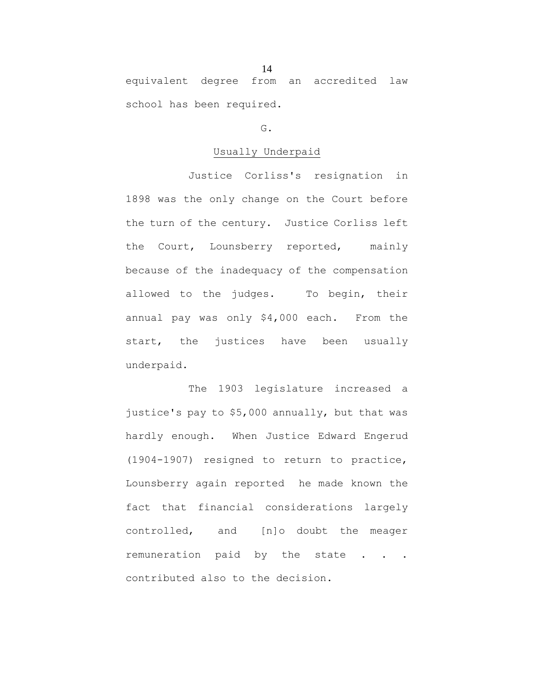equivalent degree from an accredited law school has been required.

## G.

## Usually Underpaid

Justice Corliss's resignation in 1898 was the only change on the Court before the turn of the century. Justice Corliss left the Court, Lounsberry reported, mainly because of the inadequacy of the compensation allowed to the judges. To begin, their annual pay was only \$4,000 each. From the start, the justices have been usually underpaid.

The 1903 legislature increased a justice's pay to \$5,000 annually, but that was hardly enough. When Justice Edward Engerud (1904-1907) resigned to return to practice, Lounsberry again reported he made known the fact that financial considerations largely controlled, and [n]o doubt the meager remuneration paid by the state . . . contributed also to the decision.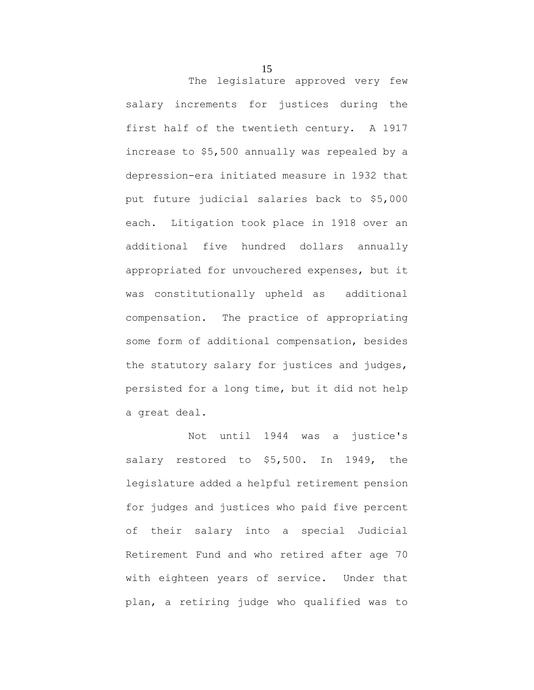The legislature approved very few salary increments for justices during the first half of the twentieth century. A 1917 increase to \$5,500 annually was repealed by a depression-era initiated measure in 1932 that put future judicial salaries back to \$5,000 each. Litigation took place in 1918 over an additional five hundred dollars annually appropriated for unvouchered expenses, but it was constitutionally upheld as additional compensation. The practice of appropriating some form of additional compensation, besides the statutory salary for justices and judges, persisted for a long time, but it did not help a great deal.

Not until 1944 was a justice's salary restored to \$5,500. In 1949, the legislature added a helpful retirement pension for judges and justices who paid five percent of their salary into a special Judicial Retirement Fund and who retired after age 70 with eighteen years of service. Under that plan, a retiring judge who qualified was to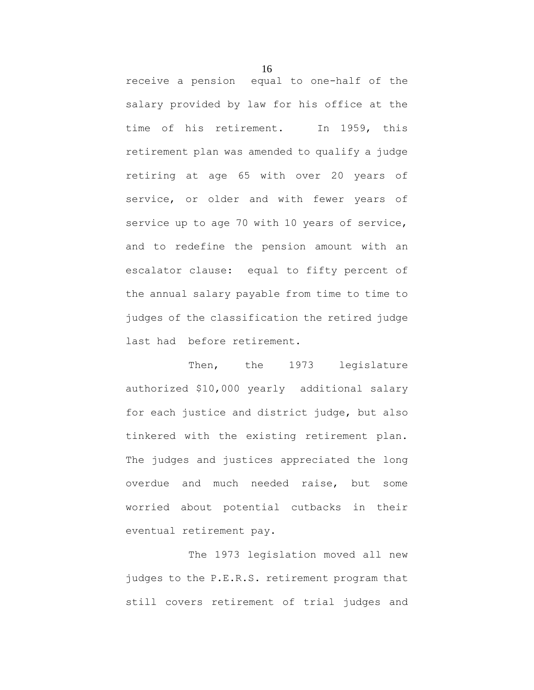receive a pension equal to one-half of the salary provided by law for his office at the time of his retirement. In 1959, this retirement plan was amended to qualify a judge retiring at age 65 with over 20 years of service, or older and with fewer years of service up to age 70 with 10 years of service, and to redefine the pension amount with an escalator clause: equal to fifty percent of the annual salary payable from time to time to judges of the classification the retired judge last had before retirement.

Then, the 1973 legislature authorized \$10,000 yearly additional salary for each justice and district judge, but also tinkered with the existing retirement plan. The judges and justices appreciated the long overdue and much needed raise, but some worried about potential cutbacks in their eventual retirement pay.

The 1973 legislation moved all new judges to the P.E.R.S. retirement program that still covers retirement of trial judges and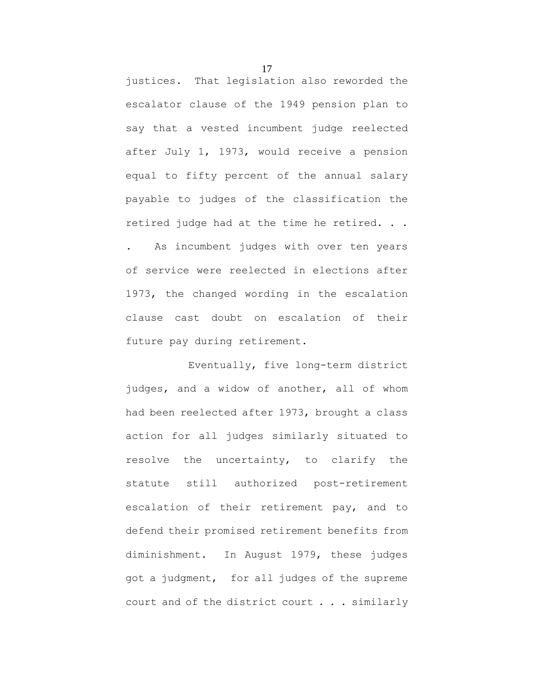justices. That legislation also reworded the escalator clause of the 1949 pension plan to say that a vested incumbent judge reelected after July 1, 1973, would receive a pension equal to fifty percent of the annual salary payable to judges of the classification the retired judge had at the time he retired. . .

. As incumbent judges with over ten years of service were reelected in elections after 1973, the changed wording in the escalation clause cast doubt on escalation of their future pay during retirement.

Eventually, five long-term district judges, and a widow of another, all of whom had been reelected after 1973, brought a class action for all judges similarly situated to resolve the uncertainty, to clarify the statute still authorized post-retirement escalation of their retirement pay, and to defend their promised retirement benefits from diminishment. In August 1979, these judges got a judgment, for all judges of the supreme court and of the district court . . . similarly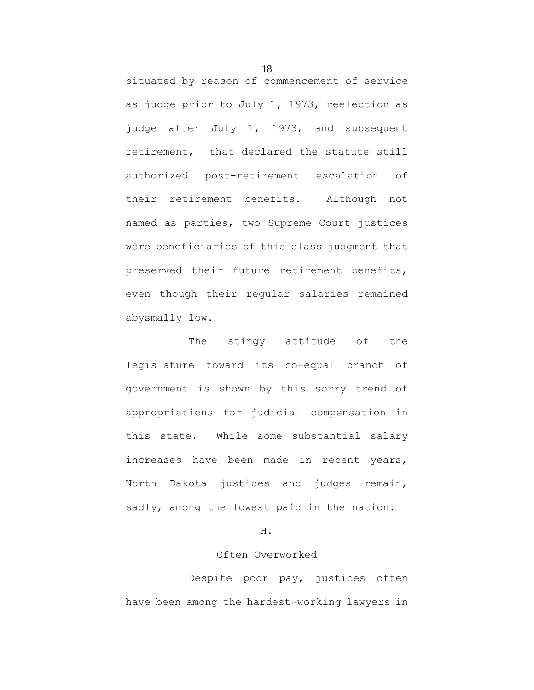situated by reason of commencement of service as judge prior to July 1, 1973, reelection as judge after July 1, 1973, and subsequent retirement, that declared the statute still authorized post-retirement escalation of their retirement benefits. Although not named as parties, two Supreme Court justices were beneficiaries of this class judgment that preserved their future retirement benefits, even though their regular salaries remained abysmally low.

The stingy attitude of the legislature toward its co-equal branch of government is shown by this sorry trend of appropriations for judicial compensation in this state. While some substantial salary increases have been made in recent years, North Dakota justices and judges remain, sadly, among the lowest paid in the nation.

H.

#### Often Overworked

Despite poor pay, justices often have been among the hardest-working lawyers in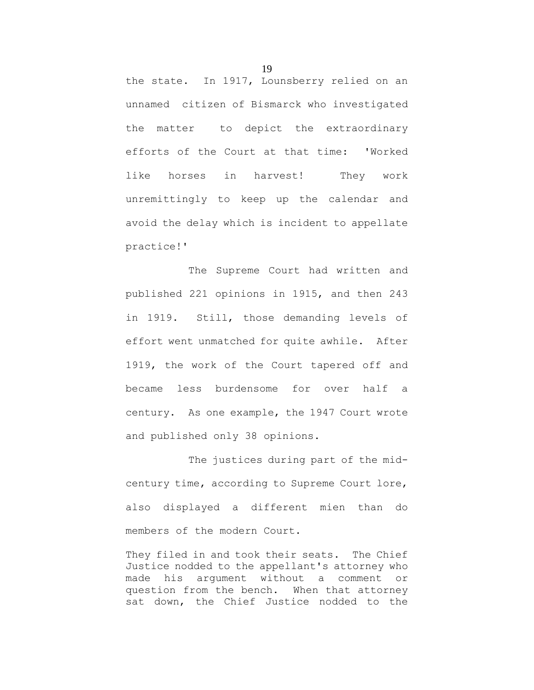the state. In 1917, Lounsberry relied on an unnamed citizen of Bismarck who investigated the matter to depict the extraordinary efforts of the Court at that time: 'Worked like horses in harvest! They work unremittingly to keep up the calendar and avoid the delay which is incident to appellate practice!'

The Supreme Court had written and published 221 opinions in 1915, and then 243 in 1919. Still, those demanding levels of effort went unmatched for quite awhile. After 1919, the work of the Court tapered off and became less burdensome for over half a century. As one example, the 1947 Court wrote and published only 38 opinions.

The justices during part of the midcentury time, according to Supreme Court lore, also displayed a different mien than do members of the modern Court.

They filed in and took their seats. The Chief Justice nodded to the appellant's attorney who made his argument without a comment or question from the bench. When that attorney sat down, the Chief Justice nodded to the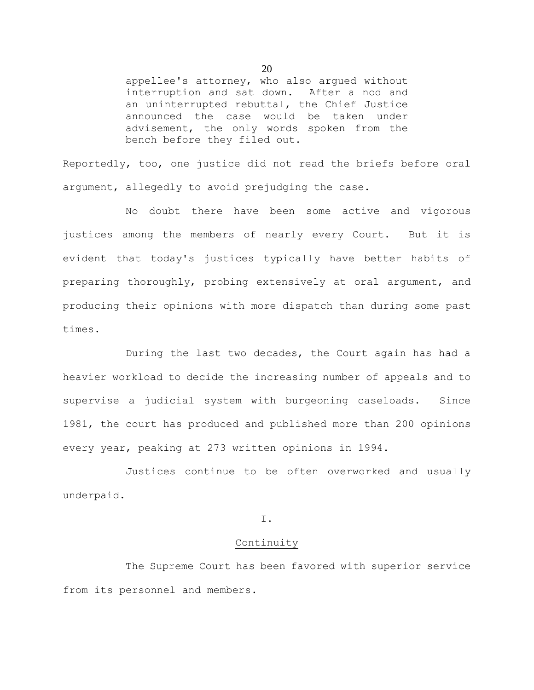appellee's attorney, who also argued without interruption and sat down. After a nod and an uninterrupted rebuttal, the Chief Justice announced the case would be taken under advisement, the only words spoken from the bench before they filed out.

Reportedly, too, one justice did not read the briefs before oral argument, allegedly to avoid prejudging the case.

No doubt there have been some active and vigorous justices among the members of nearly every Court. But it is evident that today's justices typically have better habits of preparing thoroughly, probing extensively at oral argument, and producing their opinions with more dispatch than during some past times.

During the last two decades, the Court again has had a heavier workload to decide the increasing number of appeals and to supervise a judicial system with burgeoning caseloads. Since 1981, the court has produced and published more than 200 opinions every year, peaking at 273 written opinions in 1994.

Justices continue to be often overworked and usually underpaid.

## I.

## Continuity

The Supreme Court has been favored with superior service from its personnel and members.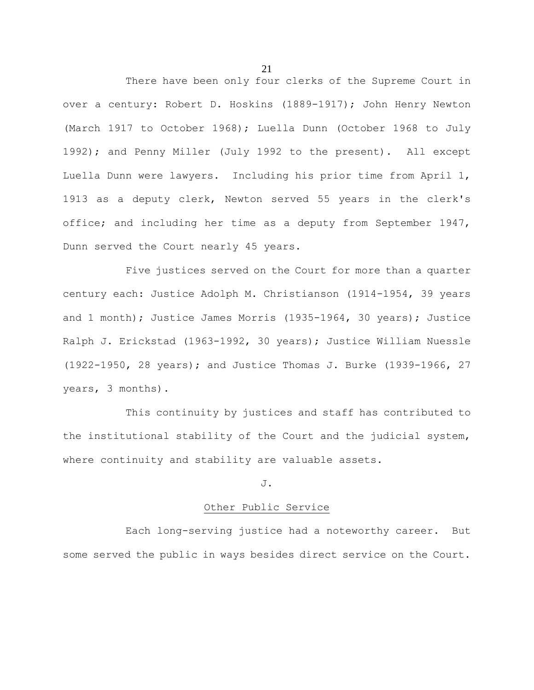There have been only four clerks of the Supreme Court in over a century: Robert D. Hoskins (1889-1917); John Henry Newton (March 1917 to October 1968); Luella Dunn (October 1968 to July 1992); and Penny Miller (July 1992 to the present). All except Luella Dunn were lawyers. Including his prior time from April 1, 1913 as a deputy clerk, Newton served 55 years in the clerk's office; and including her time as a deputy from September 1947, Dunn served the Court nearly 45 years.

Five justices served on the Court for more than a quarter century each: Justice Adolph M. Christianson (1914-1954, 39 years and 1 month); Justice James Morris (1935-1964, 30 years); Justice Ralph J. Erickstad (1963-1992, 30 years); Justice William Nuessle (1922-1950, 28 years); and Justice Thomas J. Burke (1939-1966, 27 years, 3 months).

This continuity by justices and staff has contributed to the institutional stability of the Court and the judicial system, where continuity and stability are valuable assets.

## J.

## Other Public Service

Each long-serving justice had a noteworthy career. But some served the public in ways besides direct service on the Court.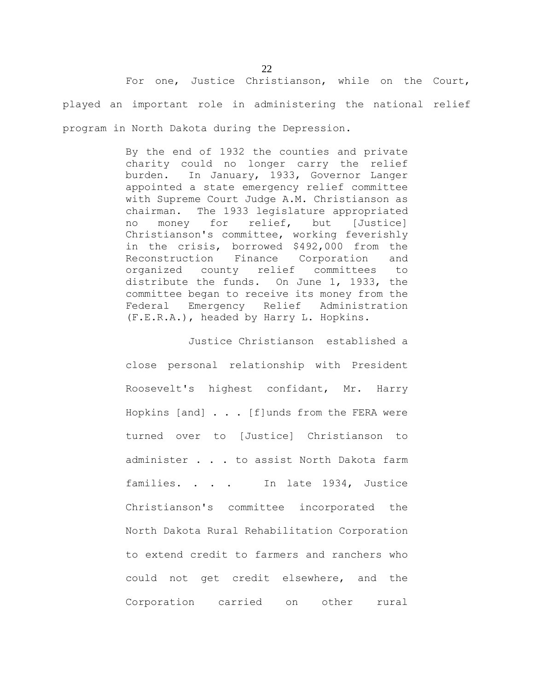For one, Justice Christianson, while on the Court, played an important role in administering the national relief program in North Dakota during the Depression.

> By the end of 1932 the counties and private charity could no longer carry the relief burden. In January, 1933, Governor Langer appointed a state emergency relief committee with Supreme Court Judge A.M. Christianson as chairman. The 1933 legislature appropriated no money for relief, but [Justice] Christianson's committee, working feverishly in the crisis, borrowed \$492,000 from the Reconstruction Finance Corporation and organized county relief committees to distribute the funds. On June 1, 1933, the committee began to receive its money from the Federal Emergency Relief Administration (F.E.R.A.), headed by Harry L. Hopkins.

> Justice Christianson established a close personal relationship with President Roosevelt's highest confidant, Mr. Harry Hopkins [and] . . . [f]unds from the FERA were turned over to [Justice] Christianson to administer . . . to assist North Dakota farm families. . . . In late 1934, Justice Christianson's committee incorporated the North Dakota Rural Rehabilitation Corporation to extend credit to farmers and ranchers who could not get credit elsewhere, and the Corporation carried on other rural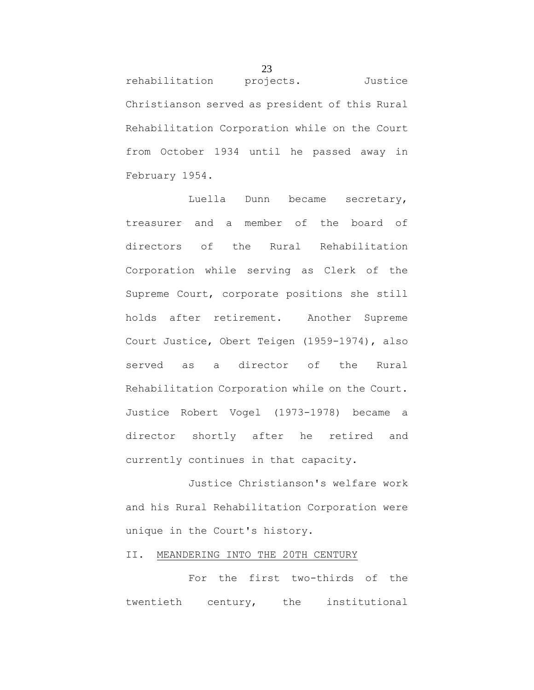rehabilitation projects. Justice Christianson served as president of this Rural Rehabilitation Corporation while on the Court from October 1934 until he passed away in February 1954.

Luella Dunn became secretary, treasurer and a member of the board of directors of the Rural Rehabilitation Corporation while serving as Clerk of the Supreme Court, corporate positions she still holds after retirement. Another Supreme Court Justice, Obert Teigen (1959-1974), also served as a director of the Rural Rehabilitation Corporation while on the Court. Justice Robert Vogel (1973-1978) became a director shortly after he retired and currently continues in that capacity.

Justice Christianson's welfare work and his Rural Rehabilitation Corporation were unique in the Court's history.

## II. MEANDERING INTO THE 20TH CENTURY

For the first two-thirds of the twentieth century, the institutional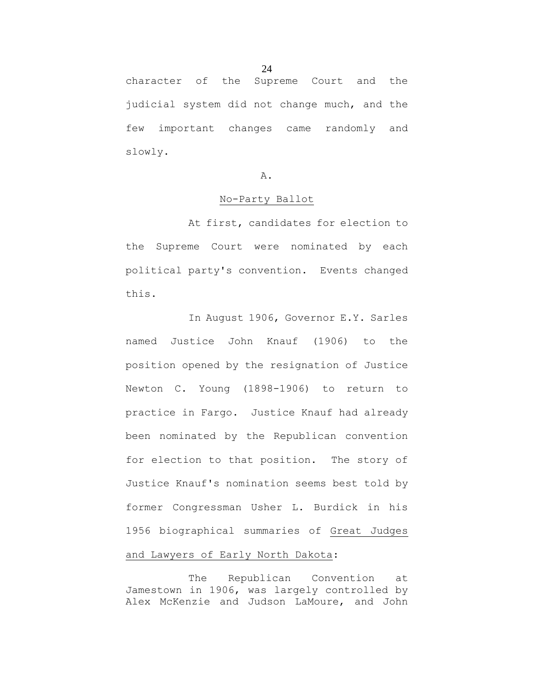character of the Supreme Court and the judicial system did not change much, and the few important changes came randomly and slowly.

#### A.

## No-Party Ballot

At first, candidates for election to the Supreme Court were nominated by each political party's convention. Events changed this.

In August 1906, Governor E.Y. Sarles named Justice John Knauf (1906) to the position opened by the resignation of Justice Newton C. Young (1898-1906) to return to practice in Fargo. Justice Knauf had already been nominated by the Republican convention for election to that position. The story of Justice Knauf's nomination seems best told by former Congressman Usher L. Burdick in his 1956 biographical summaries of Great Judges and Lawyers of Early North Dakota:

The Republican Convention at Jamestown in 1906, was largely controlled by Alex McKenzie and Judson LaMoure, and John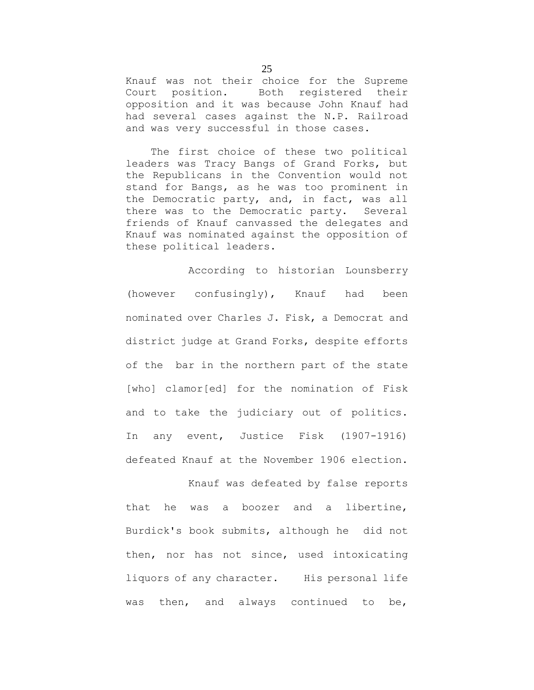Knauf was not their choice for the Supreme Court position. Both registered their opposition and it was because John Knauf had had several cases against the N.P. Railroad and was very successful in those cases.

 The first choice of these two political leaders was Tracy Bangs of Grand Forks, but the Republicans in the Convention would not stand for Bangs, as he was too prominent in the Democratic party, and, in fact, was all there was to the Democratic party. Several friends of Knauf canvassed the delegates and Knauf was nominated against the opposition of these political leaders.

According to historian Lounsberry (however confusingly), Knauf had been nominated over Charles J. Fisk, a Democrat and district judge at Grand Forks, despite efforts of the bar in the northern part of the state [who] clamor[ed] for the nomination of Fisk and to take the judiciary out of politics. In any event, Justice Fisk (1907-1916) defeated Knauf at the November 1906 election.

Knauf was defeated by false reports that he was a boozer and a libertine, Burdick's book submits, although he did not then, nor has not since, used intoxicating liquors of any character. His personal life was then, and always continued to be,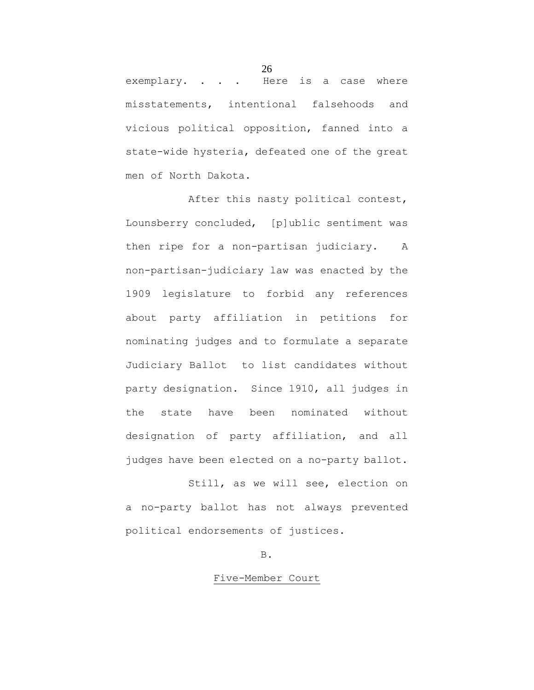exemplary. . . . Here is a case where misstatements, intentional falsehoods and vicious political opposition, fanned into a state-wide hysteria, defeated one of the great men of North Dakota.

After this nasty political contest, Lounsberry concluded, [p]ublic sentiment was then ripe for a non-partisan judiciary. A non-partisan-judiciary law was enacted by the 1909 legislature to forbid any references about party affiliation in petitions for nominating judges and to formulate a separate Judiciary Ballot to list candidates without party designation. Since 1910, all judges in the state have been nominated without designation of party affiliation, and all judges have been elected on a no-party ballot.

Still, as we will see, election on a no-party ballot has not always prevented political endorsements of justices.

B.

## Five-Member Court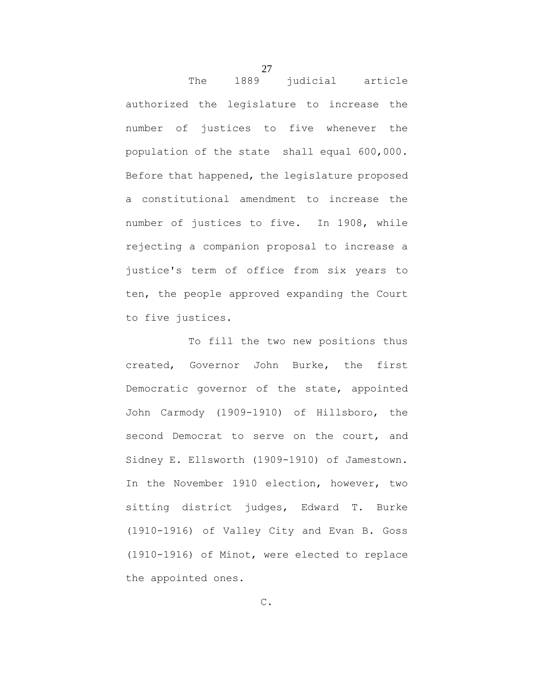The 1889 judicial article authorized the legislature to increase the number of justices to five whenever the population of the state shall equal 600,000. Before that happened, the legislature proposed a constitutional amendment to increase the number of justices to five. In 1908, while rejecting a companion proposal to increase a justice's term of office from six years to ten, the people approved expanding the Court to five justices.

To fill the two new positions thus created, Governor John Burke, the first Democratic governor of the state, appointed John Carmody (1909-1910) of Hillsboro, the second Democrat to serve on the court, and Sidney E. Ellsworth (1909-1910) of Jamestown. In the November 1910 election, however, two sitting district judges, Edward T. Burke (1910-1916) of Valley City and Evan B. Goss (1910-1916) of Minot, were elected to replace the appointed ones.

27

C.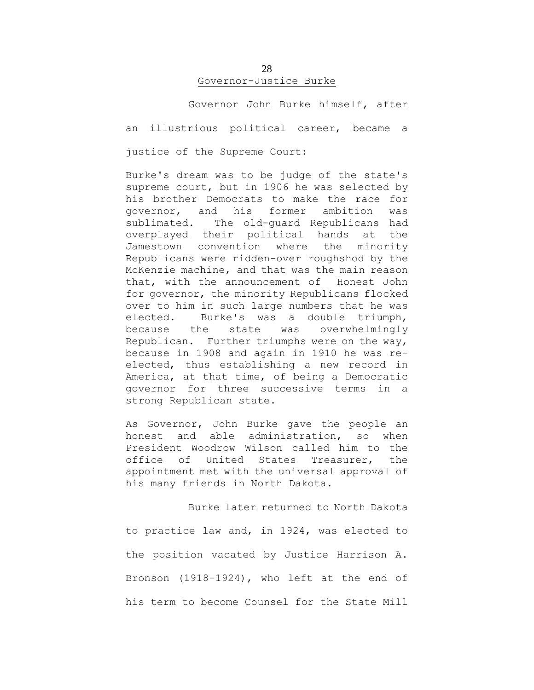## 28 Governor-Justice Burke

Governor John Burke himself, after

an illustrious political career, became a

justice of the Supreme Court:

Burke's dream was to be judge of the state's supreme court, but in 1906 he was selected by his brother Democrats to make the race for governor, and his former ambition was sublimated. The old-guard Republicans had overplayed their political hands at the Jamestown convention where the minority Republicans were ridden-over roughshod by the McKenzie machine, and that was the main reason that, with the announcement of Honest John for governor, the minority Republicans flocked over to him in such large numbers that he was elected. Burke's was a double triumph, because the state was overwhelmingly Republican. Further triumphs were on the way, because in 1908 and again in 1910 he was reelected, thus establishing a new record in America, at that time, of being a Democratic governor for three successive terms in a strong Republican state.

As Governor, John Burke gave the people an honest and able administration, so when President Woodrow Wilson called him to the office of United States Treasurer, the appointment met with the universal approval of his many friends in North Dakota.

Burke later returned to North Dakota to practice law and, in 1924, was elected to the position vacated by Justice Harrison A. Bronson (1918-1924), who left at the end of his term to become Counsel for the State Mill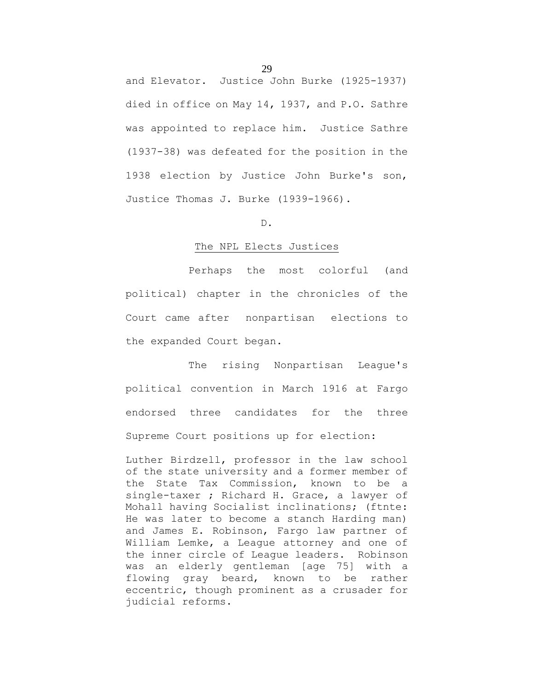and Elevator. Justice John Burke (1925-1937) died in office on May 14, 1937, and P.O. Sathre was appointed to replace him. Justice Sathre (1937-38) was defeated for the position in the 1938 election by Justice John Burke's son, Justice Thomas J. Burke (1939-1966).

## D.

## The NPL Elects Justices

Perhaps the most colorful (and political) chapter in the chronicles of the Court came after nonpartisan elections to the expanded Court began.

The rising Nonpartisan League's political convention in March 1916 at Fargo endorsed three candidates for the three Supreme Court positions up for election:

Luther Birdzell, professor in the law school of the state university and a former member of the State Tax Commission, known to be a single-taxer ; Richard H. Grace, a lawyer of Mohall having Socialist inclinations; (ftnte: He was later to become a stanch Harding man) and James E. Robinson, Fargo law partner of William Lemke, a League attorney and one of the inner circle of League leaders. Robinson was an elderly gentleman [age 75] with a flowing gray beard, known to be rather eccentric, though prominent as a crusader for judicial reforms.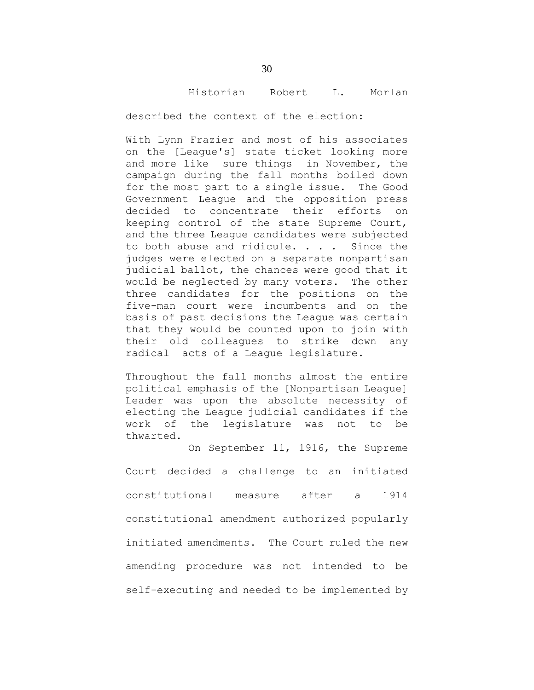#### Historian Robert L. Morlan

described the context of the election:

With Lynn Frazier and most of his associates on the [League's] state ticket looking more and more like sure things in November, the campaign during the fall months boiled down for the most part to a single issue. The Good Government League and the opposition press decided to concentrate their efforts on keeping control of the state Supreme Court, and the three League candidates were subjected to both abuse and ridicule. . . . Since the judges were elected on a separate nonpartisan judicial ballot, the chances were good that it would be neglected by many voters. The other three candidates for the positions on the five-man court were incumbents and on the basis of past decisions the League was certain that they would be counted upon to join with their old colleagues to strike down any radical acts of a League legislature.

Throughout the fall months almost the entire political emphasis of the [Nonpartisan League] Leader was upon the absolute necessity of electing the League judicial candidates if the work of the legislature was not to be thwarted.

On September 11, 1916, the Supreme

Court decided a challenge to an initiated constitutional measure after a 1914 constitutional amendment authorized popularly initiated amendments. The Court ruled the new amending procedure was not intended to be self-executing and needed to be implemented by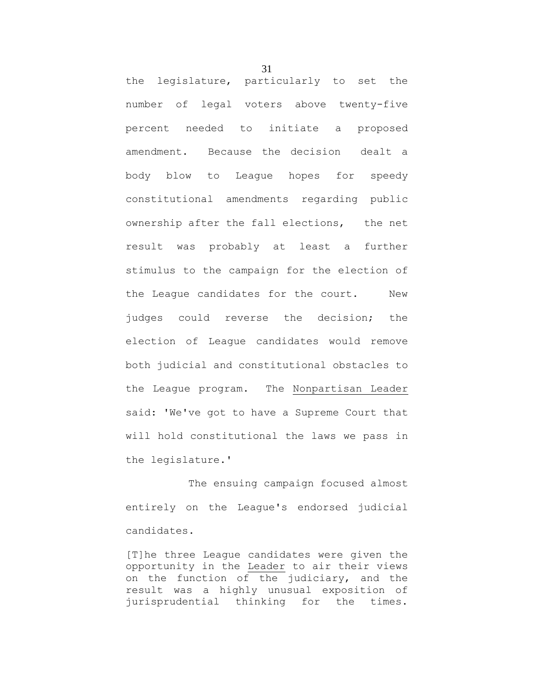the legislature, particularly to set the number of legal voters above twenty-five percent needed to initiate a proposed amendment. Because the decision dealt a body blow to League hopes for speedy constitutional amendments regarding public ownership after the fall elections, the net result was probably at least a further stimulus to the campaign for the election of the League candidates for the court. New judges could reverse the decision; the election of League candidates would remove both judicial and constitutional obstacles to the League program. The Nonpartisan Leader said: 'We've got to have a Supreme Court that will hold constitutional the laws we pass in the legislature.'

The ensuing campaign focused almost entirely on the League's endorsed judicial candidates.

[T]he three League candidates were given the opportunity in the Leader to air their views on the function of the judiciary, and the result was a highly unusual exposition of jurisprudential thinking for the times.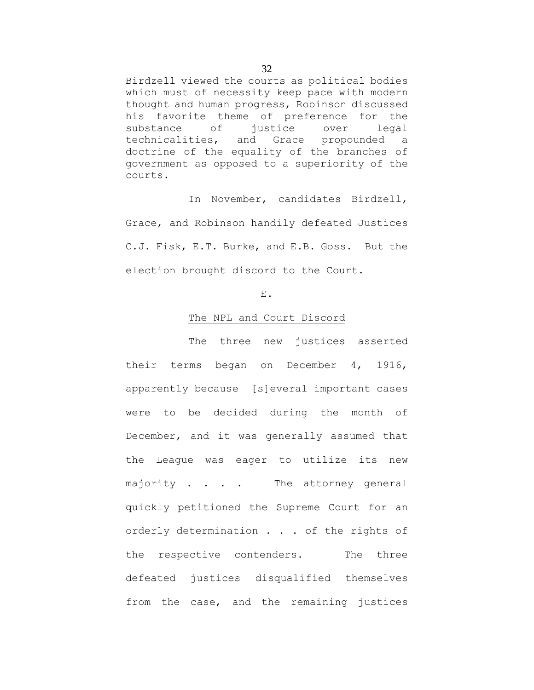Birdzell viewed the courts as political bodies which must of necessity keep pace with modern thought and human progress, Robinson discussed his favorite theme of preference for the substance of justice over legal technicalities, and Grace propounded a doctrine of the equality of the branches of government as opposed to a superiority of the courts.

In November, candidates Birdzell, Grace, and Robinson handily defeated Justices C.J. Fisk, E.T. Burke, and E.B. Goss. But the election brought discord to the Court.

## E.

#### The NPL and Court Discord

The three new justices asserted their terms began on December 4, 1916, apparently because [s]everal important cases were to be decided during the month of December, and it was generally assumed that the League was eager to utilize its new majority . . . . The attorney general quickly petitioned the Supreme Court for an orderly determination . . . of the rights of the respective contenders. The three defeated justices disqualified themselves from the case, and the remaining justices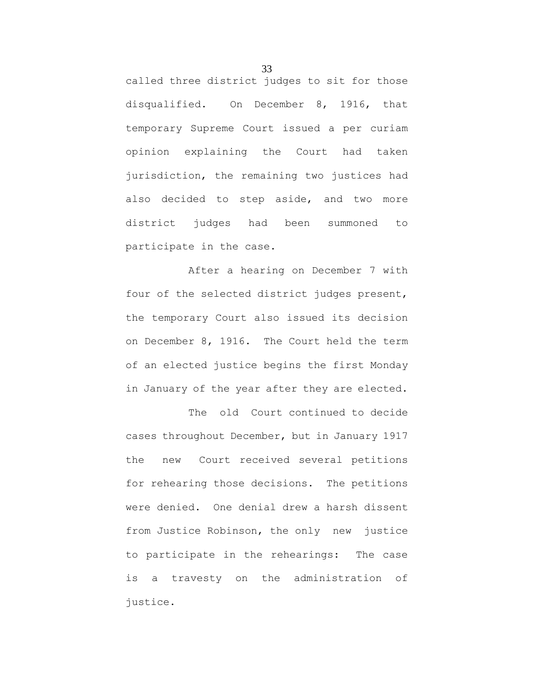called three district judges to sit for those disqualified. On December 8, 1916, that temporary Supreme Court issued a per curiam opinion explaining the Court had taken jurisdiction, the remaining two justices had also decided to step aside, and two more district judges had been summoned to participate in the case.

After a hearing on December 7 with four of the selected district judges present, the temporary Court also issued its decision on December 8, 1916. The Court held the term of an elected justice begins the first Monday in January of the year after they are elected.

The old Court continued to decide cases throughout December, but in January 1917 the new Court received several petitions for rehearing those decisions. The petitions were denied. One denial drew a harsh dissent from Justice Robinson, the only new justice to participate in the rehearings: The case is a travesty on the administration of justice.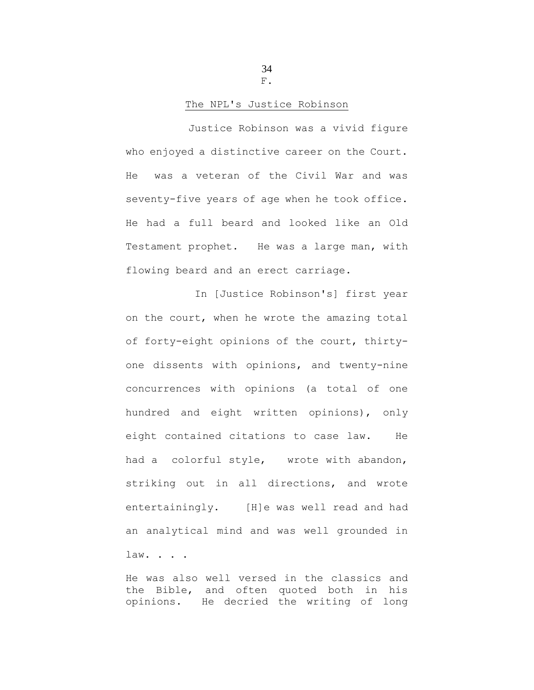34 F.

## The NPL's Justice Robinson

Justice Robinson was a vivid figure who enjoyed a distinctive career on the Court. He was a veteran of the Civil War and was seventy-five years of age when he took office. He had a full beard and looked like an Old Testament prophet. He was a large man, with flowing beard and an erect carriage.

In [Justice Robinson's] first year on the court, when he wrote the amazing total of forty-eight opinions of the court, thirtyone dissents with opinions, and twenty-nine concurrences with opinions (a total of one hundred and eight written opinions), only eight contained citations to case law. He had a colorful style, wrote with abandon, striking out in all directions, and wrote entertainingly. [H]e was well read and had an analytical mind and was well grounded in law. . . .

He was also well versed in the classics and the Bible, and often quoted both in his opinions. He decried the writing of long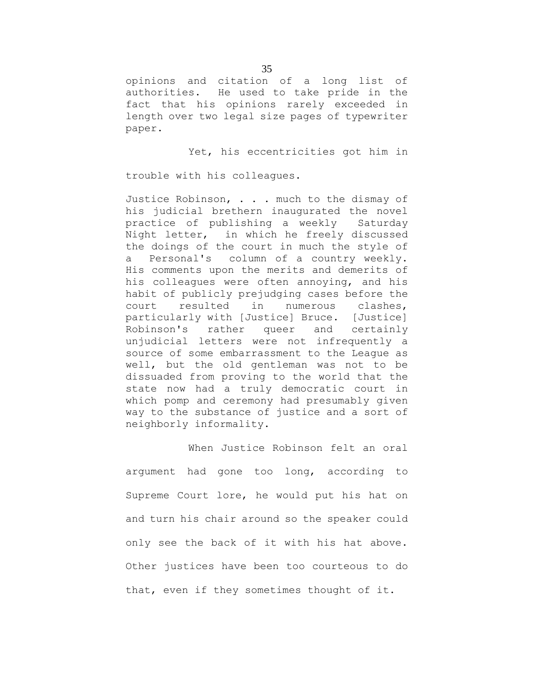opinions and citation of a long list of authorities. He used to take pride in the fact that his opinions rarely exceeded in length over two legal size pages of typewriter paper.

Yet, his eccentricities got him in

trouble with his colleagues.

Justice Robinson, . . . much to the dismay of his judicial brethern inaugurated the novel practice of publishing a weekly Saturday Night letter, in which he freely discussed the doings of the court in much the style of a Personal's column of a country weekly. His comments upon the merits and demerits of his colleagues were often annoying, and his habit of publicly prejudging cases before the court resulted in numerous clashes, particularly with [Justice] Bruce. [Justice] Robinson's rather queer and certainly unjudicial letters were not infrequently a source of some embarrassment to the League as well, but the old gentleman was not to be dissuaded from proving to the world that the state now had a truly democratic court in which pomp and ceremony had presumably given way to the substance of justice and a sort of neighborly informality.

When Justice Robinson felt an oral argument had gone too long, according to Supreme Court lore, he would put his hat on and turn his chair around so the speaker could only see the back of it with his hat above. Other justices have been too courteous to do that, even if they sometimes thought of it.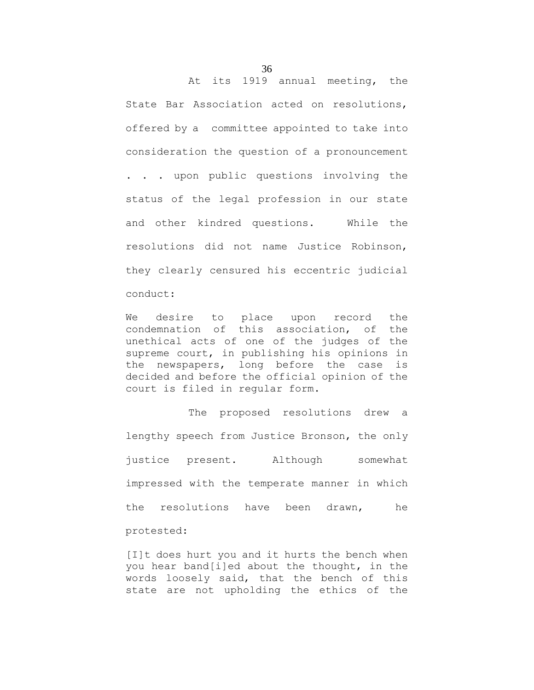State Bar Association acted on resolutions, offered by a committee appointed to take into consideration the question of a pronouncement . . . upon public questions involving the status of the legal profession in our state and other kindred questions. While the resolutions did not name Justice Robinson, they clearly censured his eccentric judicial

conduct:

We desire to place upon record the condemnation of this association, of the unethical acts of one of the judges of the supreme court, in publishing his opinions in the newspapers, long before the case is decided and before the official opinion of the court is filed in regular form.

The proposed resolutions drew a lengthy speech from Justice Bronson, the only justice present. Although somewhat impressed with the temperate manner in which the resolutions have been drawn, he protested:

[I]t does hurt you and it hurts the bench when you hear band[i]ed about the thought, in the words loosely said, that the bench of this state are not upholding the ethics of the

At its 1919 annual meeting, the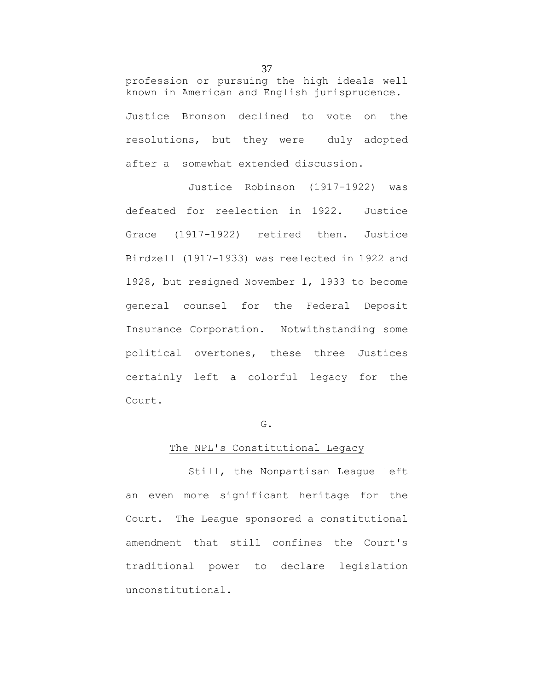profession or pursuing the high ideals well known in American and English jurisprudence. Justice Bronson declined to vote on the resolutions, but they were duly adopted after a somewhat extended discussion.

Justice Robinson (1917-1922) was defeated for reelection in 1922. Justice Grace (1917-1922) retired then. Justice Birdzell (1917-1933) was reelected in 1922 and 1928, but resigned November 1, 1933 to become general counsel for the Federal Deposit Insurance Corporation. Notwithstanding some political overtones, these three Justices certainly left a colorful legacy for the Court.

#### G.

#### The NPL's Constitutional Legacy

Still, the Nonpartisan League left an even more significant heritage for the Court. The League sponsored a constitutional amendment that still confines the Court's traditional power to declare legislation unconstitutional.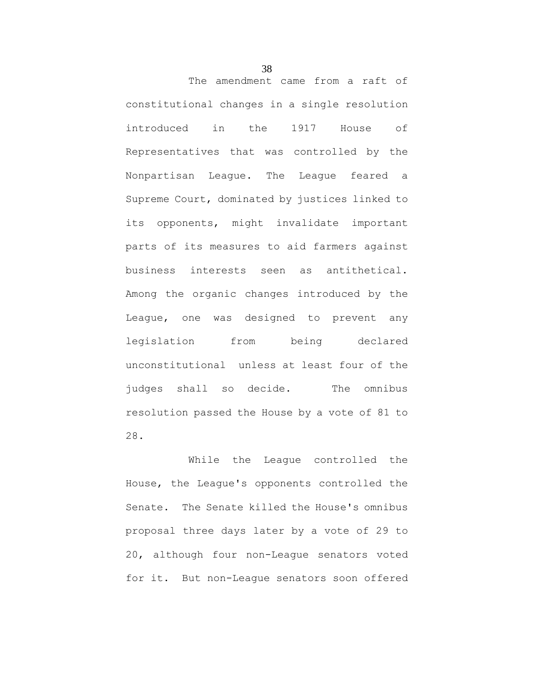The amendment came from a raft of constitutional changes in a single resolution introduced in the 1917 House of Representatives that was controlled by the Nonpartisan League. The League feared a Supreme Court, dominated by justices linked to its opponents, might invalidate important parts of its measures to aid farmers against business interests seen as antithetical. Among the organic changes introduced by the League, one was designed to prevent any legislation from being declared unconstitutional unless at least four of the judges shall so decide. The omnibus resolution passed the House by a vote of 81 to 28.

While the League controlled the House, the League's opponents controlled the Senate. The Senate killed the House's omnibus proposal three days later by a vote of 29 to 20, although four non-League senators voted for it. But non-League senators soon offered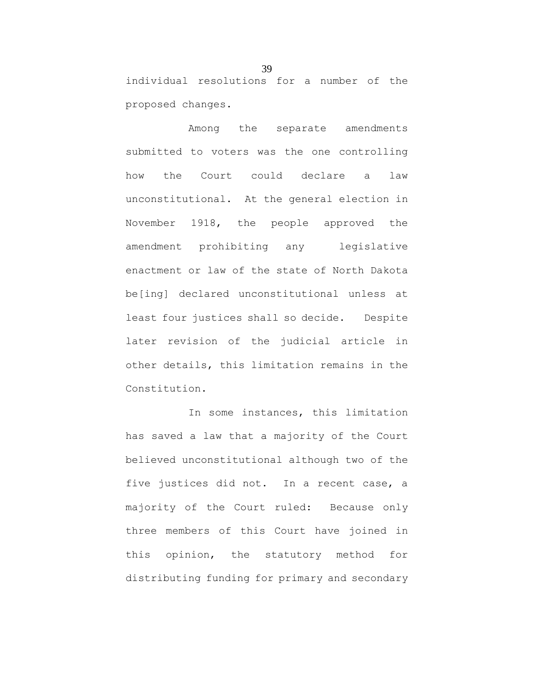individual resolutions for a number of the proposed changes.

Among the separate amendments submitted to voters was the one controlling how the Court could declare a law unconstitutional. At the general election in November 1918, the people approved the amendment prohibiting any legislative enactment or law of the state of North Dakota be[ing] declared unconstitutional unless at least four justices shall so decide. Despite later revision of the judicial article in other details, this limitation remains in the Constitution.

In some instances, this limitation has saved a law that a majority of the Court believed unconstitutional although two of the five justices did not. In a recent case, a majority of the Court ruled: Because only three members of this Court have joined in this opinion, the statutory method for distributing funding for primary and secondary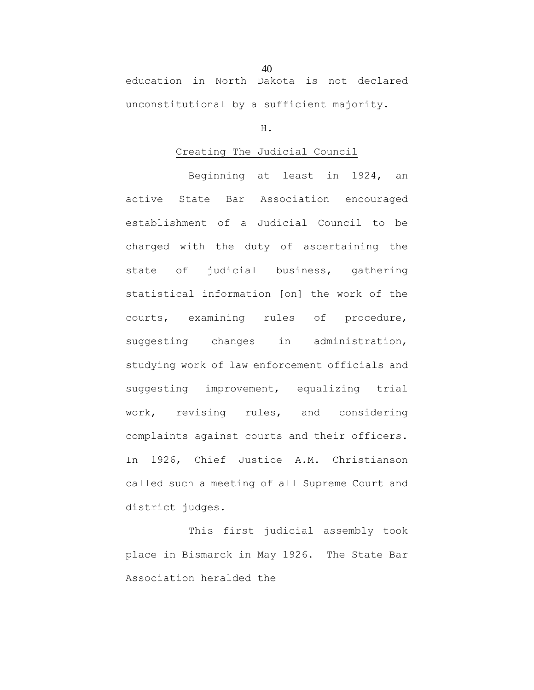education in North Dakota is not declared unconstitutional by a sufficient majority.

#### H.

#### Creating The Judicial Council

Beginning at least in 1924, an active State Bar Association encouraged establishment of a Judicial Council to be charged with the duty of ascertaining the state of judicial business, gathering statistical information [on] the work of the courts, examining rules of procedure, suggesting changes in administration, studying work of law enforcement officials and suggesting improvement, equalizing trial work, revising rules, and considering complaints against courts and their officers. In 1926, Chief Justice A.M. Christianson called such a meeting of all Supreme Court and district judges.

This first judicial assembly took place in Bismarck in May 1926. The State Bar Association heralded the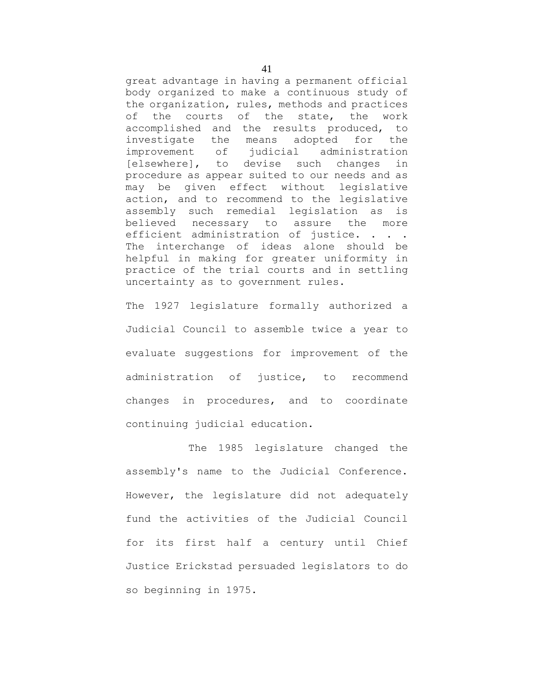great advantage in having a permanent official body organized to make a continuous study of the organization, rules, methods and practices of the courts of the state, the work accomplished and the results produced, to investigate the means adopted for the improvement of judicial administration [elsewhere], to devise such changes in procedure as appear suited to our needs and as may be given effect without legislative action, and to recommend to the legislative assembly such remedial legislation as is believed necessary to assure the more efficient administration of justice. . . . The interchange of ideas alone should be helpful in making for greater uniformity in practice of the trial courts and in settling uncertainty as to government rules.

The 1927 legislature formally authorized a Judicial Council to assemble twice a year to evaluate suggestions for improvement of the administration of justice, to recommend changes in procedures, and to coordinate continuing judicial education.

The 1985 legislature changed the assembly's name to the Judicial Conference. However, the legislature did not adequately fund the activities of the Judicial Council for its first half a century until Chief Justice Erickstad persuaded legislators to do so beginning in 1975.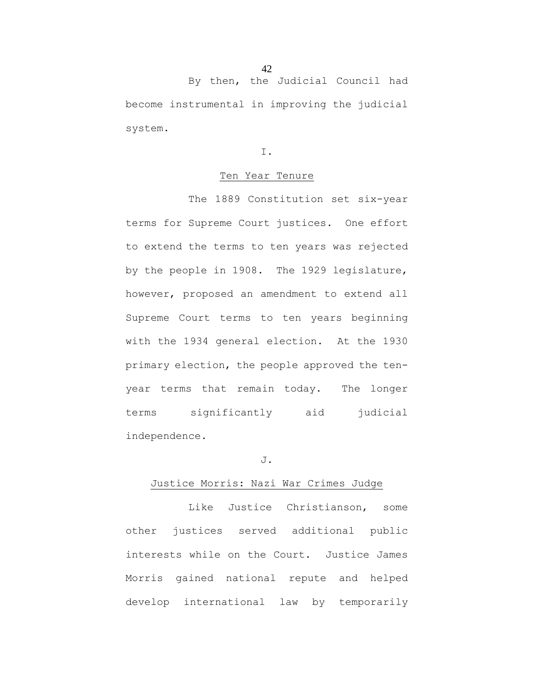By then, the Judicial Council had become instrumental in improving the judicial system.

I.

#### Ten Year Tenure

The 1889 Constitution set six-year terms for Supreme Court justices. One effort to extend the terms to ten years was rejected by the people in 1908. The 1929 legislature, however, proposed an amendment to extend all Supreme Court terms to ten years beginning with the 1934 general election. At the 1930 primary election, the people approved the tenyear terms that remain today. The longer terms significantly aid judicial independence.

# J.

# Justice Morris: Nazi War Crimes Judge

Like Justice Christianson, some other justices served additional public interests while on the Court. Justice James Morris gained national repute and helped develop international law by temporarily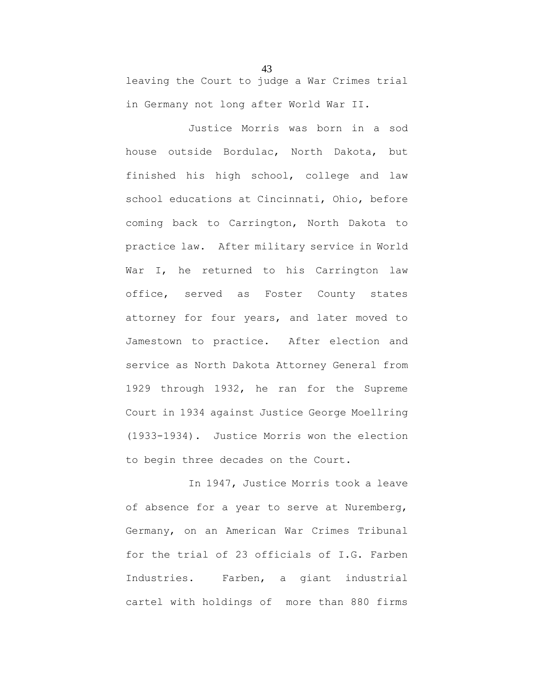leaving the Court to judge a War Crimes trial in Germany not long after World War II.

Justice Morris was born in a sod house outside Bordulac, North Dakota, but finished his high school, college and law school educations at Cincinnati, Ohio, before coming back to Carrington, North Dakota to practice law. After military service in World War I, he returned to his Carrington law office, served as Foster County states attorney for four years, and later moved to Jamestown to practice. After election and service as North Dakota Attorney General from 1929 through 1932, he ran for the Supreme Court in 1934 against Justice George Moellring (1933-1934). Justice Morris won the election to begin three decades on the Court.

In 1947, Justice Morris took a leave of absence for a year to serve at Nuremberg, Germany, on an American War Crimes Tribunal for the trial of 23 officials of I.G. Farben Industries. Farben, a giant industrial cartel with holdings of more than 880 firms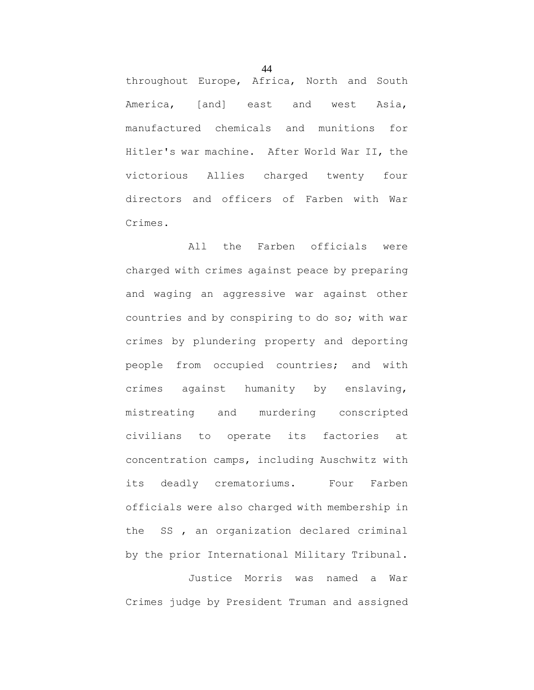throughout Europe, Africa, North and South America, [and] east and west Asia, manufactured chemicals and munitions for Hitler's war machine. After World War II, the victorious Allies charged twenty four directors and officers of Farben with War Crimes.

All the Farben officials were charged with crimes against peace by preparing and waging an aggressive war against other countries and by conspiring to do so; with war crimes by plundering property and deporting people from occupied countries; and with crimes against humanity by enslaving, mistreating and murdering conscripted civilians to operate its factories at concentration camps, including Auschwitz with its deadly crematoriums. Four Farben officials were also charged with membership in the SS , an organization declared criminal by the prior International Military Tribunal.

Justice Morris was named a War Crimes judge by President Truman and assigned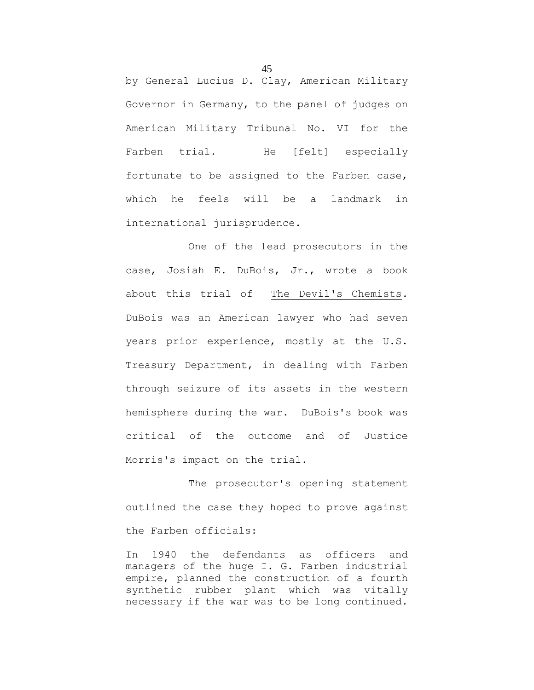by General Lucius D. Clay, American Military Governor in Germany, to the panel of judges on American Military Tribunal No. VI for the Farben trial. He [felt] especially fortunate to be assigned to the Farben case, which he feels will be a landmark in international jurisprudence.

One of the lead prosecutors in the case, Josiah E. DuBois, Jr., wrote a book about this trial of The Devil's Chemists. DuBois was an American lawyer who had seven years prior experience, mostly at the U.S. Treasury Department, in dealing with Farben through seizure of its assets in the western hemisphere during the war. DuBois's book was critical of the outcome and of Justice Morris's impact on the trial.

The prosecutor's opening statement outlined the case they hoped to prove against the Farben officials:

In 1940 the defendants as officers and managers of the huge I. G. Farben industrial empire, planned the construction of a fourth synthetic rubber plant which was vitally necessary if the war was to be long continued.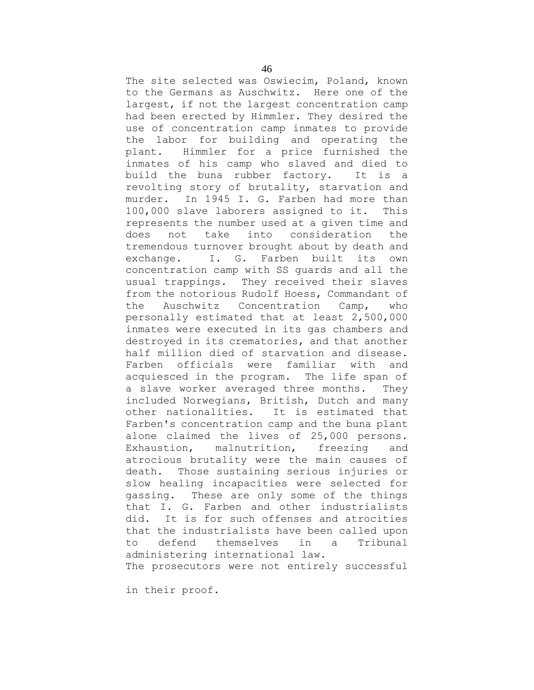The site selected was Oswiecim, Poland, known to the Germans as Auschwitz. Here one of the largest, if not the largest concentration camp had been erected by Himmler. They desired the use of concentration camp inmates to provide the labor for building and operating the plant. Himmler for a price furnished the inmates of his camp who slaved and died to build the buna rubber factory. It is a revolting story of brutality, starvation and murder. In 1945 I. G. Farben had more than 100,000 slave laborers assigned to it. This represents the number used at a given time and does not take into consideration the tremendous turnover brought about by death and exchange. I. G. Farben built its own concentration camp with SS guards and all the usual trappings. They received their slaves from the notorious Rudolf Hoess, Commandant of the Auschwitz Concentration Camp, who personally estimated that at least 2,500,000 inmates were executed in its gas chambers and destroyed in its crematories, and that another half million died of starvation and disease. Farben officials were familiar with and acquiesced in the program. The life span of a slave worker averaged three months. They included Norwegians, British, Dutch and many other nationalities. It is estimated that Farben's concentration camp and the buna plant alone claimed the lives of 25,000 persons. Exhaustion, malnutrition, freezing and atrocious brutality were the main causes of death. Those sustaining serious injuries or slow healing incapacities were selected for gassing. These are only some of the things that I. G. Farben and other industrialists did. It is for such offenses and atrocities that the industrialists have been called upon to defend themselves in a Tribunal administering international law. The prosecutors were not entirely successful

in their proof.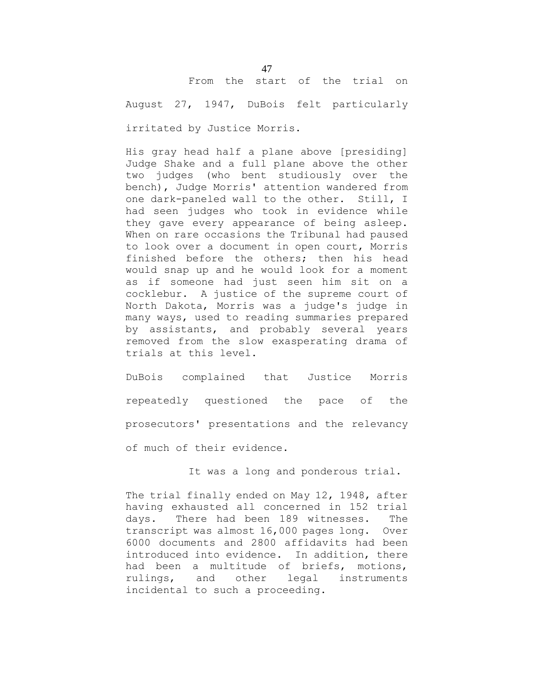# From the start of the trial on

August 27, 1947, DuBois felt particularly

irritated by Justice Morris.

His gray head half a plane above [presiding] Judge Shake and a full plane above the other two judges (who bent studiously over the bench), Judge Morris' attention wandered from one dark-paneled wall to the other. Still, I had seen judges who took in evidence while they gave every appearance of being asleep. When on rare occasions the Tribunal had paused to look over a document in open court, Morris finished before the others; then his head would snap up and he would look for a moment as if someone had just seen him sit on a cocklebur. A justice of the supreme court of North Dakota, Morris was a judge's judge in many ways, used to reading summaries prepared by assistants, and probably several years removed from the slow exasperating drama of trials at this level.

DuBois complained that Justice Morris repeatedly questioned the pace of the prosecutors' presentations and the relevancy of much of their evidence.

It was a long and ponderous trial.

The trial finally ended on May 12, 1948, after having exhausted all concerned in 152 trial days. There had been 189 witnesses. The transcript was almost 16,000 pages long. Over 6000 documents and 2800 affidavits had been introduced into evidence. In addition, there had been a multitude of briefs, motions, rulings, and other legal instruments incidental to such a proceeding.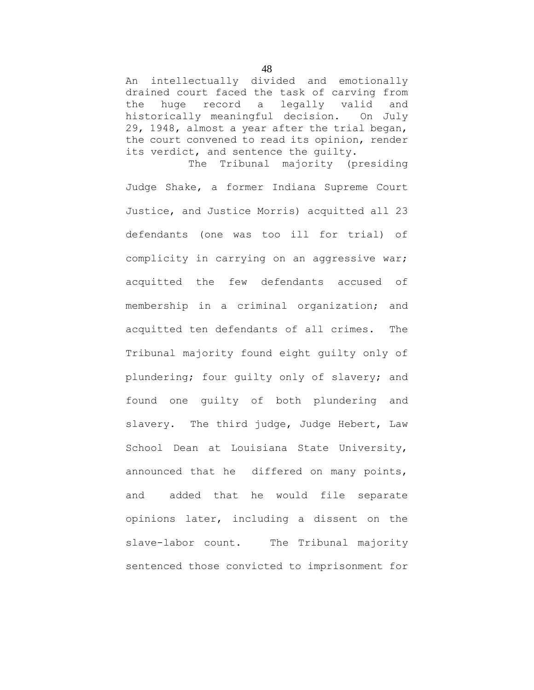An intellectually divided and emotionally drained court faced the task of carving from the huge record a legally valid and historically meaningful decision. On July 29, 1948, almost a year after the trial began, the court convened to read its opinion, render its verdict, and sentence the guilty. The Tribunal majority (presiding

Judge Shake, a former Indiana Supreme Court Justice, and Justice Morris) acquitted all 23 defendants (one was too ill for trial) of complicity in carrying on an aggressive war; acquitted the few defendants accused of membership in a criminal organization; and acquitted ten defendants of all crimes. The Tribunal majority found eight guilty only of plundering; four guilty only of slavery; and found one guilty of both plundering and slavery. The third judge, Judge Hebert, Law School Dean at Louisiana State University, announced that he differed on many points, and added that he would file separate opinions later, including a dissent on the slave-labor count. The Tribunal majority sentenced those convicted to imprisonment for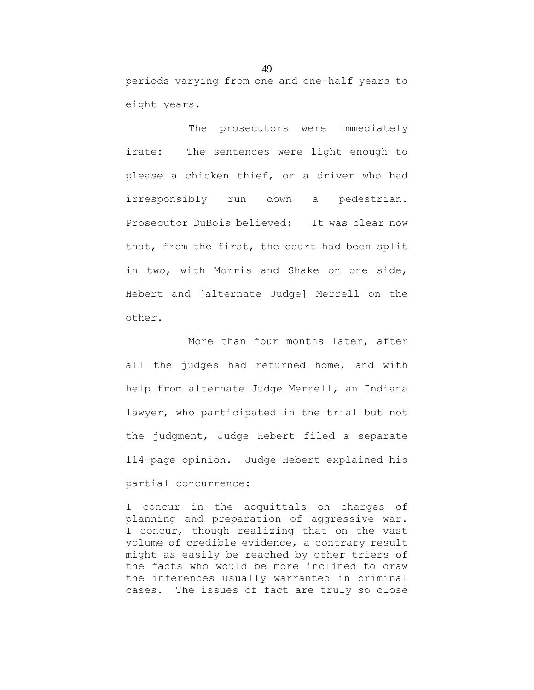periods varying from one and one-half years to eight years.

The prosecutors were immediately irate: The sentences were light enough to please a chicken thief, or a driver who had irresponsibly run down a pedestrian. Prosecutor DuBois believed: It was clear now that, from the first, the court had been split in two, with Morris and Shake on one side, Hebert and [alternate Judge] Merrell on the other.

More than four months later, after all the judges had returned home, and with help from alternate Judge Merrell, an Indiana lawyer, who participated in the trial but not the judgment, Judge Hebert filed a separate 114-page opinion. Judge Hebert explained his partial concurrence:

I concur in the acquittals on charges of planning and preparation of aggressive war. I concur, though realizing that on the vast volume of credible evidence, a contrary result might as easily be reached by other triers of the facts who would be more inclined to draw the inferences usually warranted in criminal cases. The issues of fact are truly so close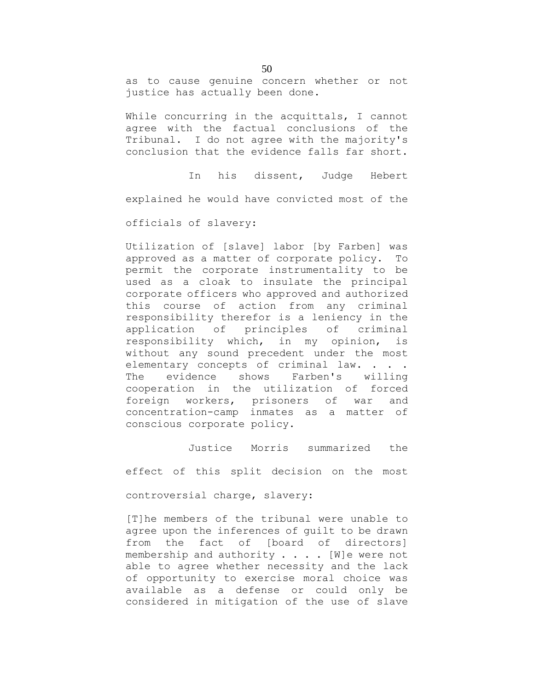as to cause genuine concern whether or not justice has actually been done.

While concurring in the acquittals, I cannot agree with the factual conclusions of the Tribunal. I do not agree with the majority's conclusion that the evidence falls far short.

In his dissent, Judge Hebert explained he would have convicted most of the

officials of slavery:

Utilization of [slave] labor [by Farben] was approved as a matter of corporate policy. To permit the corporate instrumentality to be used as a cloak to insulate the principal corporate officers who approved and authorized this course of action from any criminal responsibility therefor is a leniency in the application of principles of criminal responsibility which, in my opinion, is without any sound precedent under the most elementary concepts of criminal law. . . . The evidence shows Farben's willing cooperation in the utilization of forced foreign workers, prisoners of war and concentration-camp inmates as a matter of conscious corporate policy.

Justice Morris summarized the

effect of this split decision on the most

controversial charge, slavery:

[T]he members of the tribunal were unable to agree upon the inferences of guilt to be drawn from the fact of [board of directors] membership and authority . . . . [W]e were not able to agree whether necessity and the lack of opportunity to exercise moral choice was available as a defense or could only be considered in mitigation of the use of slave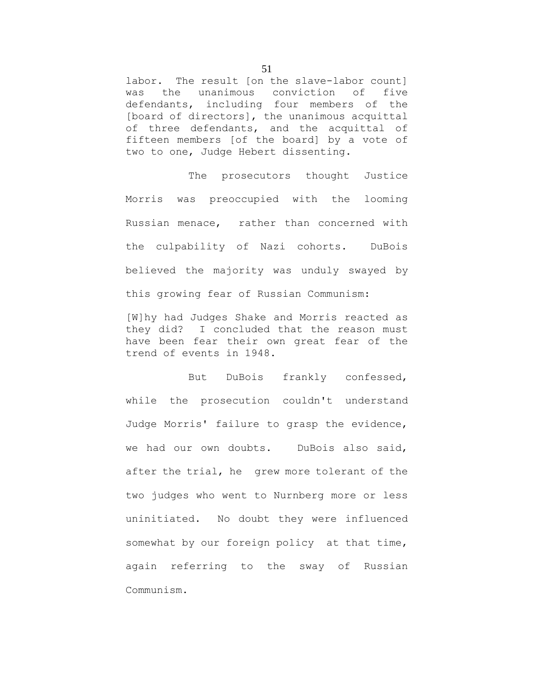labor. The result [on the slave-labor count] was the unanimous conviction of five defendants, including four members of the [board of directors], the unanimous acquittal of three defendants, and the acquittal of fifteen members [of the board] by a vote of two to one, Judge Hebert dissenting.

The prosecutors thought Justice Morris was preoccupied with the looming Russian menace, rather than concerned with the culpability of Nazi cohorts. DuBois believed the majority was unduly swayed by this growing fear of Russian Communism:

[W]hy had Judges Shake and Morris reacted as they did? I concluded that the reason must have been fear their own great fear of the trend of events in 1948.

But DuBois frankly confessed, while the prosecution couldn't understand Judge Morris' failure to grasp the evidence, we had our own doubts. DuBois also said, after the trial, he grew more tolerant of the two judges who went to Nurnberg more or less uninitiated. No doubt they were influenced somewhat by our foreign policy at that time, again referring to the sway of Russian Communism.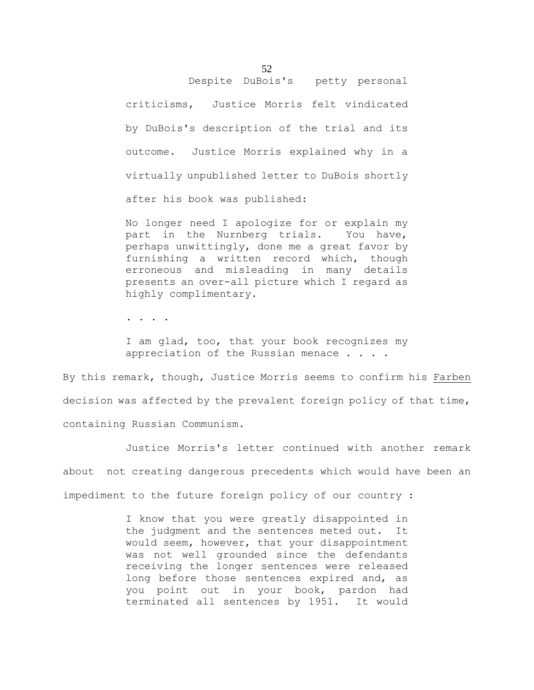# Despite DuBois's petty personal

criticisms, Justice Morris felt vindicated by DuBois's description of the trial and its outcome. Justice Morris explained why in a virtually unpublished letter to DuBois shortly after his book was published:

No longer need I apologize for or explain my part in the Nurnberg trials. You have, perhaps unwittingly, done me a great favor by furnishing a written record which, though erroneous and misleading in many details presents an over-all picture which I regard as highly complimentary.

. . . .

I am glad, too, that your book recognizes my appreciation of the Russian menace . . . .

By this remark, though, Justice Morris seems to confirm his Farben decision was affected by the prevalent foreign policy of that time, containing Russian Communism.

Justice Morris's letter continued with another remark about not creating dangerous precedents which would have been an impediment to the future foreign policy of our country :

> I know that you were greatly disappointed in the judgment and the sentences meted out. It would seem, however, that your disappointment was not well grounded since the defendants receiving the longer sentences were released long before those sentences expired and, as you point out in your book, pardon had terminated all sentences by 1951. It would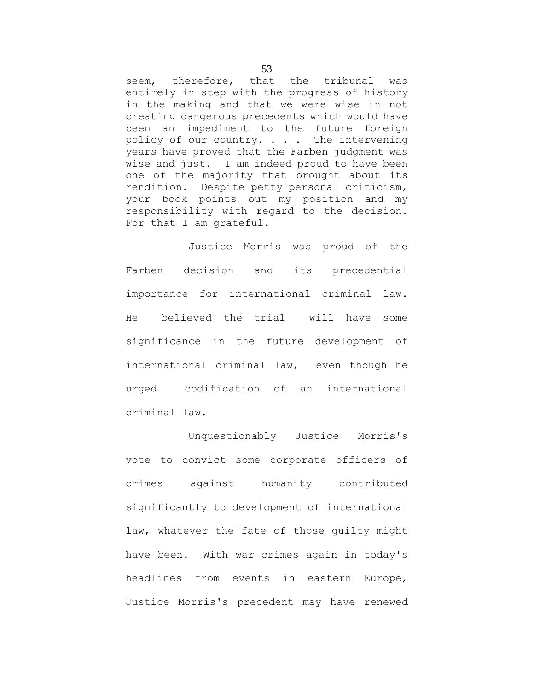seem, therefore, that the tribunal was entirely in step with the progress of history in the making and that we were wise in not creating dangerous precedents which would have been an impediment to the future foreign policy of our country. . . . The intervening years have proved that the Farben judgment was wise and just. I am indeed proud to have been one of the majority that brought about its rendition. Despite petty personal criticism, your book points out my position and my responsibility with regard to the decision. For that I am grateful.

Justice Morris was proud of the Farben decision and its precedential importance for international criminal law. He believed the trial will have some significance in the future development of international criminal law, even though he urged codification of an international criminal law.

Unquestionably Justice Morris's vote to convict some corporate officers of crimes against humanity contributed significantly to development of international law, whatever the fate of those guilty might have been. With war crimes again in today's headlines from events in eastern Europe, Justice Morris's precedent may have renewed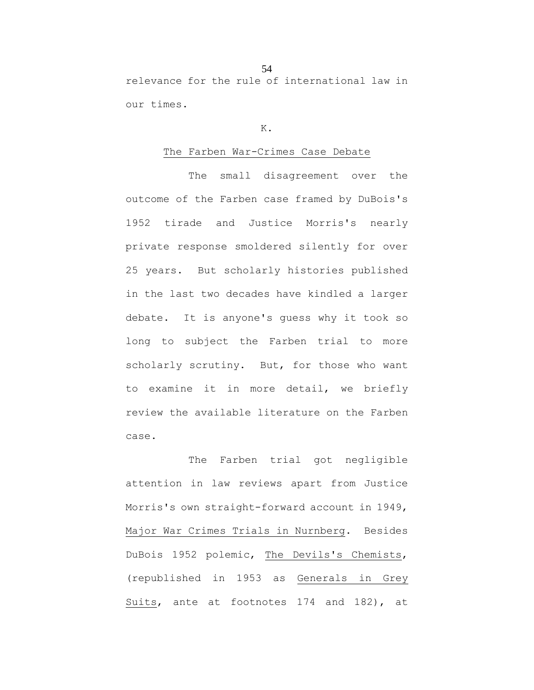relevance for the rule of international law in our times.

#### K.

#### The Farben War-Crimes Case Debate

The small disagreement over the outcome of the Farben case framed by DuBois's 1952 tirade and Justice Morris's nearly private response smoldered silently for over 25 years. But scholarly histories published in the last two decades have kindled a larger debate. It is anyone's guess why it took so long to subject the Farben trial to more scholarly scrutiny. But, for those who want to examine it in more detail, we briefly review the available literature on the Farben case.

The Farben trial got negligible attention in law reviews apart from Justice Morris's own straight-forward account in 1949, Major War Crimes Trials in Nurnberg. Besides DuBois 1952 polemic, The Devils's Chemists, (republished in 1953 as Generals in Grey Suits, ante at footnotes 174 and 182), at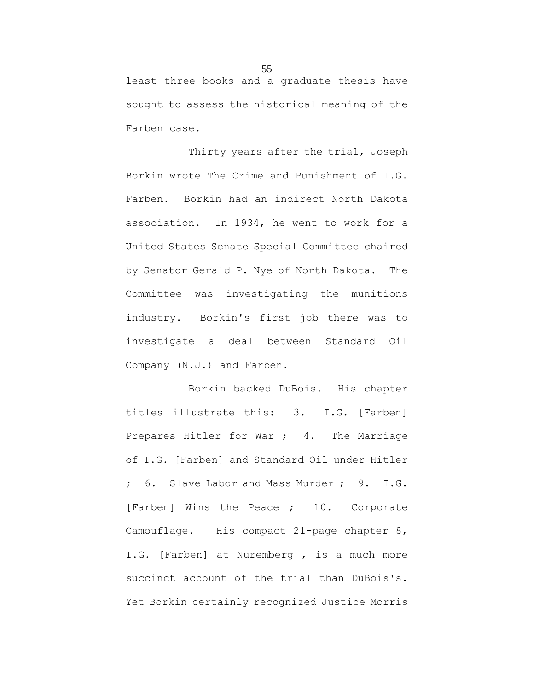least three books and a graduate thesis have sought to assess the historical meaning of the Farben case.

Thirty years after the trial, Joseph Borkin wrote The Crime and Punishment of I.G. Farben. Borkin had an indirect North Dakota association. In 1934, he went to work for a United States Senate Special Committee chaired by Senator Gerald P. Nye of North Dakota. The Committee was investigating the munitions industry. Borkin's first job there was to investigate a deal between Standard Oil Company (N.J.) and Farben.

Borkin backed DuBois. His chapter titles illustrate this: 3. I.G. [Farben] Prepares Hitler for War ; 4. The Marriage of I.G. [Farben] and Standard Oil under Hitler ; 6. Slave Labor and Mass Murder ; 9. I.G. [Farben] Wins the Peace ; 10. Corporate Camouflage. His compact 21-page chapter 8, I.G. [Farben] at Nuremberg, is a much more succinct account of the trial than DuBois's. Yet Borkin certainly recognized Justice Morris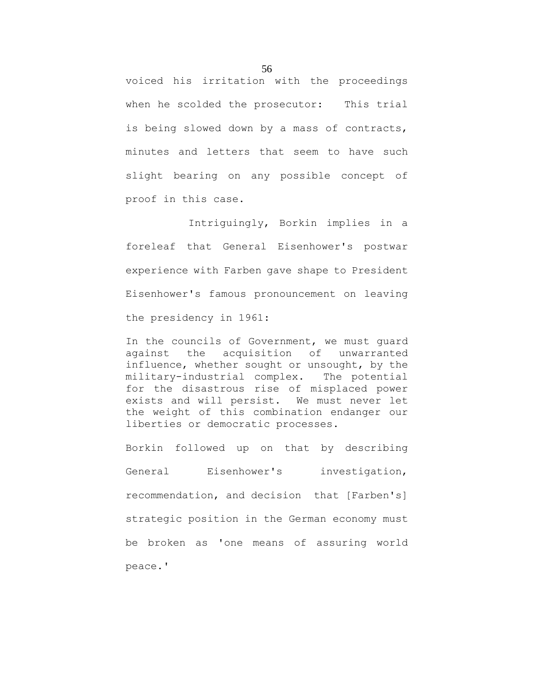voiced his irritation with the proceedings when he scolded the prosecutor: This trial is being slowed down by a mass of contracts, minutes and letters that seem to have such slight bearing on any possible concept of proof in this case.

Intriguingly, Borkin implies in a foreleaf that General Eisenhower's postwar experience with Farben gave shape to President Eisenhower's famous pronouncement on leaving the presidency in 1961:

In the councils of Government, we must guard against the acquisition of unwarranted influence, whether sought or unsought, by the military-industrial complex. The potential for the disastrous rise of misplaced power exists and will persist. We must never let the weight of this combination endanger our liberties or democratic processes.

Borkin followed up on that by describing General Eisenhower's investigation, recommendation, and decision that [Farben's] strategic position in the German economy must be broken as 'one means of assuring world peace.'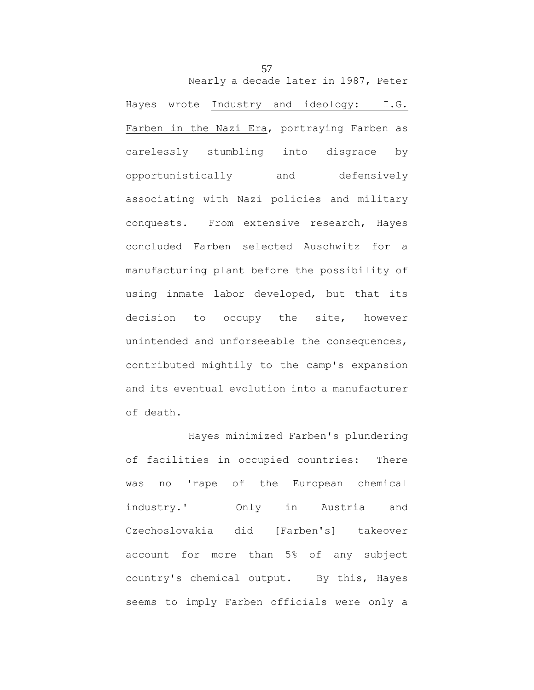Nearly a decade later in 1987, Peter

Hayes wrote Industry and ideology: I.G. Farben in the Nazi Era, portraying Farben as carelessly stumbling into disgrace by opportunistically and defensively associating with Nazi policies and military conquests. From extensive research, Hayes concluded Farben selected Auschwitz for a manufacturing plant before the possibility of using inmate labor developed, but that its decision to occupy the site, however unintended and unforseeable the consequences, contributed mightily to the camp's expansion and its eventual evolution into a manufacturer of death.

Hayes minimized Farben's plundering of facilities in occupied countries: There was no 'rape of the European chemical industry.' Only in Austria and Czechoslovakia did [Farben's] takeover account for more than 5% of any subject country's chemical output. By this, Hayes seems to imply Farben officials were only a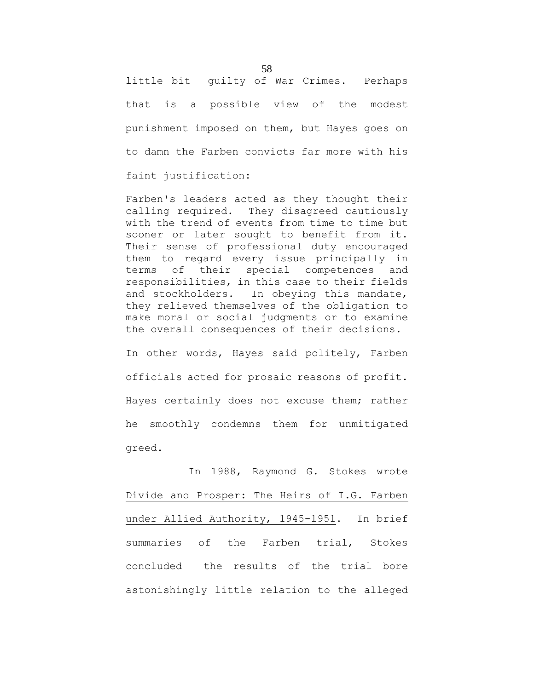little bit guilty of War Crimes. Perhaps that is a possible view of the modest punishment imposed on them, but Hayes goes on to damn the Farben convicts far more with his faint justification:

Farben's leaders acted as they thought their calling required. They disagreed cautiously with the trend of events from time to time but sooner or later sought to benefit from it. Their sense of professional duty encouraged them to regard every issue principally in terms of their special competences and responsibilities, in this case to their fields and stockholders. In obeying this mandate, they relieved themselves of the obligation to make moral or social judgments or to examine the overall consequences of their decisions.

In other words, Hayes said politely, Farben officials acted for prosaic reasons of profit. Hayes certainly does not excuse them; rather he smoothly condemns them for unmitigated greed.

In 1988, Raymond G. Stokes wrote Divide and Prosper: The Heirs of I.G. Farben under Allied Authority, 1945-1951. In brief summaries of the Farben trial, Stokes concluded the results of the trial bore astonishingly little relation to the alleged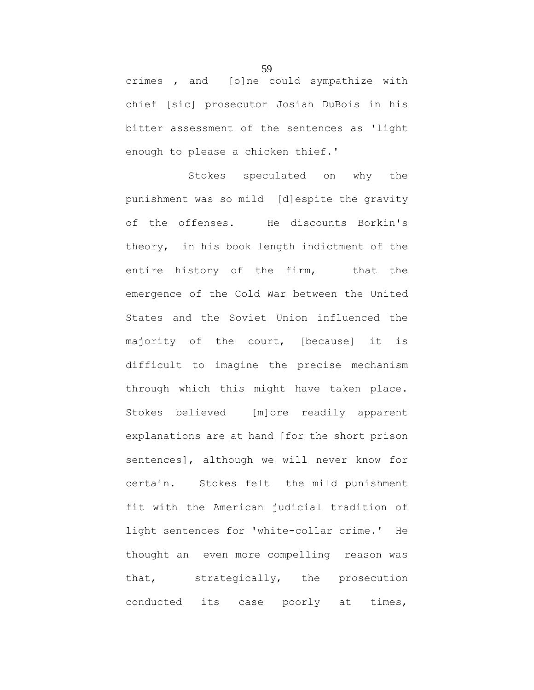crimes , and [o]ne could sympathize with chief [sic] prosecutor Josiah DuBois in his bitter assessment of the sentences as 'light enough to please a chicken thief.'

Stokes speculated on why the punishment was so mild [d]espite the gravity of the offenses. He discounts Borkin's theory, in his book length indictment of the entire history of the firm, that the emergence of the Cold War between the United States and the Soviet Union influenced the majority of the court, [because] it is difficult to imagine the precise mechanism through which this might have taken place. Stokes believed [m]ore readily apparent explanations are at hand [for the short prison sentences], although we will never know for certain. Stokes felt the mild punishment fit with the American judicial tradition of light sentences for 'white-collar crime.' He thought an even more compelling reason was that, strategically, the prosecution conducted its case poorly at times,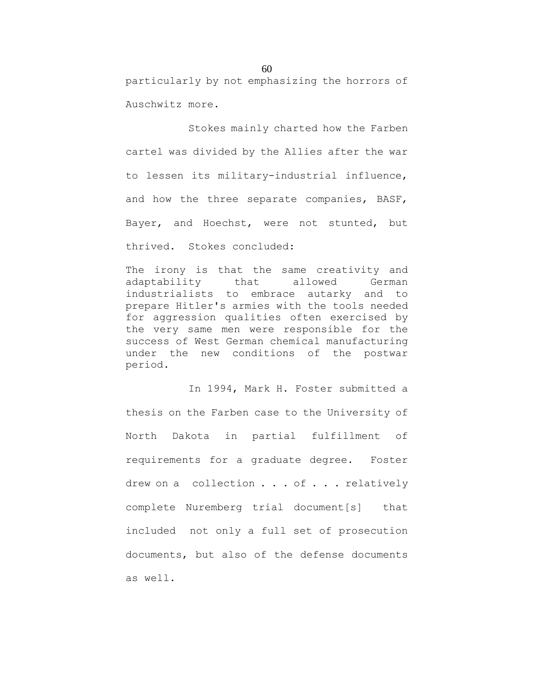particularly by not emphasizing the horrors of Auschwitz more.

Stokes mainly charted how the Farben cartel was divided by the Allies after the war to lessen its military-industrial influence, and how the three separate companies, BASF, Bayer, and Hoechst, were not stunted, but thrived. Stokes concluded:

The irony is that the same creativity and adaptability that allowed German industrialists to embrace autarky and to prepare Hitler's armies with the tools needed for aggression qualities often exercised by the very same men were responsible for the success of West German chemical manufacturing under the new conditions of the postwar period.

In 1994, Mark H. Foster submitted a thesis on the Farben case to the University of North Dakota in partial fulfillment of requirements for a graduate degree. Foster drew on a collection . . . of . . . relatively complete Nuremberg trial document[s] that included not only a full set of prosecution documents, but also of the defense documents as well.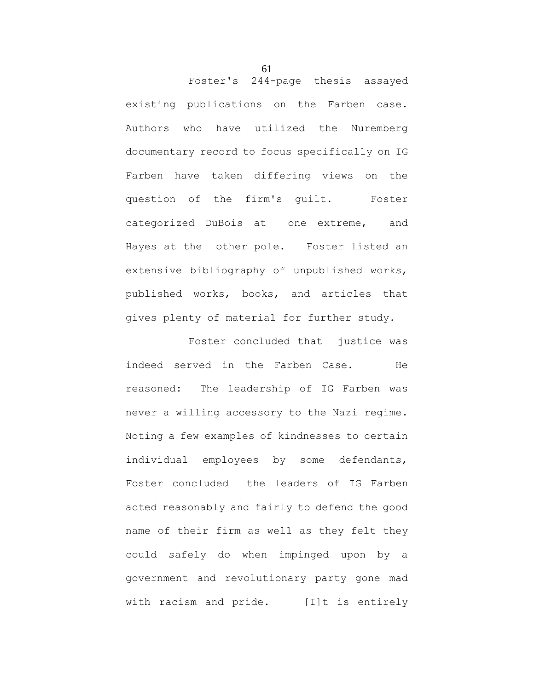Foster's 244-page thesis assayed existing publications on the Farben case. Authors who have utilized the Nuremberg documentary record to focus specifically on IG Farben have taken differing views on the question of the firm's guilt. Foster categorized DuBois at one extreme, and Hayes at the other pole. Foster listed an extensive bibliography of unpublished works, published works, books, and articles that gives plenty of material for further study.

Foster concluded that justice was indeed served in the Farben Case. He reasoned: The leadership of IG Farben was never a willing accessory to the Nazi regime. Noting a few examples of kindnesses to certain individual employees by some defendants, Foster concluded the leaders of IG Farben acted reasonably and fairly to defend the good name of their firm as well as they felt they could safely do when impinged upon by a government and revolutionary party gone mad with racism and pride. [I]t is entirely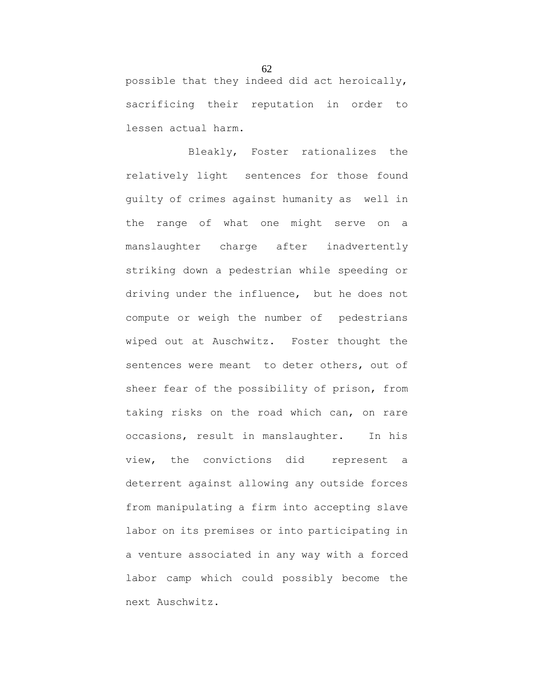possible that they indeed did act heroically, sacrificing their reputation in order to lessen actual harm.

Bleakly, Foster rationalizes the relatively light sentences for those found guilty of crimes against humanity as well in the range of what one might serve on a manslaughter charge after inadvertently striking down a pedestrian while speeding or driving under the influence, but he does not compute or weigh the number of pedestrians wiped out at Auschwitz. Foster thought the sentences were meant to deter others, out of sheer fear of the possibility of prison, from taking risks on the road which can, on rare occasions, result in manslaughter. In his view, the convictions did represent a deterrent against allowing any outside forces from manipulating a firm into accepting slave labor on its premises or into participating in a venture associated in any way with a forced labor camp which could possibly become the next Auschwitz.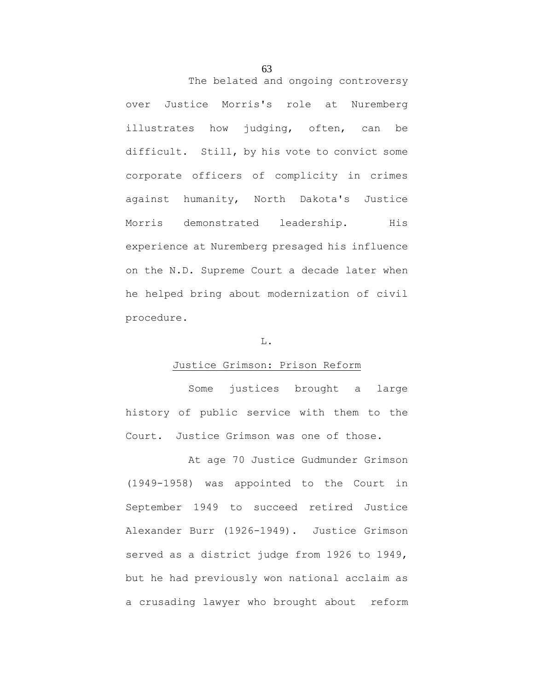The belated and ongoing controversy over Justice Morris's role at Nuremberg illustrates how judging, often, can be difficult. Still, by his vote to convict some corporate officers of complicity in crimes against humanity, North Dakota's Justice Morris demonstrated leadership. His experience at Nuremberg presaged his influence on the N.D. Supreme Court a decade later when he helped bring about modernization of civil procedure.

#### L.

### Justice Grimson: Prison Reform

Some justices brought a large history of public service with them to the Court. Justice Grimson was one of those.

At age 70 Justice Gudmunder Grimson (1949-1958) was appointed to the Court in September 1949 to succeed retired Justice Alexander Burr (1926-1949). Justice Grimson served as a district judge from 1926 to 1949, but he had previously won national acclaim as a crusading lawyer who brought about reform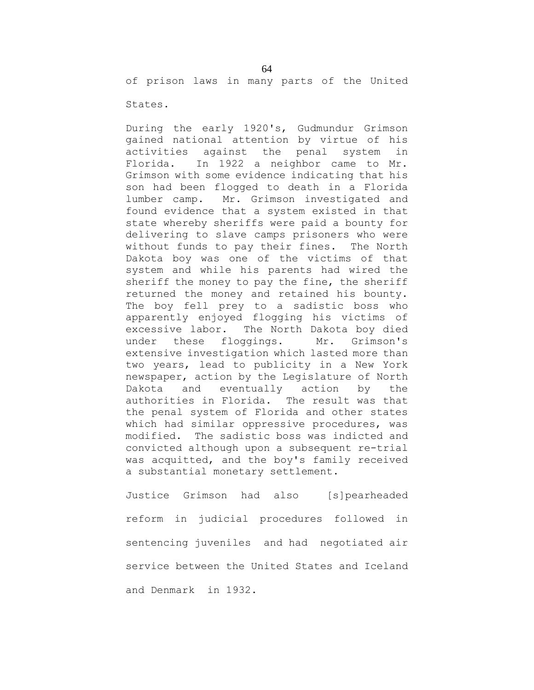of prison laws in many parts of the United

States.

During the early 1920's, Gudmundur Grimson gained national attention by virtue of his activities against the penal system in Florida. In 1922 a neighbor came to Mr. Grimson with some evidence indicating that his son had been flogged to death in a Florida lumber camp. Mr. Grimson investigated and found evidence that a system existed in that state whereby sheriffs were paid a bounty for delivering to slave camps prisoners who were without funds to pay their fines. The North Dakota boy was one of the victims of that system and while his parents had wired the sheriff the money to pay the fine, the sheriff returned the money and retained his bounty. The boy fell prey to a sadistic boss who apparently enjoyed flogging his victims of excessive labor. The North Dakota boy died under these floggings. Mr. Grimson's extensive investigation which lasted more than two years, lead to publicity in a New York newspaper, action by the Legislature of North Dakota and eventually action by the authorities in Florida. The result was that the penal system of Florida and other states which had similar oppressive procedures, was modified. The sadistic boss was indicted and convicted although upon a subsequent re-trial was acquitted, and the boy's family received a substantial monetary settlement.

Justice Grimson had also [s]pearheaded reform in judicial procedures followed in sentencing juveniles and had negotiated air service between the United States and Iceland and Denmark in 1932.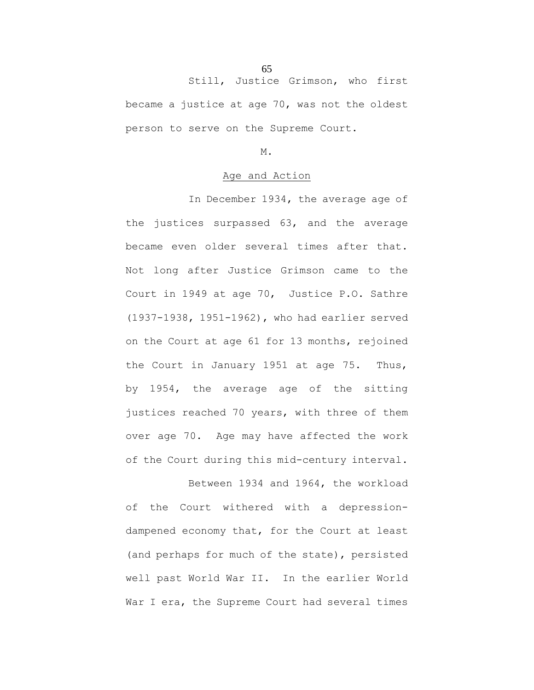Still, Justice Grimson, who first became a justice at age 70, was not the oldest person to serve on the Supreme Court.

M.

#### Age and Action

In December 1934, the average age of the justices surpassed 63, and the average became even older several times after that. Not long after Justice Grimson came to the Court in 1949 at age 70, Justice P.O. Sathre (1937-1938, 1951-1962), who had earlier served on the Court at age 61 for 13 months, rejoined the Court in January 1951 at age 75. Thus, by 1954, the average age of the sitting justices reached 70 years, with three of them over age 70. Age may have affected the work of the Court during this mid-century interval.

Between 1934 and 1964, the workload of the Court withered with a depressiondampened economy that, for the Court at least (and perhaps for much of the state), persisted well past World War II. In the earlier World War I era, the Supreme Court had several times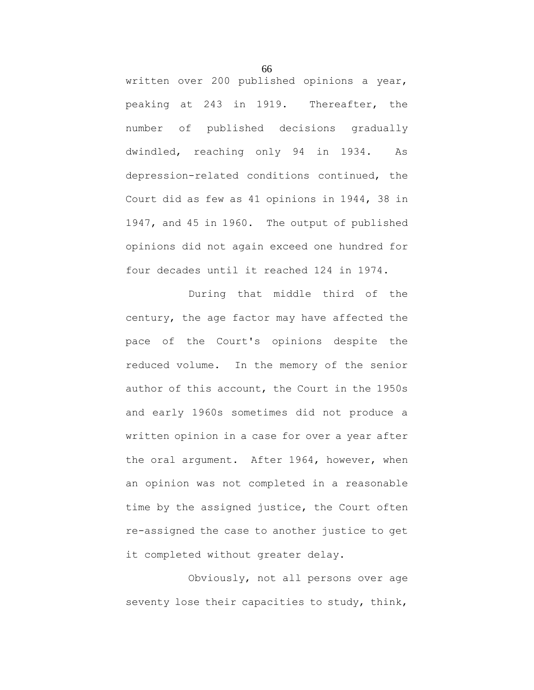written over 200 published opinions a year, peaking at 243 in 1919. Thereafter, the number of published decisions gradually dwindled, reaching only 94 in 1934. As depression-related conditions continued, the Court did as few as 41 opinions in 1944, 38 in 1947, and 45 in 1960. The output of published opinions did not again exceed one hundred for four decades until it reached 124 in 1974.

During that middle third of the century, the age factor may have affected the pace of the Court's opinions despite the reduced volume. In the memory of the senior author of this account, the Court in the 1950s and early 1960s sometimes did not produce a written opinion in a case for over a year after the oral argument. After 1964, however, when an opinion was not completed in a reasonable time by the assigned justice, the Court often re-assigned the case to another justice to get it completed without greater delay.

Obviously, not all persons over age seventy lose their capacities to study, think,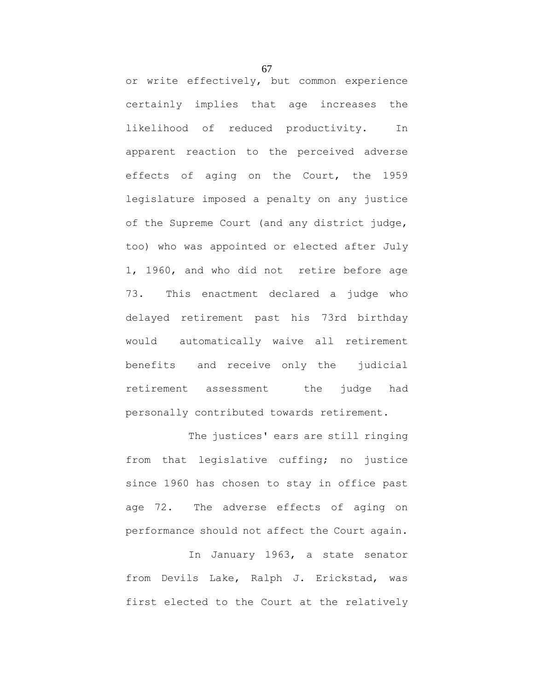or write effectively, but common experience certainly implies that age increases the likelihood of reduced productivity. In apparent reaction to the perceived adverse effects of aging on the Court, the 1959 legislature imposed a penalty on any justice of the Supreme Court (and any district judge, too) who was appointed or elected after July 1, 1960, and who did not retire before age 73. This enactment declared a judge who delayed retirement past his 73rd birthday would automatically waive all retirement benefits and receive only the judicial retirement assessment the judge had personally contributed towards retirement.

The justices' ears are still ringing from that legislative cuffing; no justice since 1960 has chosen to stay in office past age 72. The adverse effects of aging on performance should not affect the Court again.

In January 1963, a state senator from Devils Lake, Ralph J. Erickstad, was first elected to the Court at the relatively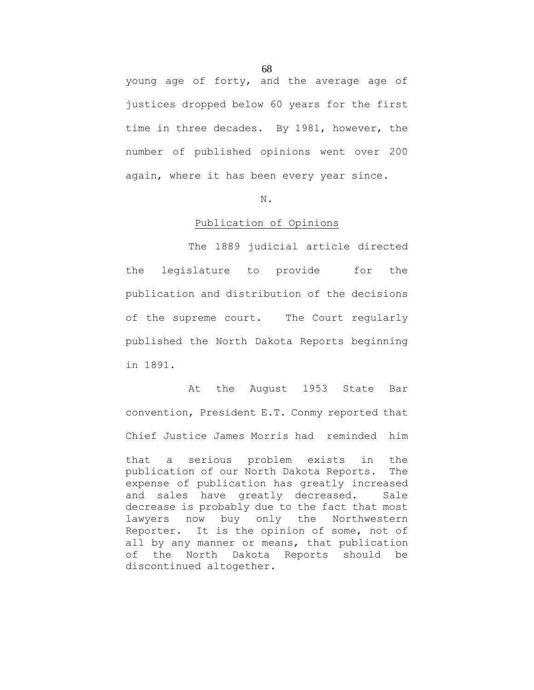young age of forty, and the average age of justices dropped below 60 years for the first time in three decades. By 1981, however, the number of published opinions went over 200 again, where it has been every year since.

#### N.

#### Publication of Opinions

The 1889 judicial article directed the legislature to provide for the publication and distribution of the decisions of the supreme court. The Court regularly published the North Dakota Reports beginning in 1891.

At the August 1953 State Bar convention, President E.T. Conmy reported that Chief Justice James Morris had reminded him that a serious problem exists in the publication of our North Dakota Reports. The expense of publication has greatly increased and sales have greatly decreased. Sale decrease is probably due to the fact that most lawyers now buy only the Northwestern Reporter. It is the opinion of some, not of all by any manner or means, that publication

of the North Dakota Reports should be

discontinued altogether.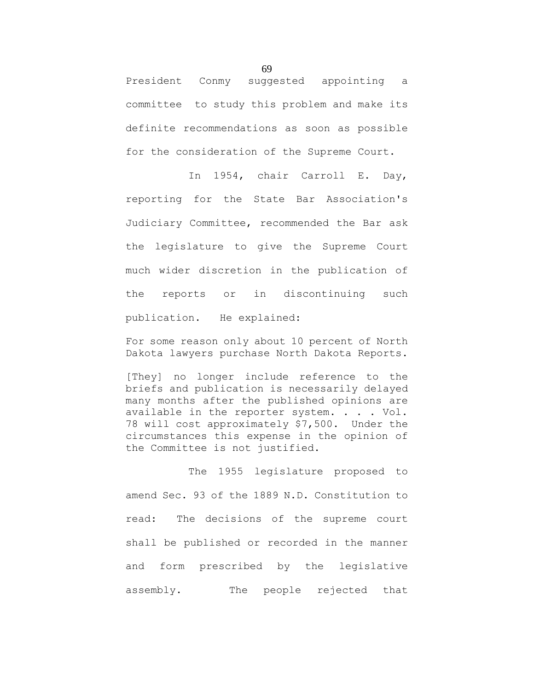President Conmy suggested appointing a committee to study this problem and make its definite recommendations as soon as possible for the consideration of the Supreme Court.

In 1954, chair Carroll E. Day, reporting for the State Bar Association's Judiciary Committee, recommended the Bar ask the legislature to give the Supreme Court much wider discretion in the publication of the reports or in discontinuing such publication. He explained:

For some reason only about 10 percent of North Dakota lawyers purchase North Dakota Reports.

[They] no longer include reference to the briefs and publication is necessarily delayed many months after the published opinions are available in the reporter system. . . . Vol. 78 will cost approximately \$7,500. Under the circumstances this expense in the opinion of the Committee is not justified.

The 1955 legislature proposed to amend Sec. 93 of the 1889 N.D. Constitution to read: The decisions of the supreme court shall be published or recorded in the manner and form prescribed by the legislative assembly. The people rejected that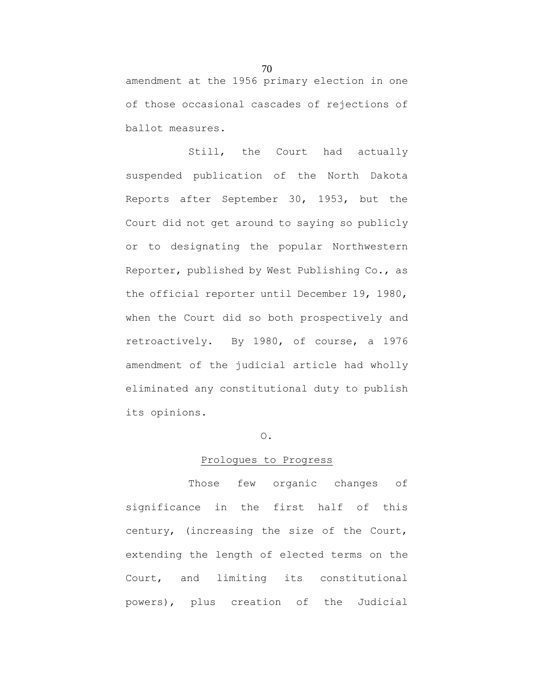amendment at the 1956 primary election in one of those occasional cascades of rejections of ballot measures.

Still, the Court had actually suspended publication of the North Dakota Reports after September 30, 1953, but the Court did not get around to saying so publicly or to designating the popular Northwestern Reporter, published by West Publishing Co., as the official reporter until December 19, 1980, when the Court did so both prospectively and retroactively. By 1980, of course, a 1976 amendment of the judicial article had wholly eliminated any constitutional duty to publish its opinions.

# O.

# Prologues to Progress

Those few organic changes of significance in the first half of this century, (increasing the size of the Court, extending the length of elected terms on the Court, and limiting its constitutional powers), plus creation of the Judicial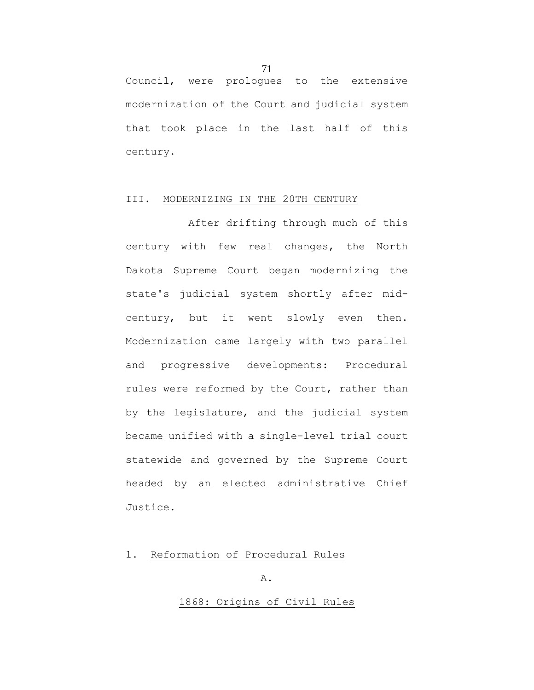Council, were prologues to the extensive modernization of the Court and judicial system that took place in the last half of this century.

### III. MODERNIZING IN THE 20TH CENTURY

After drifting through much of this century with few real changes, the North Dakota Supreme Court began modernizing the state's judicial system shortly after midcentury, but it went slowly even then. Modernization came largely with two parallel and progressive developments: Procedural rules were reformed by the Court, rather than by the legislature, and the judicial system became unified with a single-level trial court statewide and governed by the Supreme Court headed by an elected administrative Chief Justice.

1. Reformation of Procedural Rules

#### A.

# 1868: Origins of Civil Rules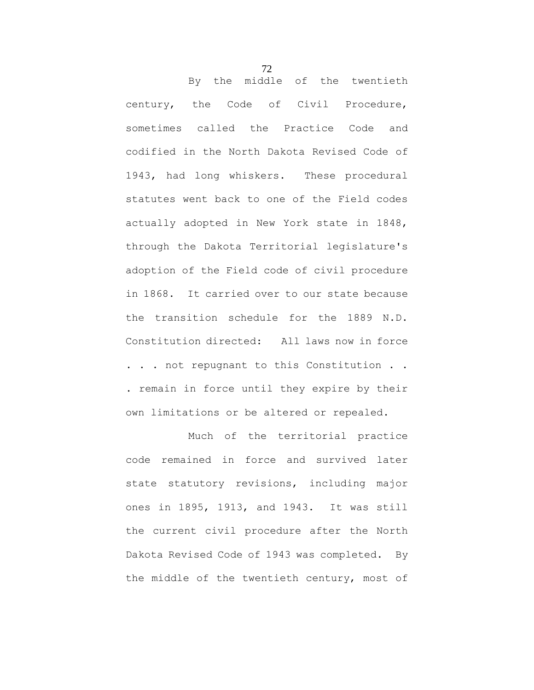By the middle of the twentieth century, the Code of Civil Procedure, sometimes called the Practice Code and codified in the North Dakota Revised Code of 1943, had long whiskers. These procedural statutes went back to one of the Field codes actually adopted in New York state in 1848, through the Dakota Territorial legislature's adoption of the Field code of civil procedure in 1868. It carried over to our state because the transition schedule for the 1889 N.D. Constitution directed: All laws now in force . . . not repugnant to this Constitution . . . remain in force until they expire by their own limitations or be altered or repealed.

Much of the territorial practice code remained in force and survived later state statutory revisions, including major ones in 1895, 1913, and 1943. It was still the current civil procedure after the North Dakota Revised Code of 1943 was completed. By the middle of the twentieth century, most of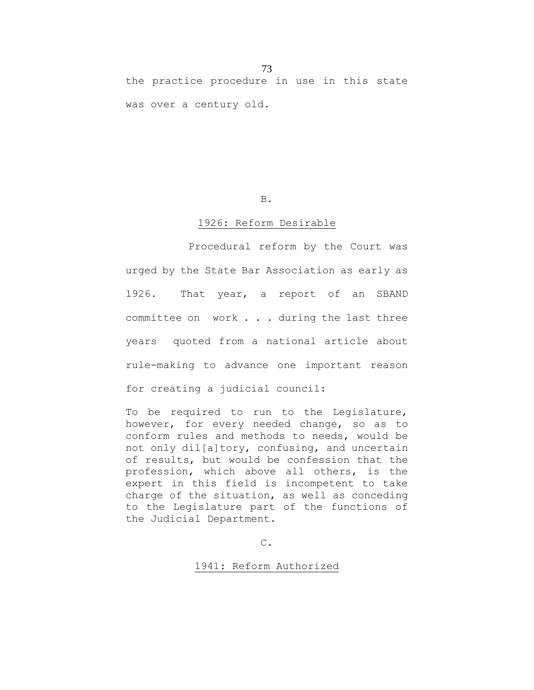73 the practice procedure in use in this state was over a century old.

#### B.

#### 1926: Reform Desirable

Procedural reform by the Court was urged by the State Bar Association as early as 1926. That year, a report of an SBAND committee on work . . . during the last three years quoted from a national article about rule-making to advance one important reason for creating a judicial council:

To be required to run to the Legislature, however, for every needed change, so as to conform rules and methods to needs, would be not only dil[a]tory, confusing, and uncertain of results, but would be confession that the profession, which above all others, is the expert in this field is incompetent to take charge of the situation, as well as conceding to the Legislature part of the functions of the Judicial Department.

C.

1941: Reform Authorized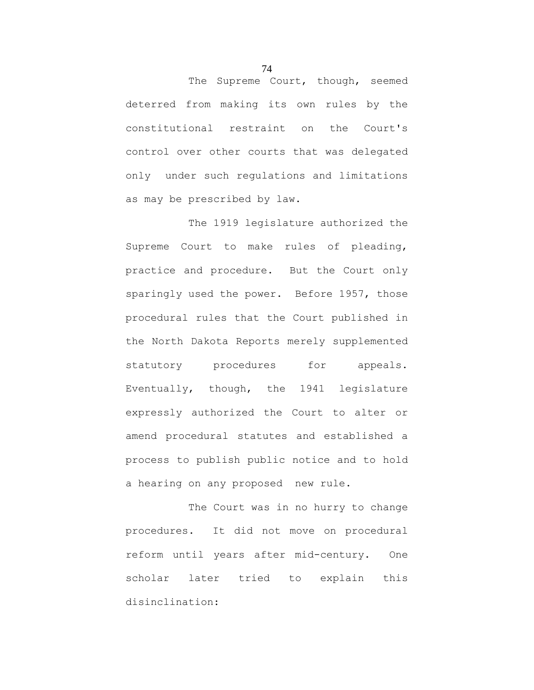The Supreme Court, though, seemed deterred from making its own rules by the constitutional restraint on the Court's control over other courts that was delegated only under such regulations and limitations as may be prescribed by law.

The 1919 legislature authorized the Supreme Court to make rules of pleading, practice and procedure. But the Court only sparingly used the power. Before 1957, those procedural rules that the Court published in the North Dakota Reports merely supplemented statutory procedures for appeals. Eventually, though, the 1941 legislature expressly authorized the Court to alter or amend procedural statutes and established a process to publish public notice and to hold a hearing on any proposed new rule.

The Court was in no hurry to change procedures. It did not move on procedural reform until years after mid-century. One scholar later tried to explain this disinclination: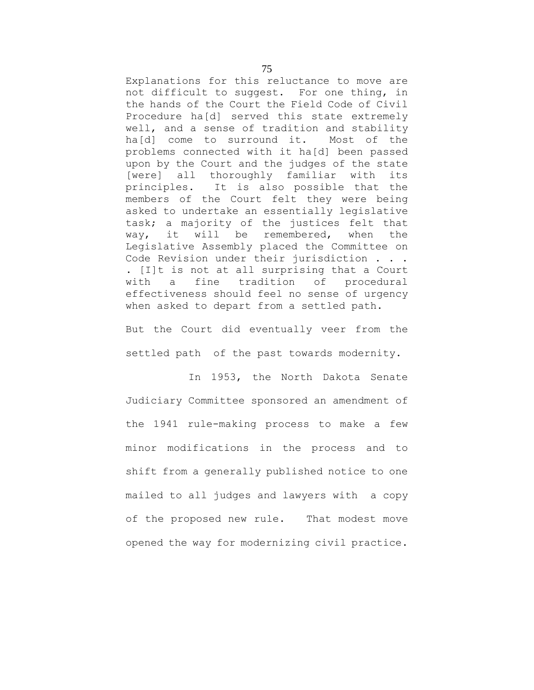Explanations for this reluctance to move are not difficult to suggest. For one thing, in the hands of the Court the Field Code of Civil Procedure ha[d] served this state extremely well, and a sense of tradition and stability ha[d] come to surround it. Most of the problems connected with it ha[d] been passed upon by the Court and the judges of the state [were] all thoroughly familiar with its principles. It is also possible that the members of the Court felt they were being asked to undertake an essentially legislative task; a majority of the justices felt that way, it will be remembered, when the Legislative Assembly placed the Committee on Code Revision under their jurisdiction . . . . [I]t is not at all surprising that a Court with a fine tradition of procedural effectiveness should feel no sense of urgency when asked to depart from a settled path.

But the Court did eventually veer from the settled path of the past towards modernity.

In 1953, the North Dakota Senate Judiciary Committee sponsored an amendment of the 1941 rule-making process to make a few minor modifications in the process and to shift from a generally published notice to one mailed to all judges and lawyers with a copy of the proposed new rule. That modest move opened the way for modernizing civil practice.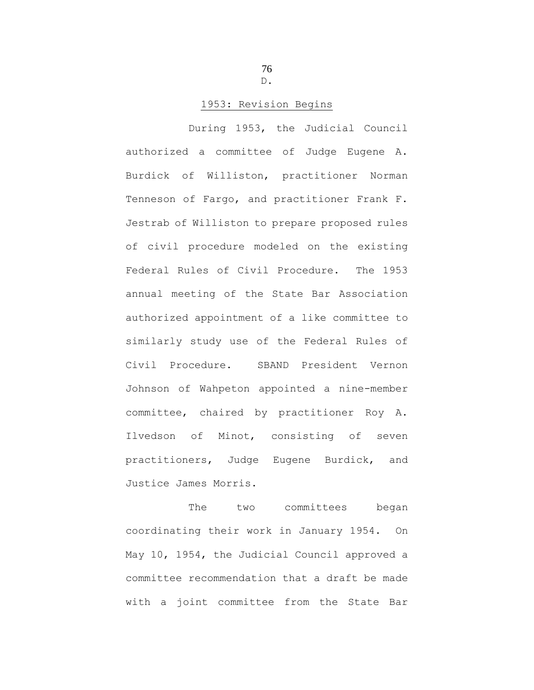76 D.

## 1953: Revision Begins

During 1953, the Judicial Council authorized a committee of Judge Eugene A. Burdick of Williston, practitioner Norman Tenneson of Fargo, and practitioner Frank F. Jestrab of Williston to prepare proposed rules of civil procedure modeled on the existing Federal Rules of Civil Procedure. The 1953 annual meeting of the State Bar Association authorized appointment of a like committee to similarly study use of the Federal Rules of Civil Procedure. SBAND President Vernon Johnson of Wahpeton appointed a nine-member committee, chaired by practitioner Roy A. Ilvedson of Minot, consisting of seven practitioners, Judge Eugene Burdick, and Justice James Morris.

The two committees began coordinating their work in January 1954. On May 10, 1954, the Judicial Council approved a committee recommendation that a draft be made with a joint committee from the State Bar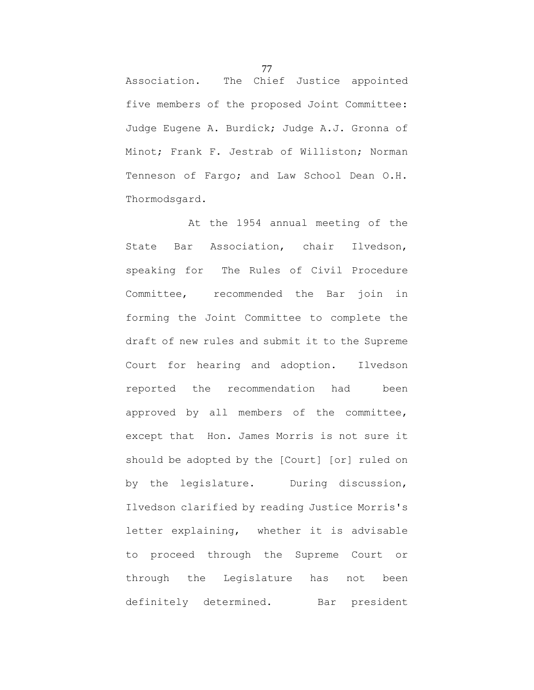Association. The Chief Justice appointed five members of the proposed Joint Committee: Judge Eugene A. Burdick; Judge A.J. Gronna of Minot; Frank F. Jestrab of Williston; Norman Tenneson of Fargo; and Law School Dean O.H. Thormodsgard.

At the 1954 annual meeting of the State Bar Association, chair Ilvedson, speaking for The Rules of Civil Procedure Committee, recommended the Bar join in forming the Joint Committee to complete the draft of new rules and submit it to the Supreme Court for hearing and adoption. Ilvedson reported the recommendation had been approved by all members of the committee, except that Hon. James Morris is not sure it should be adopted by the [Court] [or] ruled on by the legislature. During discussion, Ilvedson clarified by reading Justice Morris's letter explaining, whether it is advisable to proceed through the Supreme Court or through the Legislature has not been definitely determined. Bar president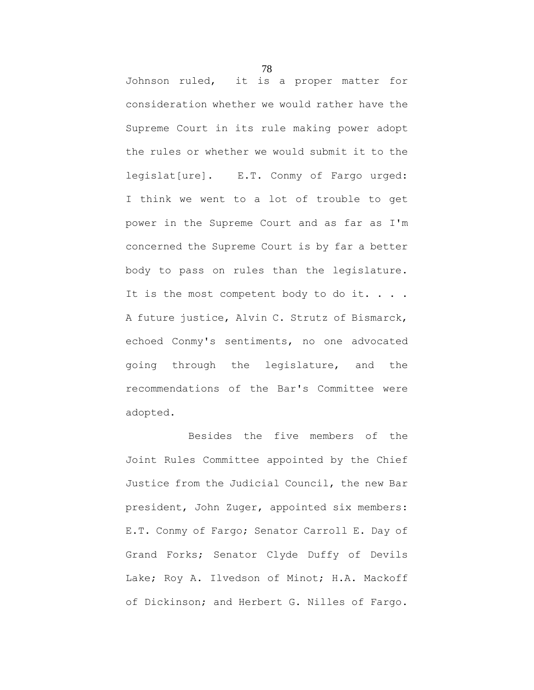Johnson ruled, it is a proper matter for consideration whether we would rather have the Supreme Court in its rule making power adopt the rules or whether we would submit it to the legislat[ure]. E.T. Conmy of Fargo urged: I think we went to a lot of trouble to get power in the Supreme Court and as far as I'm concerned the Supreme Court is by far a better body to pass on rules than the legislature. It is the most competent body to do it. . . . A future justice, Alvin C. Strutz of Bismarck, echoed Conmy's sentiments, no one advocated going through the legislature, and the recommendations of the Bar's Committee were adopted.

Besides the five members of the Joint Rules Committee appointed by the Chief Justice from the Judicial Council, the new Bar president, John Zuger, appointed six members: E.T. Conmy of Fargo; Senator Carroll E. Day of Grand Forks; Senator Clyde Duffy of Devils Lake; Roy A. Ilvedson of Minot; H.A. Mackoff of Dickinson; and Herbert G. Nilles of Fargo.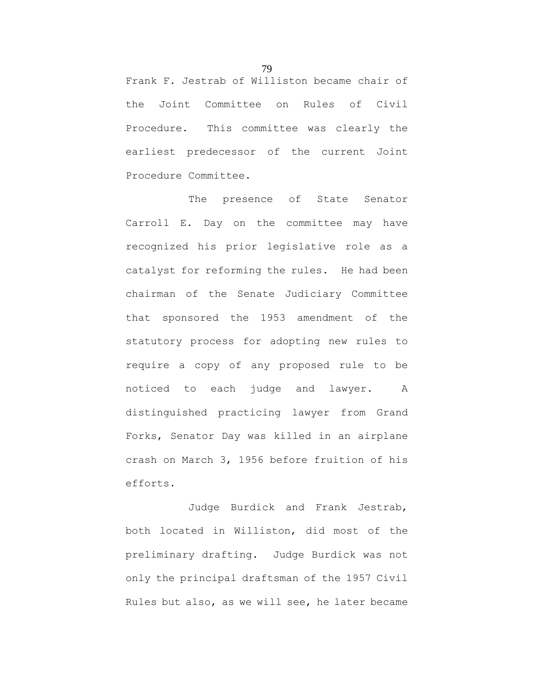Frank F. Jestrab of Williston became chair of the Joint Committee on Rules of Civil Procedure. This committee was clearly the earliest predecessor of the current Joint Procedure Committee.

The presence of State Senator Carroll E. Day on the committee may have recognized his prior legislative role as a catalyst for reforming the rules. He had been chairman of the Senate Judiciary Committee that sponsored the 1953 amendment of the statutory process for adopting new rules to require a copy of any proposed rule to be noticed to each judge and lawyer. A distinguished practicing lawyer from Grand Forks, Senator Day was killed in an airplane crash on March 3, 1956 before fruition of his efforts.

Judge Burdick and Frank Jestrab, both located in Williston, did most of the preliminary drafting. Judge Burdick was not only the principal draftsman of the 1957 Civil Rules but also, as we will see, he later became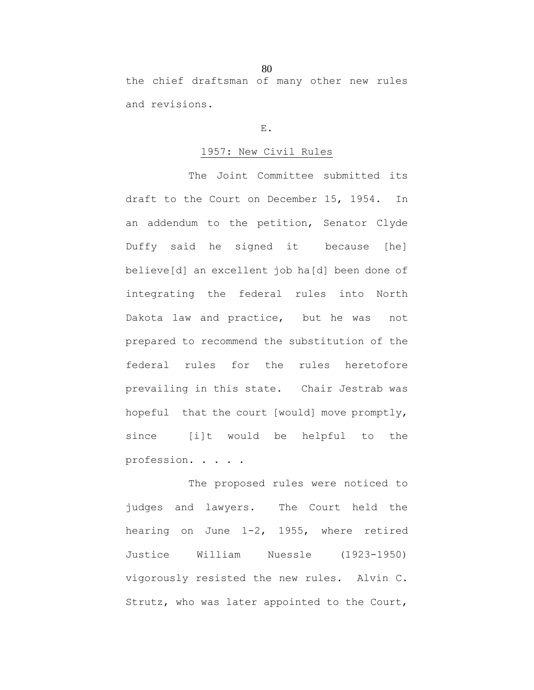the chief draftsman of many other new rules and revisions.

## E.

## 1957: New Civil Rules

The Joint Committee submitted its draft to the Court on December 15, 1954. In an addendum to the petition, Senator Clyde Duffy said he signed it because [he] believe[d] an excellent job ha[d] been done of integrating the federal rules into North Dakota law and practice, but he was not prepared to recommend the substitution of the federal rules for the rules heretofore prevailing in this state. Chair Jestrab was hopeful that the court [would] move promptly, since [i]t would be helpful to the profession. . . . .

The proposed rules were noticed to judges and lawyers. The Court held the hearing on June 1-2, 1955, where retired Justice William Nuessle (1923-1950) vigorously resisted the new rules. Alvin C. Strutz, who was later appointed to the Court,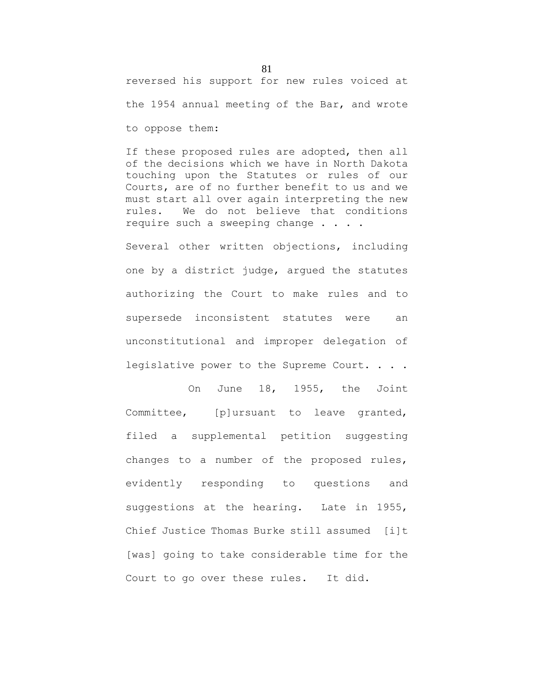reversed his support for new rules voiced at

the 1954 annual meeting of the Bar, and wrote

to oppose them:

If these proposed rules are adopted, then all of the decisions which we have in North Dakota touching upon the Statutes or rules of our Courts, are of no further benefit to us and we must start all over again interpreting the new rules. We do not believe that conditions require such a sweeping change . . . .

Several other written objections, including one by a district judge, argued the statutes authorizing the Court to make rules and to supersede inconsistent statutes were an unconstitutional and improper delegation of legislative power to the Supreme Court. . . .

On June 18, 1955, the Joint Committee, [p]ursuant to leave granted, filed a supplemental petition suggesting changes to a number of the proposed rules, evidently responding to questions and suggestions at the hearing. Late in 1955, Chief Justice Thomas Burke still assumed [i]t [was] going to take considerable time for the Court to go over these rules. It did.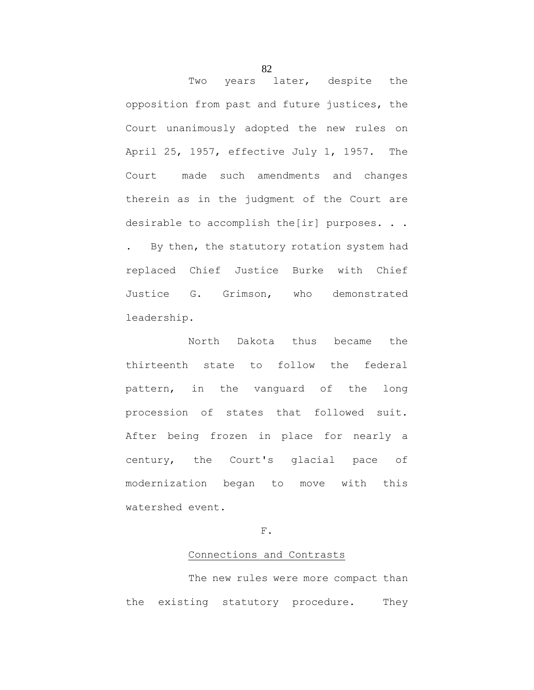Two years later, despite the opposition from past and future justices, the Court unanimously adopted the new rules on April 25, 1957, effective July 1, 1957. The Court made such amendments and changes therein as in the judgment of the Court are desirable to accomplish the[ir] purposes. . . . By then, the statutory rotation system had replaced Chief Justice Burke with Chief Justice G. Grimson, who demonstrated leadership.

North Dakota thus became the thirteenth state to follow the federal pattern, in the vanguard of the long procession of states that followed suit. After being frozen in place for nearly a century, the Court's glacial pace of modernization began to move with this watershed event.

F.

#### Connections and Contrasts

The new rules were more compact than the existing statutory procedure. They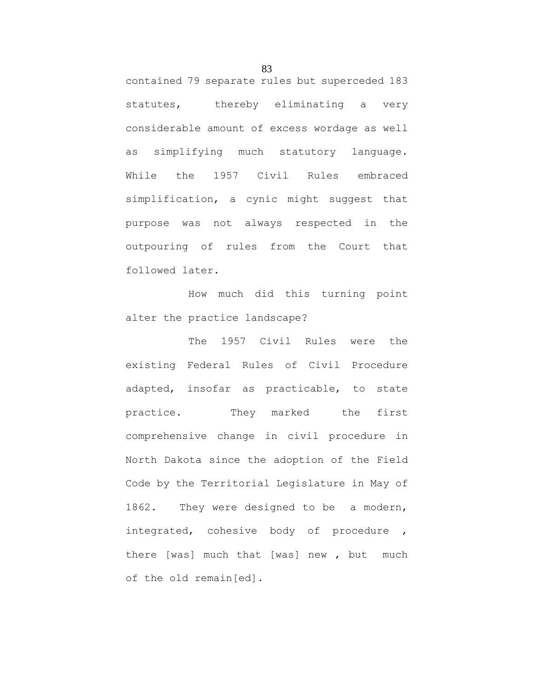contained 79 separate rules but superceded 183 statutes, thereby eliminating a very considerable amount of excess wordage as well as simplifying much statutory language. While the 1957 Civil Rules embraced simplification, a cynic might suggest that purpose was not always respected in the outpouring of rules from the Court that followed later.

How much did this turning point alter the practice landscape?

The 1957 Civil Rules were the existing Federal Rules of Civil Procedure adapted, insofar as practicable, to state practice. They marked the first comprehensive change in civil procedure in North Dakota since the adoption of the Field Code by the Territorial Legislature in May of 1862. They were designed to be a modern, integrated, cohesive body of procedure , there [was] much that [was] new , but much of the old remain[ed].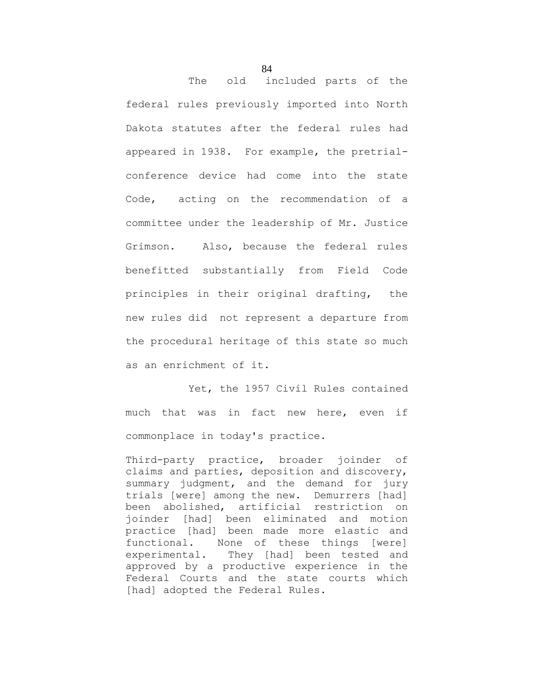The old included parts of the federal rules previously imported into North Dakota statutes after the federal rules had appeared in 1938. For example, the pretrialconference device had come into the state Code, acting on the recommendation of a committee under the leadership of Mr. Justice Grimson. Also, because the federal rules benefitted substantially from Field Code principles in their original drafting, the new rules did not represent a departure from the procedural heritage of this state so much as an enrichment of it.

Yet, the 1957 Civil Rules contained much that was in fact new here, even if commonplace in today's practice.

Third-party practice, broader joinder of claims and parties, deposition and discovery, summary judgment, and the demand for jury trials [were] among the new. Demurrers [had] been abolished, artificial restriction on joinder [had] been eliminated and motion practice [had] been made more elastic and functional. None of these things [were] experimental. They [had] been tested and approved by a productive experience in the Federal Courts and the state courts which [had] adopted the Federal Rules.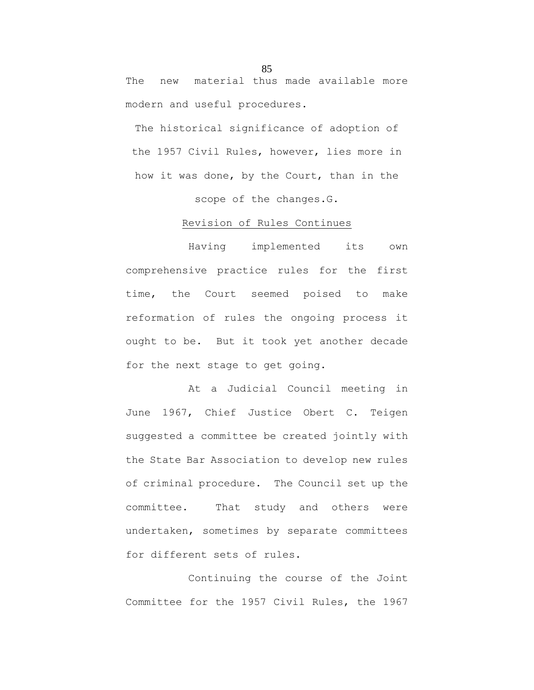The new material thus made available more modern and useful procedures.

The historical significance of adoption of the 1957 Civil Rules, however, lies more in how it was done, by the Court, than in the

scope of the changes.G.

## Revision of Rules Continues

Having implemented its own comprehensive practice rules for the first time, the Court seemed poised to make reformation of rules the ongoing process it ought to be. But it took yet another decade for the next stage to get going.

At a Judicial Council meeting in June 1967, Chief Justice Obert C. Teigen suggested a committee be created jointly with the State Bar Association to develop new rules of criminal procedure. The Council set up the committee. That study and others were undertaken, sometimes by separate committees for different sets of rules.

Continuing the course of the Joint Committee for the 1957 Civil Rules, the 1967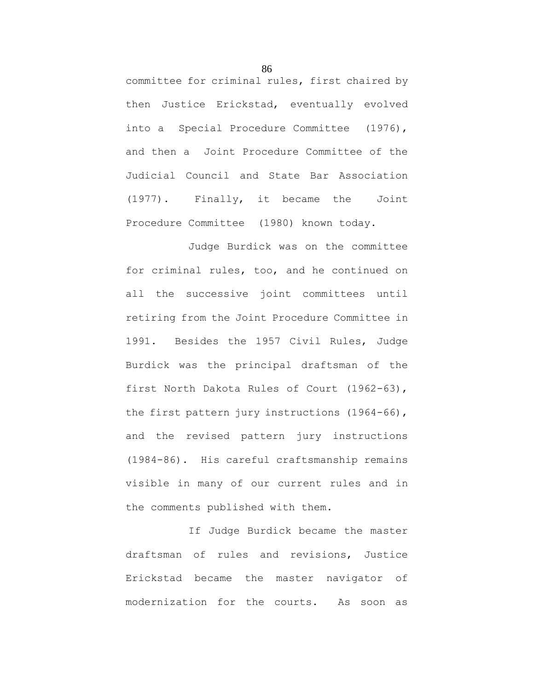committee for criminal rules, first chaired by then Justice Erickstad, eventually evolved into a Special Procedure Committee (1976), and then a Joint Procedure Committee of the Judicial Council and State Bar Association (1977). Finally, it became the Joint Procedure Committee (1980) known today.

Judge Burdick was on the committee for criminal rules, too, and he continued on all the successive joint committees until retiring from the Joint Procedure Committee in 1991. Besides the 1957 Civil Rules, Judge Burdick was the principal draftsman of the first North Dakota Rules of Court (1962-63), the first pattern jury instructions (1964-66), and the revised pattern jury instructions (1984-86). His careful craftsmanship remains visible in many of our current rules and in the comments published with them.

If Judge Burdick became the master draftsman of rules and revisions, Justice Erickstad became the master navigator of modernization for the courts. As soon as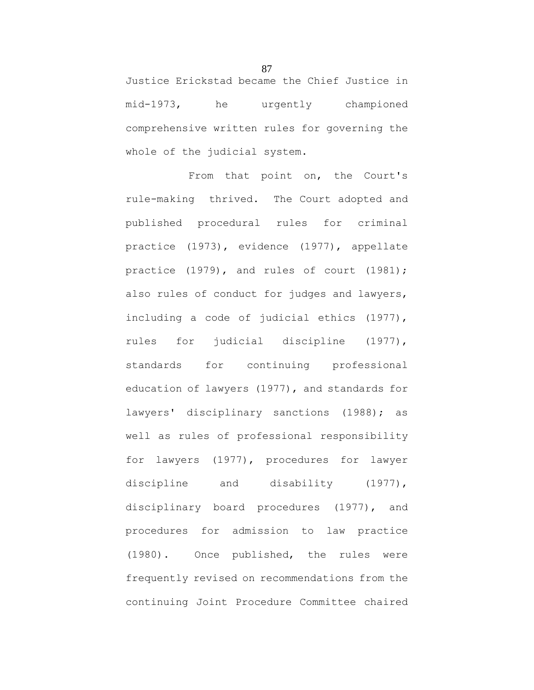Justice Erickstad became the Chief Justice in mid-1973, he urgently championed comprehensive written rules for governing the whole of the judicial system.

From that point on, the Court's rule-making thrived. The Court adopted and published procedural rules for criminal practice (1973), evidence (1977), appellate practice (1979), and rules of court (1981); also rules of conduct for judges and lawyers, including a code of judicial ethics (1977), rules for judicial discipline (1977), standards for continuing professional education of lawyers (1977), and standards for lawyers' disciplinary sanctions (1988); as well as rules of professional responsibility for lawyers (1977), procedures for lawyer discipline and disability (1977), disciplinary board procedures (1977), and procedures for admission to law practice (1980). Once published, the rules were frequently revised on recommendations from the continuing Joint Procedure Committee chaired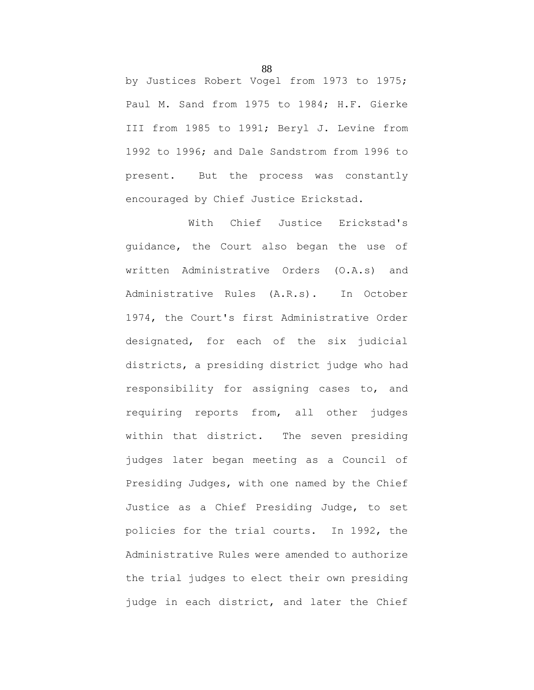by Justices Robert Vogel from 1973 to 1975; Paul M. Sand from 1975 to 1984; H.F. Gierke III from 1985 to 1991; Beryl J. Levine from 1992 to 1996; and Dale Sandstrom from 1996 to present. But the process was constantly encouraged by Chief Justice Erickstad.

With Chief Justice Erickstad's guidance, the Court also began the use of written Administrative Orders (O.A.s) and Administrative Rules (A.R.s). In October 1974, the Court's first Administrative Order designated, for each of the six judicial districts, a presiding district judge who had responsibility for assigning cases to, and requiring reports from, all other judges within that district. The seven presiding judges later began meeting as a Council of Presiding Judges, with one named by the Chief Justice as a Chief Presiding Judge, to set policies for the trial courts. In 1992, the Administrative Rules were amended to authorize the trial judges to elect their own presiding judge in each district, and later the Chief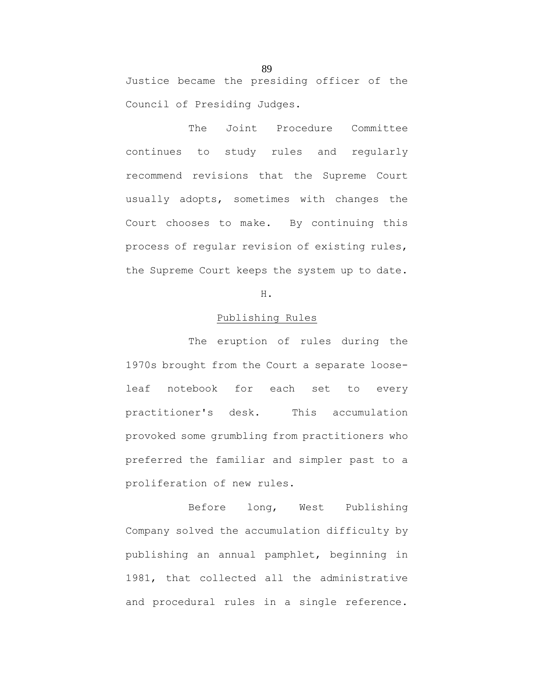Justice became the presiding officer of the Council of Presiding Judges.

The Joint Procedure Committee continues to study rules and regularly recommend revisions that the Supreme Court usually adopts, sometimes with changes the Court chooses to make. By continuing this process of regular revision of existing rules, the Supreme Court keeps the system up to date.

# H.

## Publishing Rules

The eruption of rules during the 1970s brought from the Court a separate looseleaf notebook for each set to every practitioner's desk. This accumulation provoked some grumbling from practitioners who preferred the familiar and simpler past to a proliferation of new rules.

Before long, West Publishing Company solved the accumulation difficulty by publishing an annual pamphlet, beginning in 1981, that collected all the administrative and procedural rules in a single reference.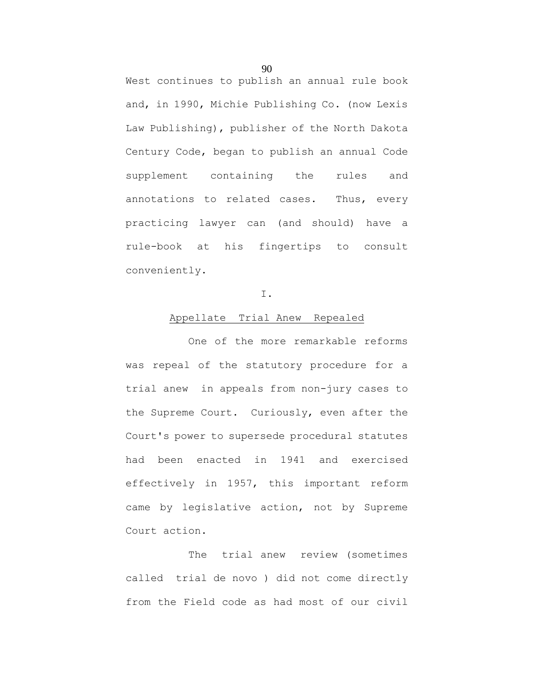West continues to publish an annual rule book and, in 1990, Michie Publishing Co. (now Lexis Law Publishing), publisher of the North Dakota Century Code, began to publish an annual Code supplement containing the rules and annotations to related cases. Thus, every practicing lawyer can (and should) have a rule-book at his fingertips to consult conveniently.

## I.

#### Appellate Trial Anew Repealed

One of the more remarkable reforms was repeal of the statutory procedure for a trial anew in appeals from non-jury cases to the Supreme Court. Curiously, even after the Court's power to supersede procedural statutes had been enacted in 1941 and exercised effectively in 1957, this important reform came by legislative action, not by Supreme Court action.

The trial anew review (sometimes called trial de novo ) did not come directly from the Field code as had most of our civil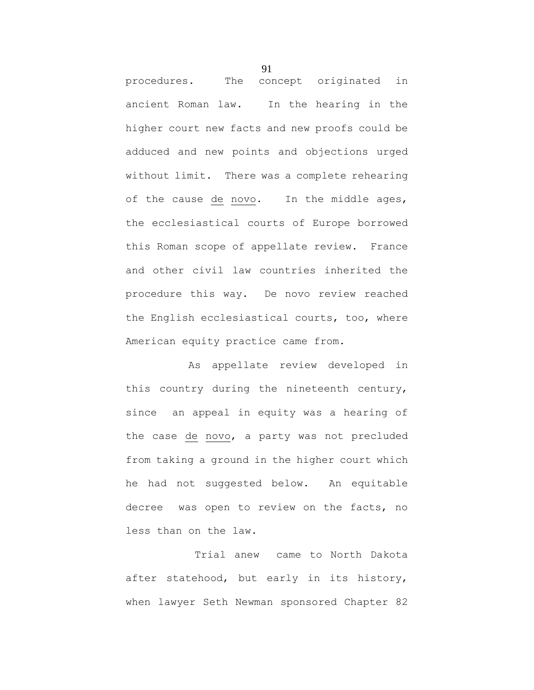procedures. The concept originated in ancient Roman law. In the hearing in the higher court new facts and new proofs could be adduced and new points and objections urged without limit. There was a complete rehearing of the cause de novo. In the middle ages, the ecclesiastical courts of Europe borrowed this Roman scope of appellate review. France and other civil law countries inherited the procedure this way. De novo review reached the English ecclesiastical courts, too, where American equity practice came from.

As appellate review developed in this country during the nineteenth century, since an appeal in equity was a hearing of the case de novo, a party was not precluded from taking a ground in the higher court which he had not suggested below. An equitable decree was open to review on the facts, no less than on the law.

Trial anew came to North Dakota after statehood, but early in its history, when lawyer Seth Newman sponsored Chapter 82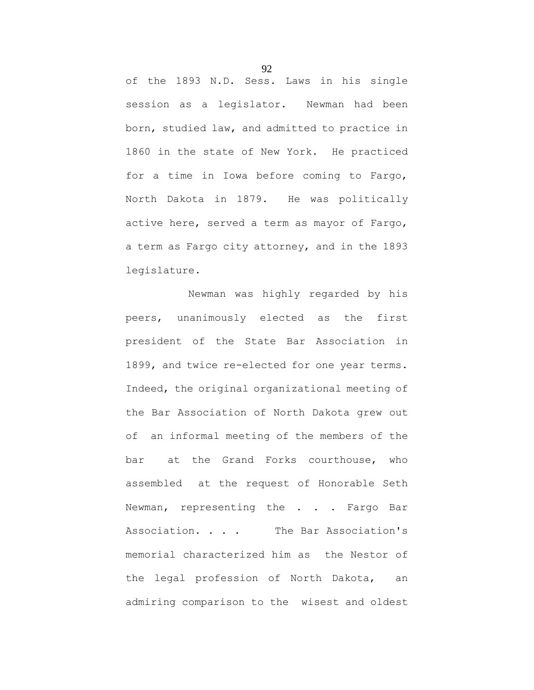of the 1893 N.D. Sess. Laws in his single session as a legislator. Newman had been born, studied law, and admitted to practice in 1860 in the state of New York. He practiced for a time in Iowa before coming to Fargo, North Dakota in 1879. He was politically active here, served a term as mayor of Fargo, a term as Fargo city attorney, and in the 1893 legislature.

Newman was highly regarded by his peers, unanimously elected as the first president of the State Bar Association in 1899, and twice re-elected for one year terms. Indeed, the original organizational meeting of the Bar Association of North Dakota grew out of an informal meeting of the members of the bar at the Grand Forks courthouse, who assembled at the request of Honorable Seth Newman, representing the . . . Fargo Bar Association. . . . The Bar Association's memorial characterized him as the Nestor of the legal profession of North Dakota, an admiring comparison to the wisest and oldest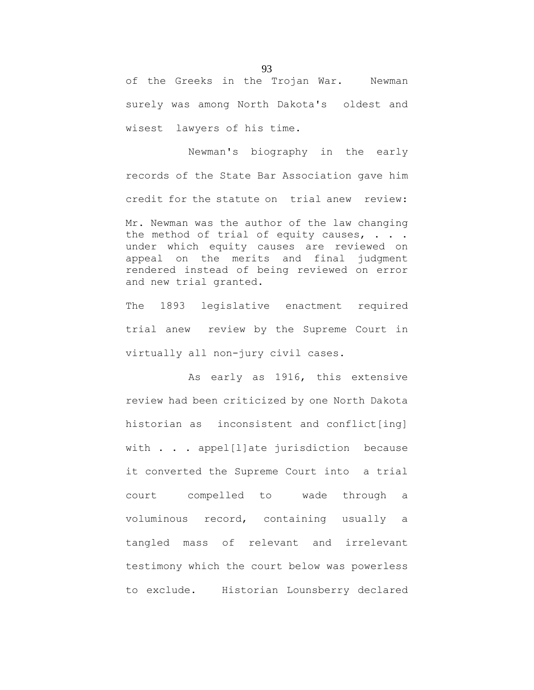of the Greeks in the Trojan War. Newman surely was among North Dakota's oldest and wisest lawyers of his time.

Newman's biography in the early records of the State Bar Association gave him credit for the statute on trial anew review: Mr. Newman was the author of the law changing the method of trial of equity causes,  $\ldots$ . under which equity causes are reviewed on appeal on the merits and final judgment rendered instead of being reviewed on error and new trial granted.

The 1893 legislative enactment required trial anew review by the Supreme Court in virtually all non-jury civil cases.

As early as 1916, this extensive review had been criticized by one North Dakota historian as inconsistent and conflict[ing] with . . . appel[l]ate jurisdiction because it converted the Supreme Court into a trial court compelled to wade through a voluminous record, containing usually a tangled mass of relevant and irrelevant testimony which the court below was powerless to exclude. Historian Lounsberry declared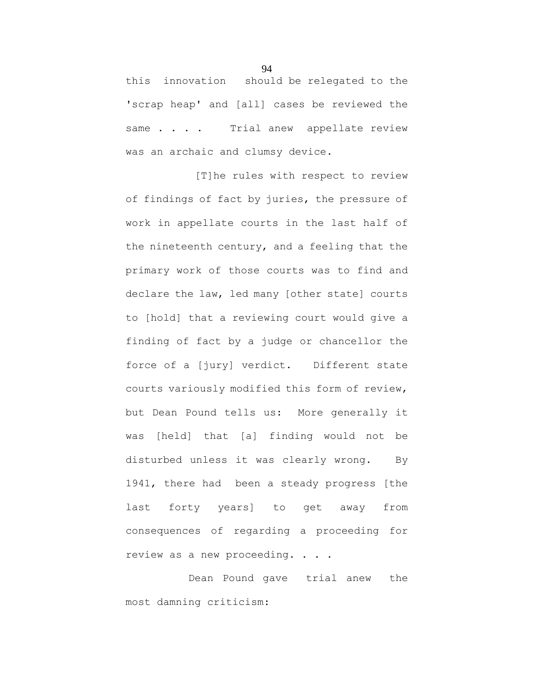this innovation should be relegated to the 'scrap heap' and [all] cases be reviewed the same . . . . Trial anew appellate review was an archaic and clumsy device.

[T]he rules with respect to review of findings of fact by juries, the pressure of work in appellate courts in the last half of the nineteenth century, and a feeling that the primary work of those courts was to find and declare the law, led many [other state] courts to [hold] that a reviewing court would give a finding of fact by a judge or chancellor the force of a [jury] verdict. Different state courts variously modified this form of review, but Dean Pound tells us: More generally it was [held] that [a] finding would not be disturbed unless it was clearly wrong. By 1941, there had been a steady progress [the last forty years] to get away from consequences of regarding a proceeding for review as a new proceeding. . . .

Dean Pound gave trial anew the most damning criticism: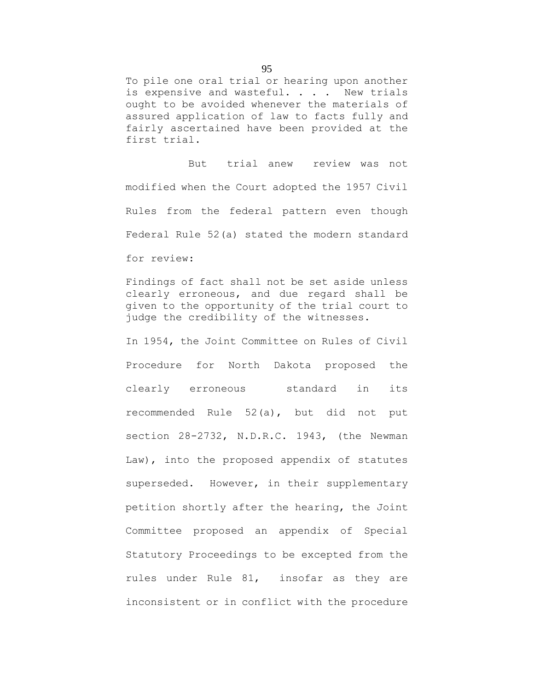To pile one oral trial or hearing upon another is expensive and wasteful. . . . New trials ought to be avoided whenever the materials of assured application of law to facts fully and fairly ascertained have been provided at the first trial.

But trial anew review was not modified when the Court adopted the 1957 Civil Rules from the federal pattern even though Federal Rule 52(a) stated the modern standard for review:

Findings of fact shall not be set aside unless clearly erroneous, and due regard shall be given to the opportunity of the trial court to judge the credibility of the witnesses.

In 1954, the Joint Committee on Rules of Civil Procedure for North Dakota proposed the clearly erroneous standard in its recommended Rule 52(a), but did not put section 28-2732, N.D.R.C. 1943, (the Newman Law), into the proposed appendix of statutes superseded. However, in their supplementary petition shortly after the hearing, the Joint Committee proposed an appendix of Special Statutory Proceedings to be excepted from the rules under Rule 81, insofar as they are inconsistent or in conflict with the procedure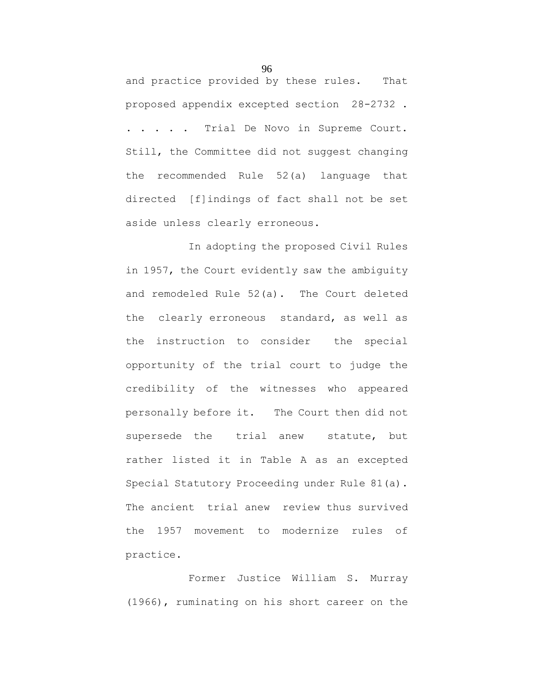and practice provided by these rules. That proposed appendix excepted section 28-2732 . . . . . . Trial De Novo in Supreme Court. Still, the Committee did not suggest changing the recommended Rule 52(a) language that directed [f]indings of fact shall not be set aside unless clearly erroneous.

In adopting the proposed Civil Rules in 1957, the Court evidently saw the ambiguity and remodeled Rule 52(a). The Court deleted the clearly erroneous standard, as well as the instruction to consider the special opportunity of the trial court to judge the credibility of the witnesses who appeared personally before it. The Court then did not supersede the trial anew statute, but rather listed it in Table A as an excepted Special Statutory Proceeding under Rule 81(a). The ancient trial anew review thus survived the 1957 movement to modernize rules of practice.

Former Justice William S. Murray (1966), ruminating on his short career on the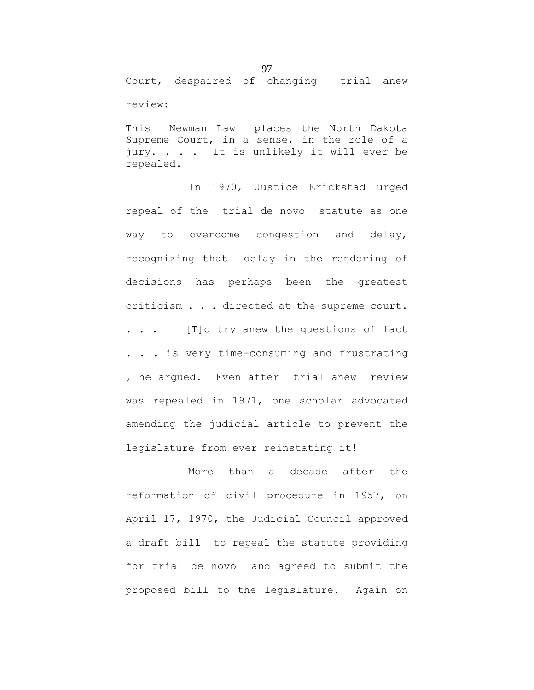Court, despaired of changing trial anew review:

This Newman Law places the North Dakota Supreme Court, in a sense, in the role of a jury. . . . It is unlikely it will ever be repealed.

In 1970, Justice Erickstad urged repeal of the trial de novo statute as one way to overcome congestion and delay, recognizing that delay in the rendering of decisions has perhaps been the greatest criticism . . . directed at the supreme court. . . . [T]o try anew the questions of fact . . . is very time-consuming and frustrating , he argued. Even after trial anew review was repealed in 1971, one scholar advocated amending the judicial article to prevent the legislature from ever reinstating it!

More than a decade after the reformation of civil procedure in 1957, on April 17, 1970, the Judicial Council approved a draft bill to repeal the statute providing for trial de novo and agreed to submit the proposed bill to the legislature. Again on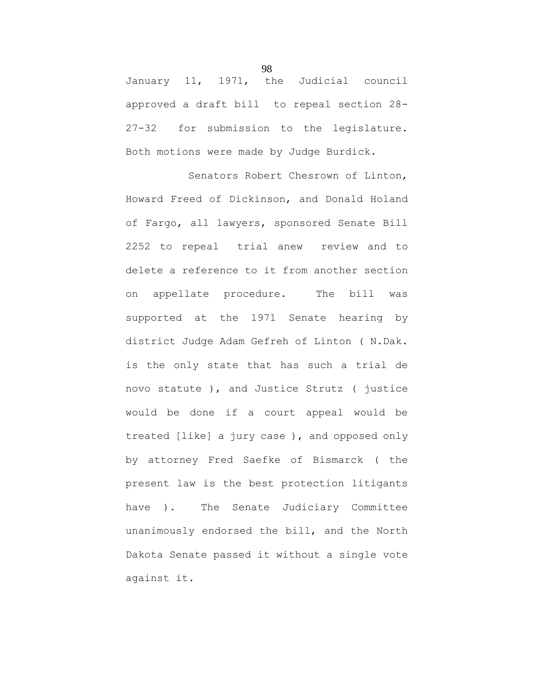January 11, 1971, the Judicial council approved a draft bill to repeal section 28- 27-32 for submission to the legislature. Both motions were made by Judge Burdick.

Senators Robert Chesrown of Linton, Howard Freed of Dickinson, and Donald Holand of Fargo, all lawyers, sponsored Senate Bill 2252 to repeal trial anew review and to delete a reference to it from another section on appellate procedure. The bill was supported at the 1971 Senate hearing by district Judge Adam Gefreh of Linton ( N.Dak. is the only state that has such a trial de novo statute ), and Justice Strutz ( justice would be done if a court appeal would be treated [like] a jury case ), and opposed only by attorney Fred Saefke of Bismarck ( the present law is the best protection litigants have ). The Senate Judiciary Committee unanimously endorsed the bill, and the North Dakota Senate passed it without a single vote against it.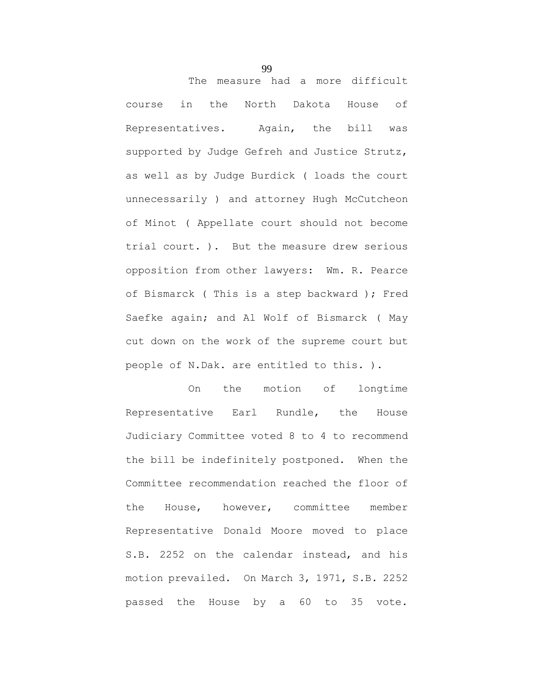The measure had a more difficult course in the North Dakota House of Representatives. Again, the bill was supported by Judge Gefreh and Justice Strutz, as well as by Judge Burdick ( loads the court unnecessarily ) and attorney Hugh McCutcheon of Minot ( Appellate court should not become trial court. ). But the measure drew serious opposition from other lawyers: Wm. R. Pearce of Bismarck ( This is a step backward ); Fred Saefke again; and Al Wolf of Bismarck ( May cut down on the work of the supreme court but people of N.Dak. are entitled to this. ).

On the motion of longtime Representative Earl Rundle, the House Judiciary Committee voted 8 to 4 to recommend the bill be indefinitely postponed. When the Committee recommendation reached the floor of the House, however, committee member Representative Donald Moore moved to place S.B. 2252 on the calendar instead, and his motion prevailed. On March 3, 1971, S.B. 2252 passed the House by a 60 to 35 vote.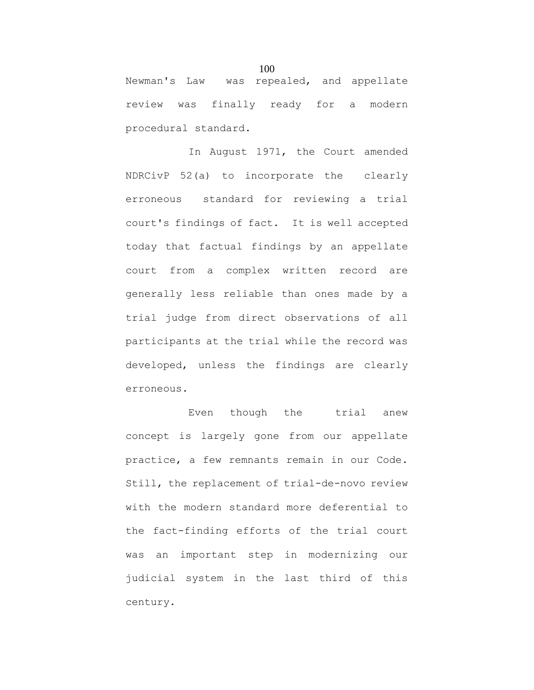Newman's Law was repealed, and appellate review was finally ready for a modern procedural standard.

In August 1971, the Court amended NDRCivP 52(a) to incorporate the clearly erroneous standard for reviewing a trial court's findings of fact. It is well accepted today that factual findings by an appellate court from a complex written record are generally less reliable than ones made by a trial judge from direct observations of all participants at the trial while the record was developed, unless the findings are clearly erroneous.

Even though the trial anew concept is largely gone from our appellate practice, a few remnants remain in our Code. Still, the replacement of trial-de-novo review with the modern standard more deferential to the fact-finding efforts of the trial court was an important step in modernizing our judicial system in the last third of this century.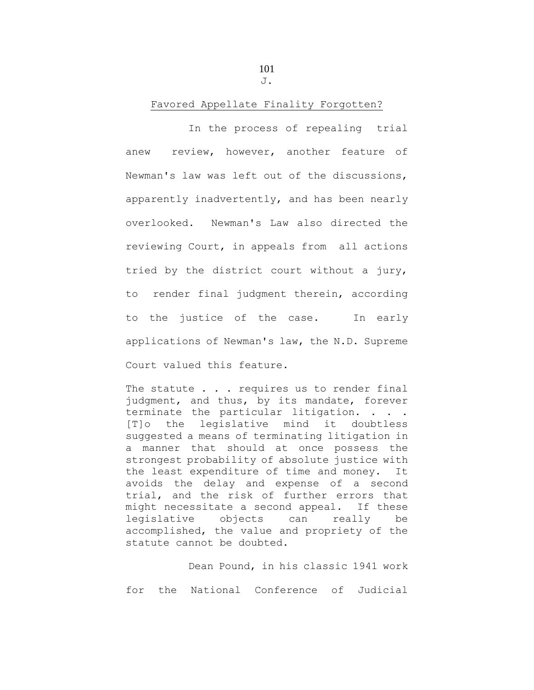101 J.

## Favored Appellate Finality Forgotten?

In the process of repealing trial anew review, however, another feature of Newman's law was left out of the discussions, apparently inadvertently, and has been nearly overlooked. Newman's Law also directed the reviewing Court, in appeals from all actions tried by the district court without a jury, to render final judgment therein, according to the justice of the case. In early applications of Newman's law, the N.D. Supreme Court valued this feature.

The statute . . . requires us to render final judgment, and thus, by its mandate, forever terminate the particular litigation. . . . [T]o the legislative mind it doubtless suggested a means of terminating litigation in a manner that should at once possess the strongest probability of absolute justice with the least expenditure of time and money. It avoids the delay and expense of a second trial, and the risk of further errors that might necessitate a second appeal. If these legislative objects can really be accomplished, the value and propriety of the statute cannot be doubted.

Dean Pound, in his classic 1941 work for the National Conference of Judicial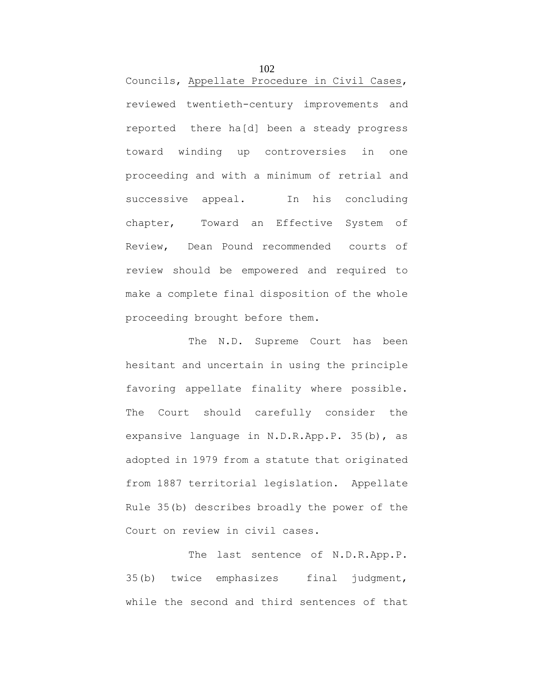Councils, Appellate Procedure in Civil Cases, reviewed twentieth-century improvements and reported there ha[d] been a steady progress toward winding up controversies in one proceeding and with a minimum of retrial and successive appeal. In his concluding chapter, Toward an Effective System of Review, Dean Pound recommended courts of review should be empowered and required to make a complete final disposition of the whole proceeding brought before them.

The N.D. Supreme Court has been hesitant and uncertain in using the principle favoring appellate finality where possible. The Court should carefully consider the expansive language in N.D.R.App.P. 35(b), as adopted in 1979 from a statute that originated from 1887 territorial legislation. Appellate Rule 35(b) describes broadly the power of the Court on review in civil cases.

The last sentence of N.D.R.App.P. 35(b) twice emphasizes final judgment, while the second and third sentences of that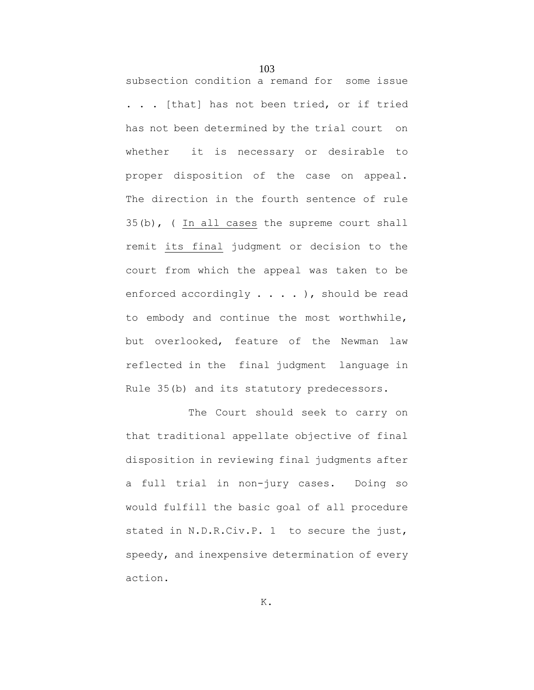subsection condition a remand for some issue . . . [that] has not been tried, or if tried has not been determined by the trial court on whether it is necessary or desirable to proper disposition of the case on appeal. The direction in the fourth sentence of rule 35(b), ( In all cases the supreme court shall remit its final judgment or decision to the court from which the appeal was taken to be enforced accordingly . . . . ), should be read to embody and continue the most worthwhile, but overlooked, feature of the Newman law reflected in the final judgment language in Rule 35(b) and its statutory predecessors.

The Court should seek to carry on that traditional appellate objective of final disposition in reviewing final judgments after a full trial in non-jury cases. Doing so would fulfill the basic goal of all procedure stated in N.D.R.Civ.P. 1 to secure the just, speedy, and inexpensive determination of every action.

103

K.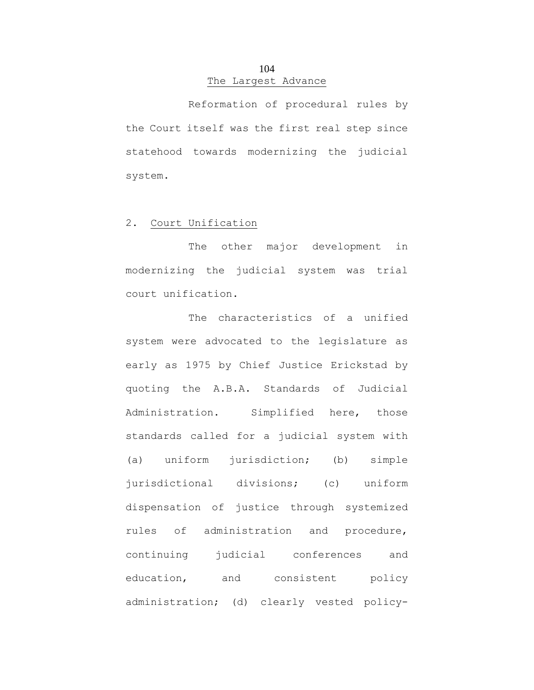# 104 The Largest Advance

Reformation of procedural rules by the Court itself was the first real step since statehood towards modernizing the judicial system.

## 2. Court Unification

The other major development in modernizing the judicial system was trial court unification.

The characteristics of a unified system were advocated to the legislature as early as 1975 by Chief Justice Erickstad by quoting the A.B.A. Standards of Judicial Administration. Simplified here, those standards called for a judicial system with (a) uniform jurisdiction; (b) simple jurisdictional divisions; (c) uniform dispensation of justice through systemized rules of administration and procedure, continuing judicial conferences and education, and consistent policy administration; (d) clearly vested policy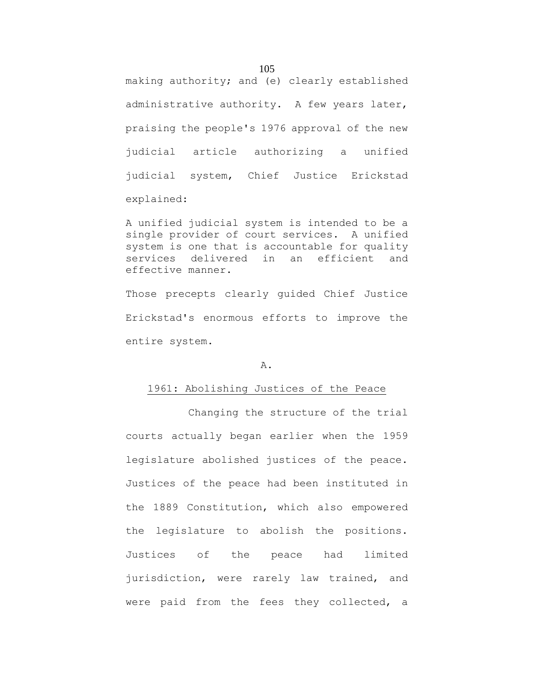making authority; and (e) clearly established administrative authority. A few years later, praising the people's 1976 approval of the new judicial article authorizing a unified judicial system, Chief Justice Erickstad explained:

A unified judicial system is intended to be a single provider of court services. A unified system is one that is accountable for quality services delivered in an efficient and effective manner.

Those precepts clearly guided Chief Justice Erickstad's enormous efforts to improve the entire system.

#### A.

#### 1961: Abolishing Justices of the Peace

Changing the structure of the trial courts actually began earlier when the 1959 legislature abolished justices of the peace. Justices of the peace had been instituted in the 1889 Constitution, which also empowered the legislature to abolish the positions. Justices of the peace had limited jurisdiction, were rarely law trained, and were paid from the fees they collected, a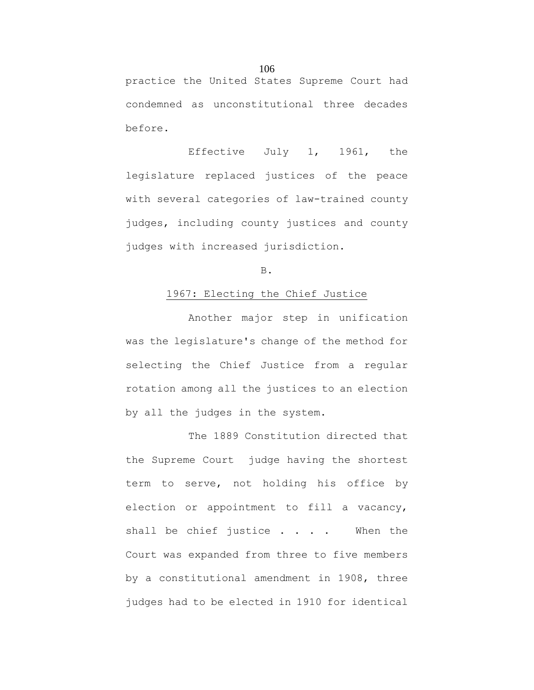practice the United States Supreme Court had condemned as unconstitutional three decades before.

Effective July 1, 1961, the legislature replaced justices of the peace with several categories of law-trained county judges, including county justices and county judges with increased jurisdiction.

B.

## 1967: Electing the Chief Justice

Another major step in unification was the legislature's change of the method for selecting the Chief Justice from a regular rotation among all the justices to an election by all the judges in the system.

The 1889 Constitution directed that the Supreme Court judge having the shortest term to serve, not holding his office by election or appointment to fill a vacancy, shall be chief justice . . . . When the Court was expanded from three to five members by a constitutional amendment in 1908, three judges had to be elected in 1910 for identical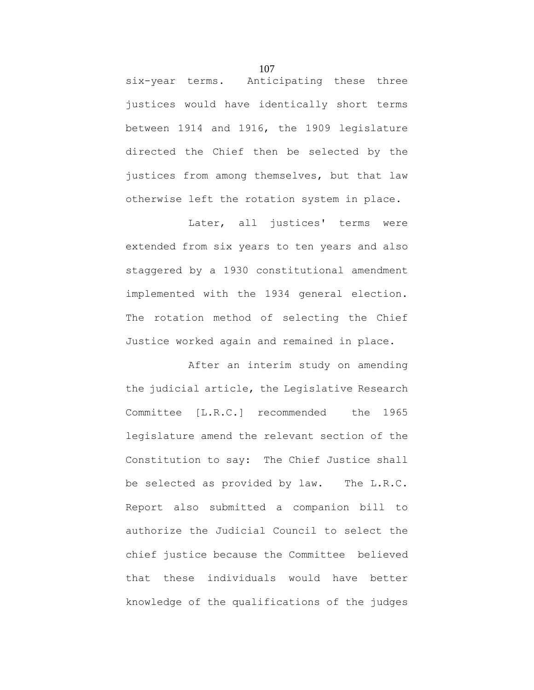six-year terms. Anticipating these three justices would have identically short terms between 1914 and 1916, the 1909 legislature directed the Chief then be selected by the justices from among themselves, but that law otherwise left the rotation system in place.

Later, all justices' terms were extended from six years to ten years and also staggered by a 1930 constitutional amendment implemented with the 1934 general election. The rotation method of selecting the Chief Justice worked again and remained in place.

After an interim study on amending the judicial article, the Legislative Research Committee [L.R.C.] recommended the 1965 legislature amend the relevant section of the Constitution to say: The Chief Justice shall be selected as provided by law. The L.R.C. Report also submitted a companion bill to authorize the Judicial Council to select the chief justice because the Committee believed that these individuals would have better knowledge of the qualifications of the judges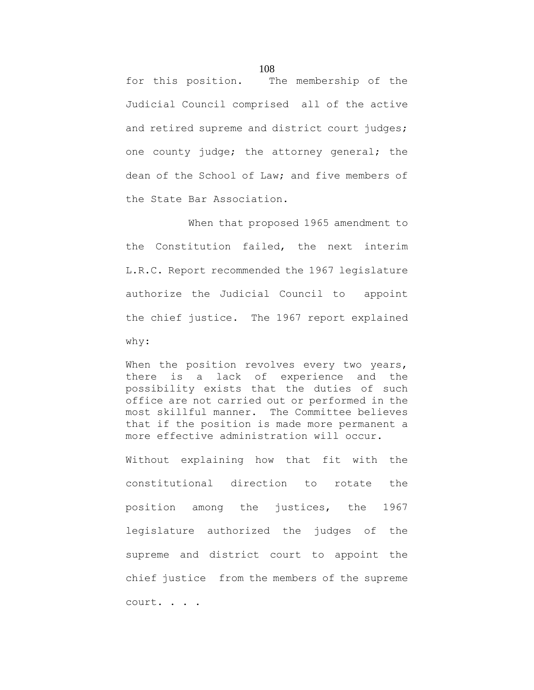for this position. The membership of the Judicial Council comprised all of the active and retired supreme and district court judges; one county judge; the attorney general; the dean of the School of Law; and five members of the State Bar Association.

When that proposed 1965 amendment to the Constitution failed, the next interim L.R.C. Report recommended the 1967 legislature authorize the Judicial Council to appoint the chief justice. The 1967 report explained why:

When the position revolves every two years, there is a lack of experience and the possibility exists that the duties of such office are not carried out or performed in the most skillful manner. The Committee believes that if the position is made more permanent a more effective administration will occur.

Without explaining how that fit with the constitutional direction to rotate the position among the justices, the 1967 legislature authorized the judges of the supreme and district court to appoint the chief justice from the members of the supreme court. . . .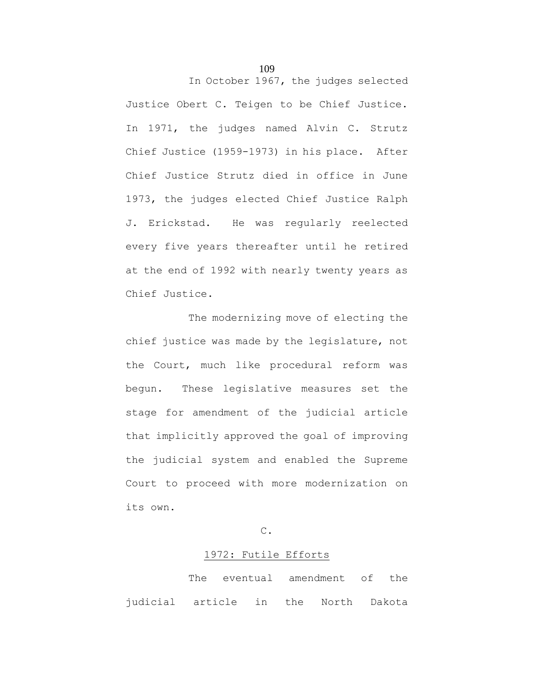Justice Obert C. Teigen to be Chief Justice. In 1971, the judges named Alvin C. Strutz Chief Justice (1959-1973) in his place. After Chief Justice Strutz died in office in June 1973, the judges elected Chief Justice Ralph J. Erickstad. He was regularly reelected every five years thereafter until he retired at the end of 1992 with nearly twenty years as Chief Justice.

The modernizing move of electing the chief justice was made by the legislature, not the Court, much like procedural reform was begun. These legislative measures set the stage for amendment of the judicial article that implicitly approved the goal of improving the judicial system and enabled the Supreme Court to proceed with more modernization on its own.

# C.

#### 1972: Futile Efforts

The eventual amendment of the judicial article in the North Dakota

109

In October 1967, the judges selected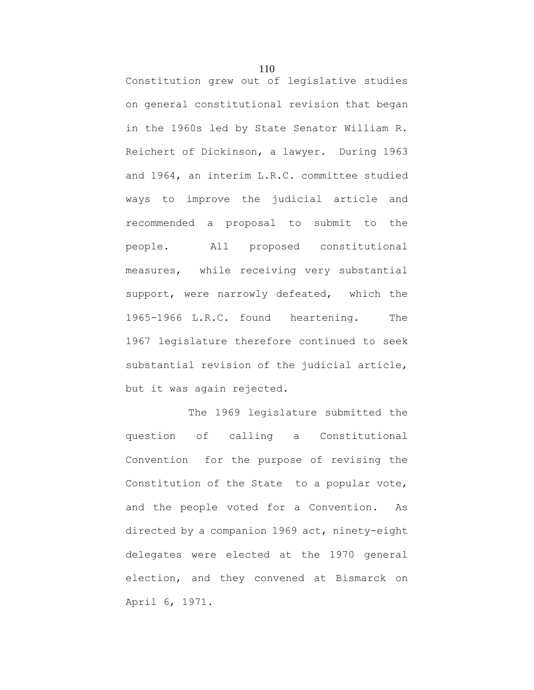Constitution grew out of legislative studies on general constitutional revision that began in the 1960s led by State Senator William R. Reichert of Dickinson, a lawyer. During 1963 and 1964, an interim L.R.C. committee studied ways to improve the judicial article and recommended a proposal to submit to the people. All proposed constitutional measures, while receiving very substantial support, were narrowly defeated, which the 1965-1966 L.R.C. found heartening. The 1967 legislature therefore continued to seek substantial revision of the judicial article, but it was again rejected.

The 1969 legislature submitted the question of calling a Constitutional Convention for the purpose of revising the Constitution of the State to a popular vote, and the people voted for a Convention. As directed by a companion 1969 act, ninety-eight delegates were elected at the 1970 general election, and they convened at Bismarck on April 6, 1971.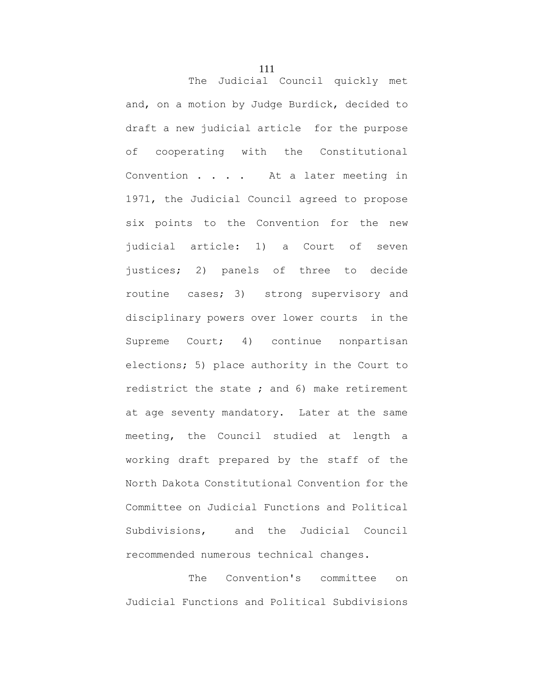The Judicial Council quickly met and, on a motion by Judge Burdick, decided to draft a new judicial article for the purpose of cooperating with the Constitutional Convention . . . . At a later meeting in 1971, the Judicial Council agreed to propose six points to the Convention for the new judicial article: 1) a Court of seven justices; 2) panels of three to decide routine cases; 3) strong supervisory and disciplinary powers over lower courts in the Supreme Court; 4) continue nonpartisan elections; 5) place authority in the Court to redistrict the state ; and 6) make retirement at age seventy mandatory. Later at the same meeting, the Council studied at length a working draft prepared by the staff of the North Dakota Constitutional Convention for the Committee on Judicial Functions and Political Subdivisions, and the Judicial Council recommended numerous technical changes.

The Convention's committee on Judicial Functions and Political Subdivisions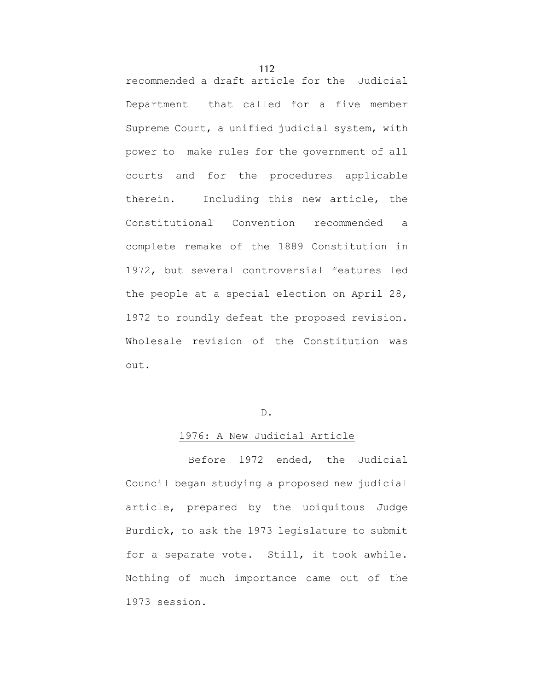recommended a draft article for the Judicial Department that called for a five member Supreme Court, a unified judicial system, with power to make rules for the government of all courts and for the procedures applicable therein. Including this new article, the Constitutional Convention recommended a complete remake of the 1889 Constitution in 1972, but several controversial features led the people at a special election on April 28, 1972 to roundly defeat the proposed revision. Wholesale revision of the Constitution was out.

# D.

# 1976: A New Judicial Article

Before 1972 ended, the Judicial Council began studying a proposed new judicial article, prepared by the ubiquitous Judge Burdick, to ask the 1973 legislature to submit for a separate vote. Still, it took awhile. Nothing of much importance came out of the 1973 session.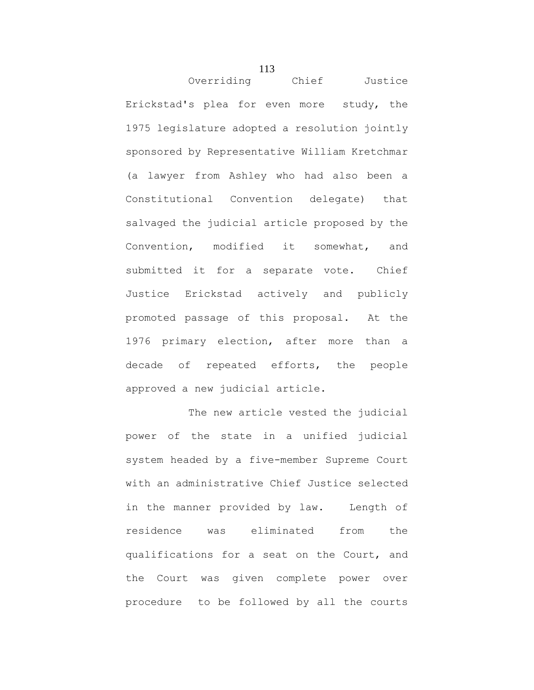Overriding Chief Justice Erickstad's plea for even more study, the 1975 legislature adopted a resolution jointly sponsored by Representative William Kretchmar (a lawyer from Ashley who had also been a Constitutional Convention delegate) that salvaged the judicial article proposed by the Convention, modified it somewhat, and submitted it for a separate vote. Chief Justice Erickstad actively and publicly promoted passage of this proposal. At the 1976 primary election, after more than a decade of repeated efforts, the people approved a new judicial article.

The new article vested the judicial power of the state in a unified judicial system headed by a five-member Supreme Court with an administrative Chief Justice selected in the manner provided by law. Length of residence was eliminated from the qualifications for a seat on the Court, and the Court was given complete power over procedure to be followed by all the courts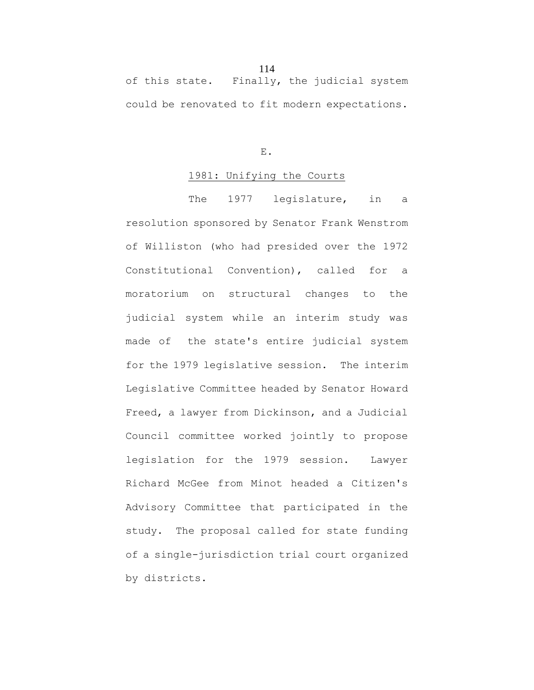# of this state. Finally, the judicial system could be renovated to fit modern expectations.

E.

## 1981: Unifying the Courts

The 1977 legislature, in a resolution sponsored by Senator Frank Wenstrom of Williston (who had presided over the 1972 Constitutional Convention), called for a moratorium on structural changes to the judicial system while an interim study was made of the state's entire judicial system for the 1979 legislative session. The interim Legislative Committee headed by Senator Howard Freed, a lawyer from Dickinson, and a Judicial Council committee worked jointly to propose legislation for the 1979 session. Lawyer Richard McGee from Minot headed a Citizen's Advisory Committee that participated in the study. The proposal called for state funding of a single-jurisdiction trial court organized by districts.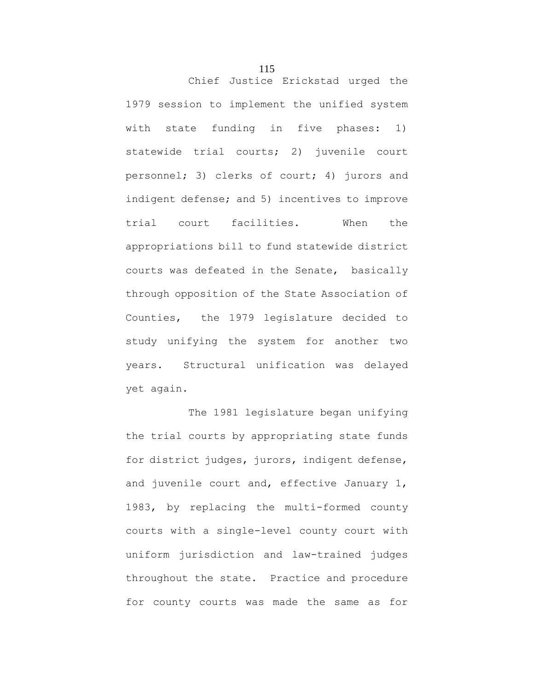Chief Justice Erickstad urged the 1979 session to implement the unified system with state funding in five phases: 1) statewide trial courts; 2) juvenile court personnel; 3) clerks of court; 4) jurors and indigent defense; and 5) incentives to improve trial court facilities. When the appropriations bill to fund statewide district courts was defeated in the Senate, basically through opposition of the State Association of Counties, the 1979 legislature decided to study unifying the system for another two years. Structural unification was delayed yet again.

The 1981 legislature began unifying the trial courts by appropriating state funds for district judges, jurors, indigent defense, and juvenile court and, effective January 1, 1983, by replacing the multi-formed county courts with a single-level county court with uniform jurisdiction and law-trained judges throughout the state. Practice and procedure for county courts was made the same as for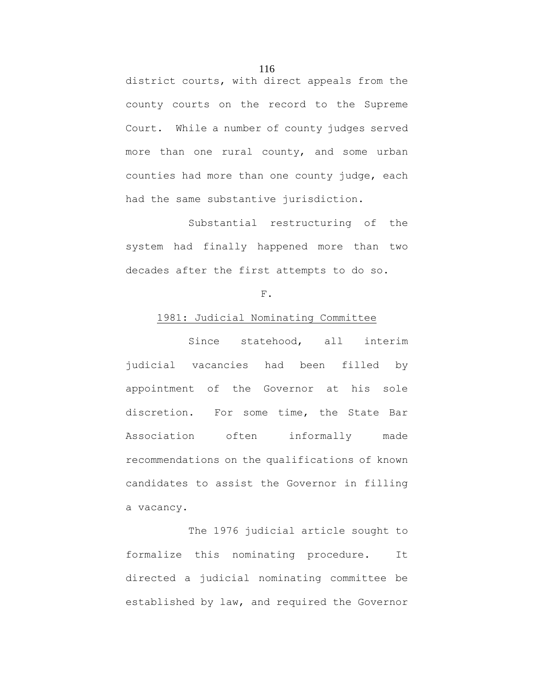district courts, with direct appeals from the county courts on the record to the Supreme Court. While a number of county judges served more than one rural county, and some urban counties had more than one county judge, each had the same substantive jurisdiction.

Substantial restructuring of the system had finally happened more than two decades after the first attempts to do so.

# F.

# 1981: Judicial Nominating Committee

Since statehood, all interim judicial vacancies had been filled by appointment of the Governor at his sole discretion. For some time, the State Bar Association often informally made recommendations on the qualifications of known candidates to assist the Governor in filling a vacancy.

The 1976 judicial article sought to formalize this nominating procedure. It directed a judicial nominating committee be established by law, and required the Governor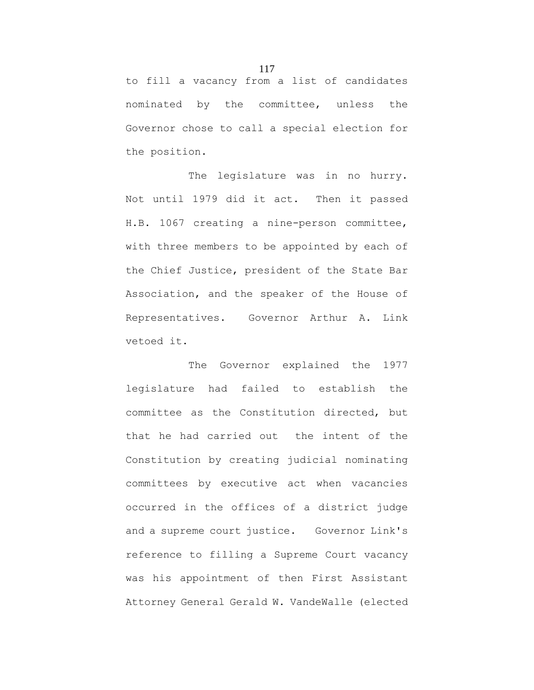to fill a vacancy from a list of candidates nominated by the committee, unless the Governor chose to call a special election for the position.

The legislature was in no hurry. Not until 1979 did it act. Then it passed H.B. 1067 creating a nine-person committee, with three members to be appointed by each of the Chief Justice, president of the State Bar Association, and the speaker of the House of Representatives. Governor Arthur A. Link vetoed it.

The Governor explained the 1977 legislature had failed to establish the committee as the Constitution directed, but that he had carried out the intent of the Constitution by creating judicial nominating committees by executive act when vacancies occurred in the offices of a district judge and a supreme court justice. Governor Link's reference to filling a Supreme Court vacancy was his appointment of then First Assistant Attorney General Gerald W. VandeWalle (elected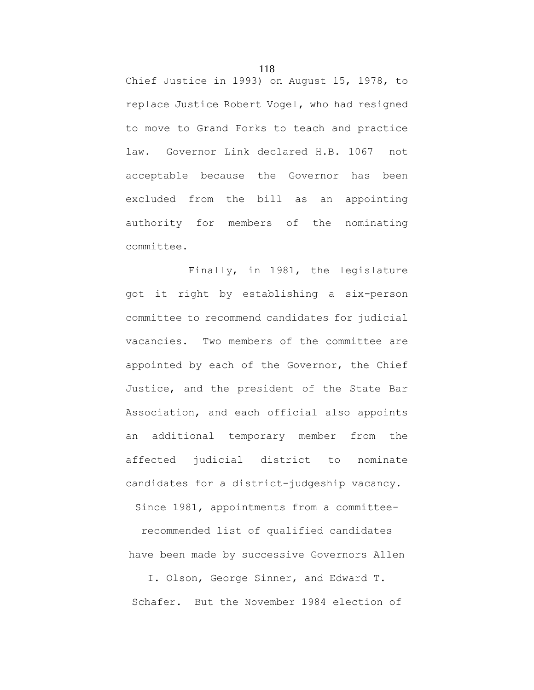Chief Justice in 1993) on August 15, 1978, to replace Justice Robert Vogel, who had resigned to move to Grand Forks to teach and practice law. Governor Link declared H.B. 1067 not acceptable because the Governor has been excluded from the bill as an appointing authority for members of the nominating committee.

Finally, in 1981, the legislature got it right by establishing a six-person committee to recommend candidates for judicial vacancies. Two members of the committee are appointed by each of the Governor, the Chief Justice, and the president of the State Bar Association, and each official also appoints an additional temporary member from the affected judicial district to nominate candidates for a district-judgeship vacancy.

Since 1981, appointments from a committee-

recommended list of qualified candidates have been made by successive Governors Allen

I. Olson, George Sinner, and Edward T. Schafer. But the November 1984 election of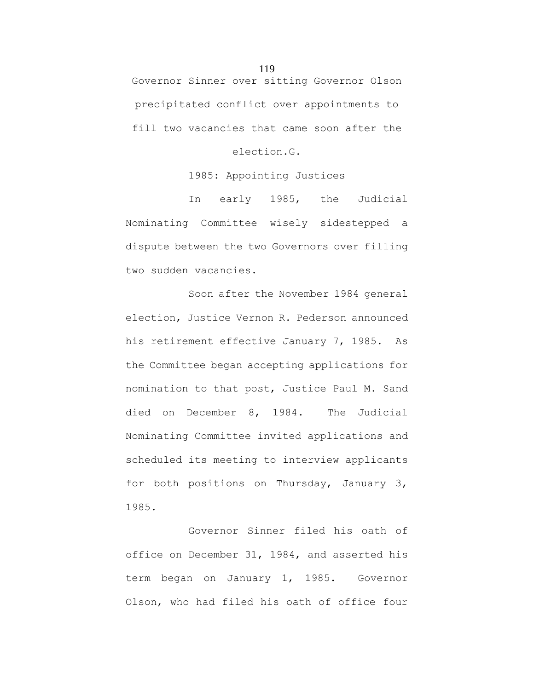Governor Sinner over sitting Governor Olson precipitated conflict over appointments to fill two vacancies that came soon after the

election.G.

# 1985: Appointing Justices

In early 1985, the Judicial Nominating Committee wisely sidestepped a dispute between the two Governors over filling two sudden vacancies.

Soon after the November 1984 general election, Justice Vernon R. Pederson announced his retirement effective January 7, 1985. As the Committee began accepting applications for nomination to that post, Justice Paul M. Sand died on December 8, 1984. The Judicial Nominating Committee invited applications and scheduled its meeting to interview applicants for both positions on Thursday, January 3, 1985.

Governor Sinner filed his oath of office on December 31, 1984, and asserted his term began on January 1, 1985. Governor Olson, who had filed his oath of office four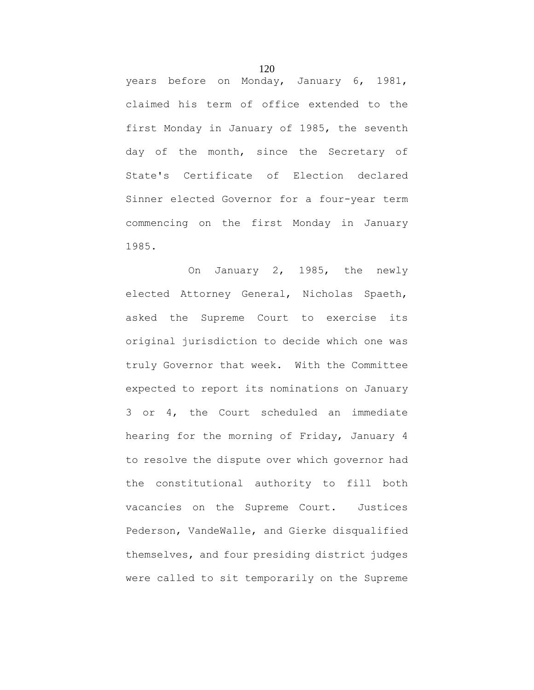years before on Monday, January 6, 1981, claimed his term of office extended to the first Monday in January of 1985, the seventh day of the month, since the Secretary of State's Certificate of Election declared Sinner elected Governor for a four-year term commencing on the first Monday in January 1985.

On January 2, 1985, the newly elected Attorney General, Nicholas Spaeth, asked the Supreme Court to exercise its original jurisdiction to decide which one was truly Governor that week. With the Committee expected to report its nominations on January 3 or 4, the Court scheduled an immediate hearing for the morning of Friday, January 4 to resolve the dispute over which governor had the constitutional authority to fill both vacancies on the Supreme Court. Justices Pederson, VandeWalle, and Gierke disqualified themselves, and four presiding district judges were called to sit temporarily on the Supreme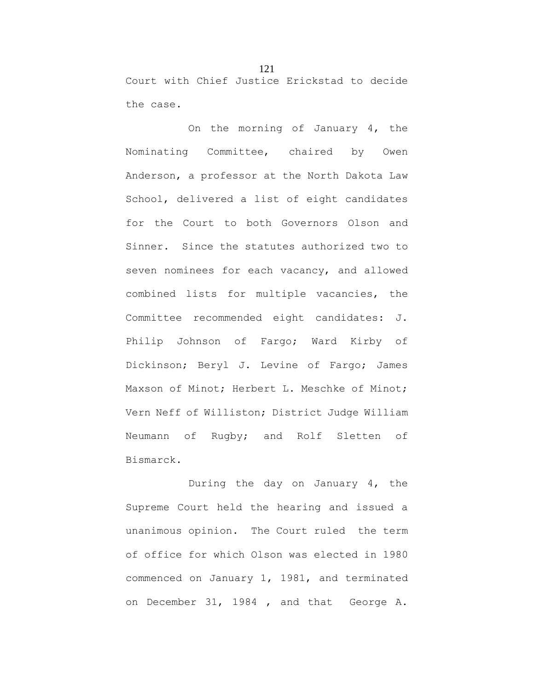Court with Chief Justice Erickstad to decide the case.

On the morning of January 4, the Nominating Committee, chaired by Owen Anderson, a professor at the North Dakota Law School, delivered a list of eight candidates for the Court to both Governors Olson and Sinner. Since the statutes authorized two to seven nominees for each vacancy, and allowed combined lists for multiple vacancies, the Committee recommended eight candidates: J. Philip Johnson of Fargo; Ward Kirby of Dickinson; Beryl J. Levine of Fargo; James Maxson of Minot; Herbert L. Meschke of Minot; Vern Neff of Williston; District Judge William Neumann of Rugby; and Rolf Sletten of Bismarck.

During the day on January 4, the Supreme Court held the hearing and issued a unanimous opinion. The Court ruled the term of office for which Olson was elected in 1980 commenced on January 1, 1981, and terminated on December 31, 1984 , and that George A.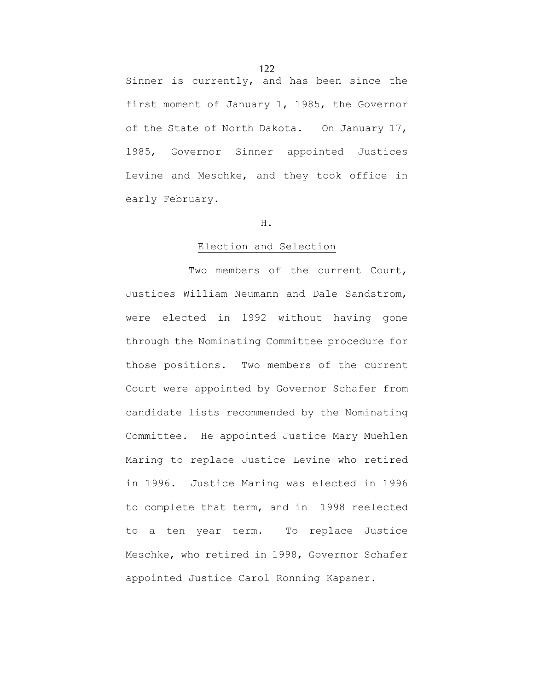Sinner is currently, and has been since the first moment of January 1, 1985, the Governor of the State of North Dakota. On January 17, 1985, Governor Sinner appointed Justices Levine and Meschke, and they took office in early February.

#### H.

### Election and Selection

Two members of the current Court, Justices William Neumann and Dale Sandstrom, were elected in 1992 without having gone through the Nominating Committee procedure for those positions. Two members of the current Court were appointed by Governor Schafer from candidate lists recommended by the Nominating Committee. He appointed Justice Mary Muehlen Maring to replace Justice Levine who retired in 1996. Justice Maring was elected in 1996 to complete that term, and in 1998 reelected to a ten year term. To replace Justice Meschke, who retired in 1998, Governor Schafer appointed Justice Carol Ronning Kapsner.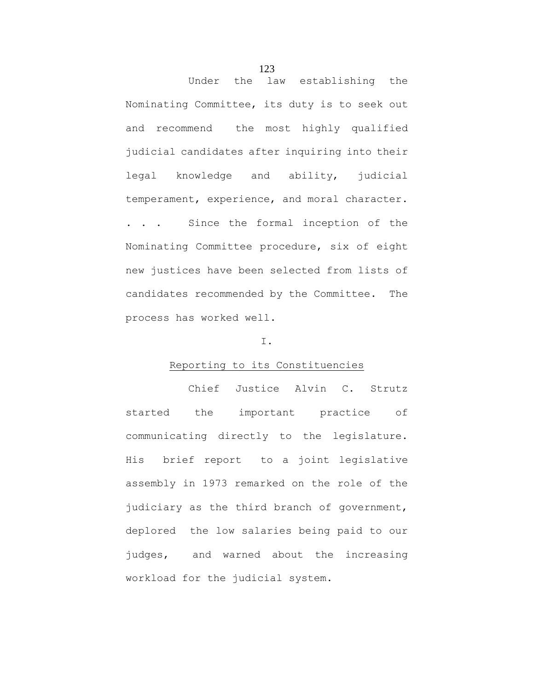Under the law establishing the Nominating Committee, its duty is to seek out and recommend the most highly qualified judicial candidates after inquiring into their legal knowledge and ability, judicial temperament, experience, and moral character. . . . Since the formal inception of the Nominating Committee procedure, six of eight new justices have been selected from lists of candidates recommended by the Committee. The process has worked well.

# I.

# Reporting to its Constituencies

Chief Justice Alvin C. Strutz started the important practice of communicating directly to the legislature. His brief report to a joint legislative assembly in 1973 remarked on the role of the judiciary as the third branch of government, deplored the low salaries being paid to our judges, and warned about the increasing workload for the judicial system.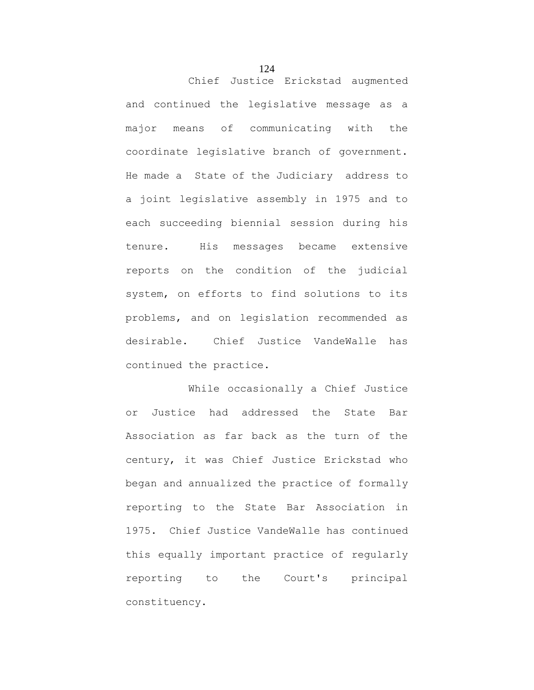Chief Justice Erickstad augmented and continued the legislative message as a major means of communicating with the coordinate legislative branch of government. He made a State of the Judiciary address to a joint legislative assembly in 1975 and to each succeeding biennial session during his tenure. His messages became extensive reports on the condition of the judicial system, on efforts to find solutions to its problems, and on legislation recommended as desirable. Chief Justice VandeWalle has continued the practice.

While occasionally a Chief Justice or Justice had addressed the State Bar Association as far back as the turn of the century, it was Chief Justice Erickstad who began and annualized the practice of formally reporting to the State Bar Association in 1975. Chief Justice VandeWalle has continued this equally important practice of regularly reporting to the Court's principal constituency.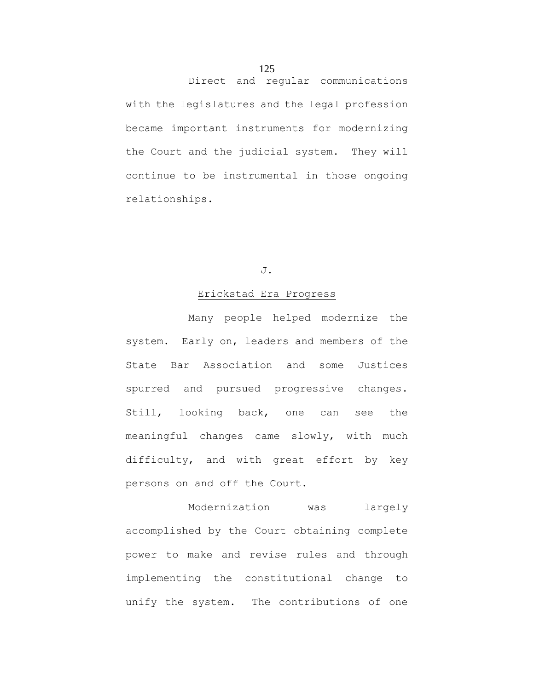# 125

Direct and regular communications with the legislatures and the legal profession became important instruments for modernizing the Court and the judicial system. They will

continue to be instrumental in those ongoing

relationships.

# J.

# Erickstad Era Progress

Many people helped modernize the system. Early on, leaders and members of the State Bar Association and some Justices spurred and pursued progressive changes. Still, looking back, one can see the meaningful changes came slowly, with much difficulty, and with great effort by key persons on and off the Court.

Modernization was largely accomplished by the Court obtaining complete power to make and revise rules and through implementing the constitutional change to unify the system. The contributions of one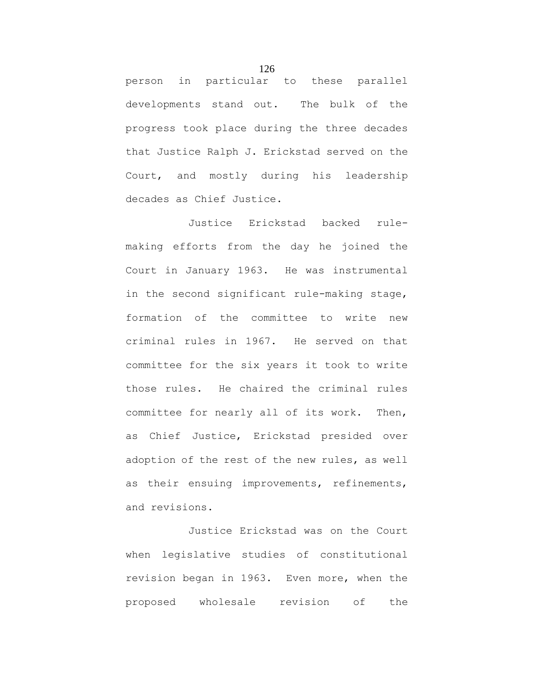person in particular to these parallel developments stand out. The bulk of the progress took place during the three decades that Justice Ralph J. Erickstad served on the Court, and mostly during his leadership decades as Chief Justice.

Justice Erickstad backed rulemaking efforts from the day he joined the Court in January 1963. He was instrumental in the second significant rule-making stage, formation of the committee to write new criminal rules in 1967. He served on that committee for the six years it took to write those rules. He chaired the criminal rules committee for nearly all of its work. Then, as Chief Justice, Erickstad presided over adoption of the rest of the new rules, as well as their ensuing improvements, refinements, and revisions.

Justice Erickstad was on the Court when legislative studies of constitutional revision began in 1963. Even more, when the proposed wholesale revision of the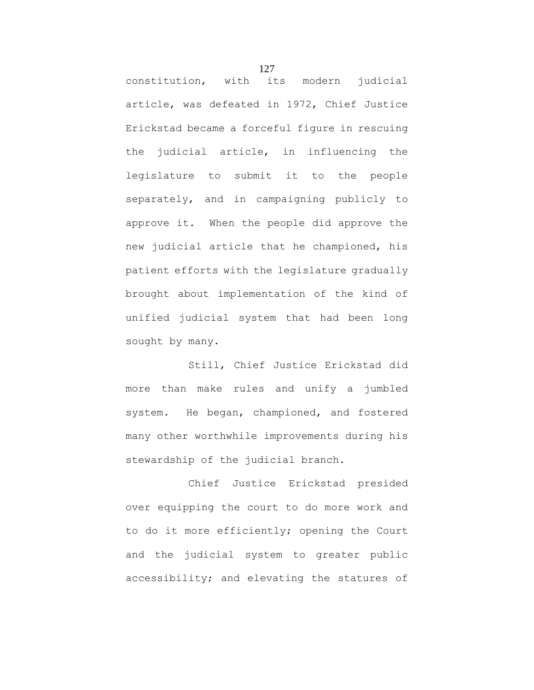constitution, with its modern judicial article, was defeated in 1972, Chief Justice Erickstad became a forceful figure in rescuing the judicial article, in influencing the legislature to submit it to the people separately, and in campaigning publicly to approve it. When the people did approve the new judicial article that he championed, his patient efforts with the legislature gradually brought about implementation of the kind of unified judicial system that had been long sought by many.

Still, Chief Justice Erickstad did more than make rules and unify a jumbled system. He began, championed, and fostered many other worthwhile improvements during his stewardship of the judicial branch.

Chief Justice Erickstad presided over equipping the court to do more work and to do it more efficiently; opening the Court and the judicial system to greater public accessibility; and elevating the statures of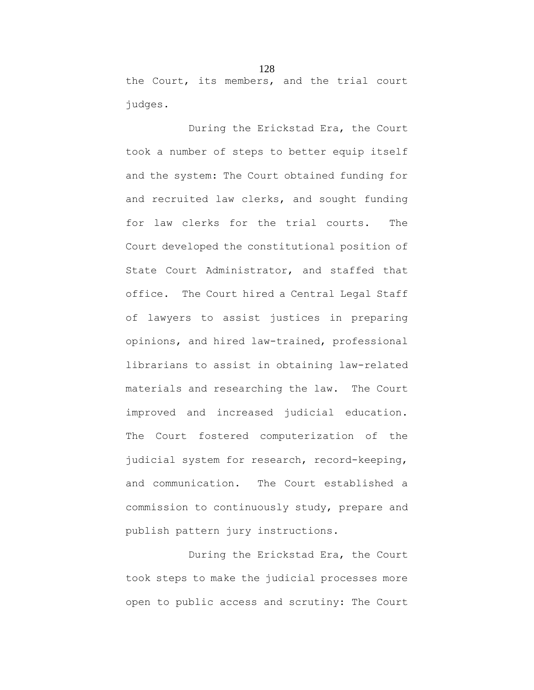the Court, its members, and the trial court judges.

During the Erickstad Era, the Court took a number of steps to better equip itself and the system: The Court obtained funding for and recruited law clerks, and sought funding for law clerks for the trial courts. The Court developed the constitutional position of State Court Administrator, and staffed that office. The Court hired a Central Legal Staff of lawyers to assist justices in preparing opinions, and hired law-trained, professional librarians to assist in obtaining law-related materials and researching the law. The Court improved and increased judicial education. The Court fostered computerization of the judicial system for research, record-keeping, and communication. The Court established a commission to continuously study, prepare and publish pattern jury instructions.

During the Erickstad Era, the Court took steps to make the judicial processes more open to public access and scrutiny: The Court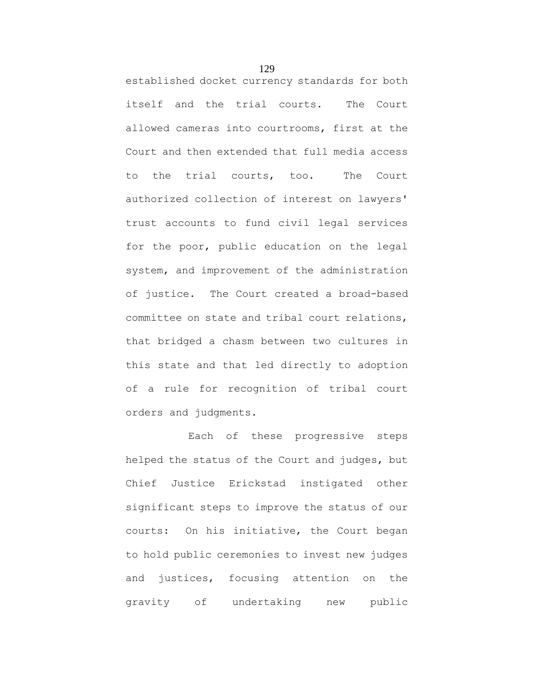established docket currency standards for both itself and the trial courts. The Court allowed cameras into courtrooms, first at the Court and then extended that full media access to the trial courts, too. The Court authorized collection of interest on lawyers' trust accounts to fund civil legal services for the poor, public education on the legal system, and improvement of the administration of justice. The Court created a broad-based committee on state and tribal court relations, that bridged a chasm between two cultures in this state and that led directly to adoption of a rule for recognition of tribal court orders and judgments.

Each of these progressive steps helped the status of the Court and judges, but Chief Justice Erickstad instigated other significant steps to improve the status of our courts: On his initiative, the Court began to hold public ceremonies to invest new judges and justices, focusing attention on the gravity of undertaking new public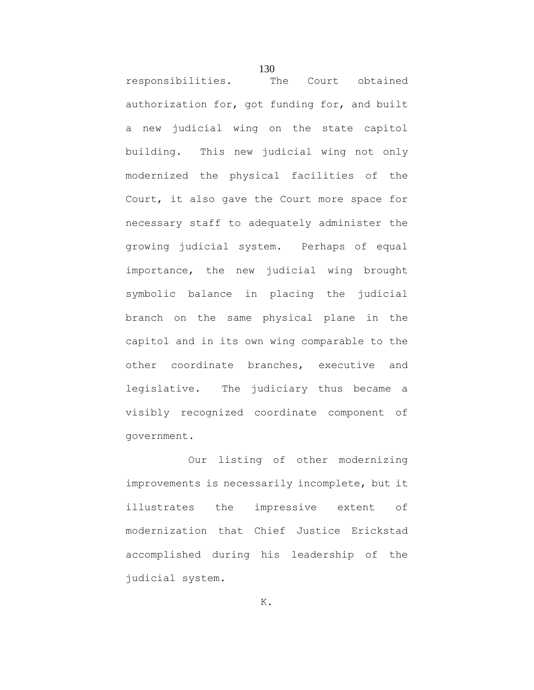responsibilities. The Court obtained authorization for, got funding for, and built a new judicial wing on the state capitol building. This new judicial wing not only modernized the physical facilities of the Court, it also gave the Court more space for necessary staff to adequately administer the growing judicial system. Perhaps of equal importance, the new judicial wing brought symbolic balance in placing the judicial branch on the same physical plane in the capitol and in its own wing comparable to the other coordinate branches, executive and legislative. The judiciary thus became a visibly recognized coordinate component of government.

130

Our listing of other modernizing improvements is necessarily incomplete, but it illustrates the impressive extent of modernization that Chief Justice Erickstad accomplished during his leadership of the judicial system.

K.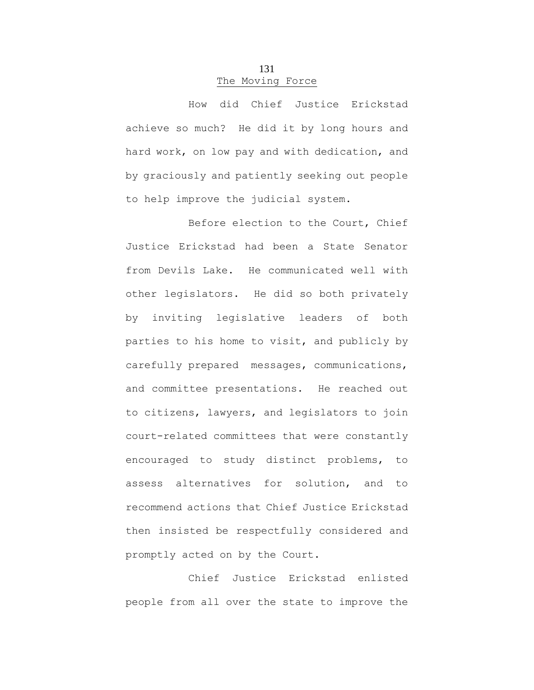# 131 The Moving Force

How did Chief Justice Erickstad achieve so much? He did it by long hours and hard work, on low pay and with dedication, and by graciously and patiently seeking out people to help improve the judicial system.

Before election to the Court, Chief Justice Erickstad had been a State Senator from Devils Lake. He communicated well with other legislators. He did so both privately by inviting legislative leaders of both parties to his home to visit, and publicly by carefully prepared messages, communications, and committee presentations. He reached out to citizens, lawyers, and legislators to join court-related committees that were constantly encouraged to study distinct problems, to assess alternatives for solution, and to recommend actions that Chief Justice Erickstad then insisted be respectfully considered and promptly acted on by the Court.

Chief Justice Erickstad enlisted people from all over the state to improve the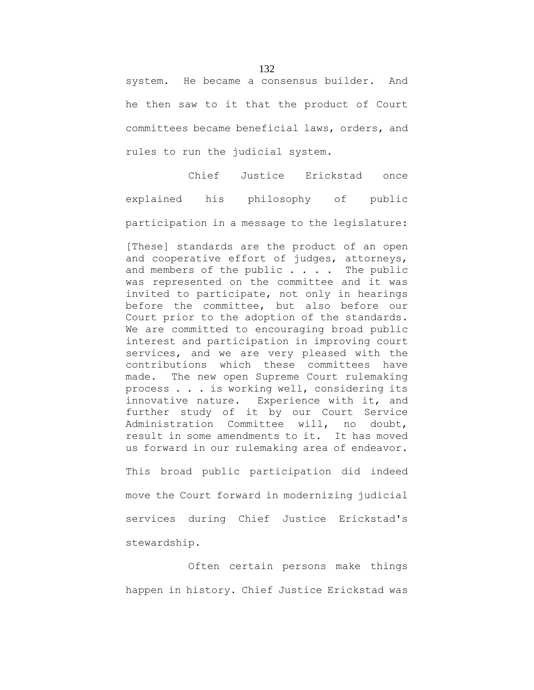system. He became a consensus builder. And he then saw to it that the product of Court committees became beneficial laws, orders, and rules to run the judicial system.

Chief Justice Erickstad once explained his philosophy of public participation in a message to the legislature:

[These] standards are the product of an open and cooperative effort of judges, attorneys, and members of the public  $\ldots$ . The public was represented on the committee and it was invited to participate, not only in hearings before the committee, but also before our Court prior to the adoption of the standards. We are committed to encouraging broad public interest and participation in improving court services, and we are very pleased with the contributions which these committees have made. The new open Supreme Court rulemaking process . . . is working well, considering its innovative nature. Experience with it, and further study of it by our Court Service Administration Committee will, no doubt, result in some amendments to it. It has moved us forward in our rulemaking area of endeavor.

This broad public participation did indeed move the Court forward in modernizing judicial services during Chief Justice Erickstad's stewardship.

Often certain persons make things happen in history. Chief Justice Erickstad was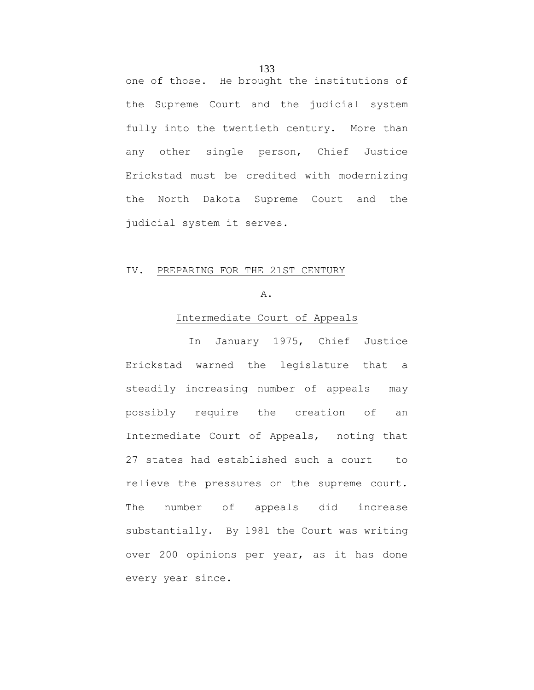one of those. He brought the institutions of the Supreme Court and the judicial system fully into the twentieth century. More than any other single person, Chief Justice Erickstad must be credited with modernizing the North Dakota Supreme Court and the judicial system it serves.

# IV. PREPARING FOR THE 21ST CENTURY

### A.

#### Intermediate Court of Appeals

In January 1975, Chief Justice Erickstad warned the legislature that a steadily increasing number of appeals may possibly require the creation of an Intermediate Court of Appeals, noting that 27 states had established such a court to relieve the pressures on the supreme court. The number of appeals did increase substantially. By 1981 the Court was writing over 200 opinions per year, as it has done every year since.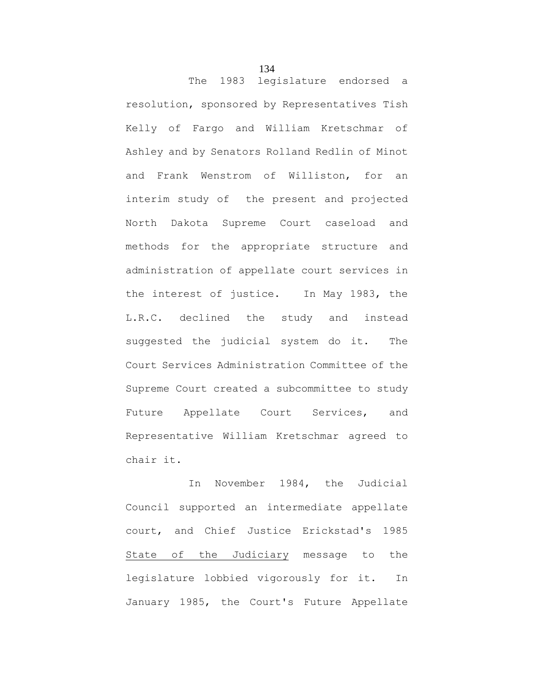The 1983 legislature endorsed a resolution, sponsored by Representatives Tish Kelly of Fargo and William Kretschmar of Ashley and by Senators Rolland Redlin of Minot and Frank Wenstrom of Williston, for an interim study of the present and projected North Dakota Supreme Court caseload and methods for the appropriate structure and administration of appellate court services in the interest of justice. In May 1983, the L.R.C. declined the study and instead suggested the judicial system do it. The Court Services Administration Committee of the Supreme Court created a subcommittee to study Future Appellate Court Services, and Representative William Kretschmar agreed to chair it.

In November 1984, the Judicial Council supported an intermediate appellate court, and Chief Justice Erickstad's 1985 State of the Judiciary message to the legislature lobbied vigorously for it. In January 1985, the Court's Future Appellate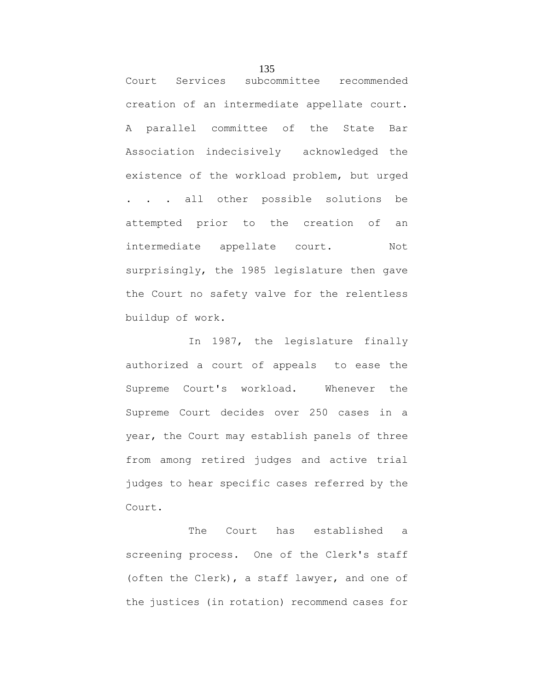Court Services subcommittee recommended creation of an intermediate appellate court. A parallel committee of the State Bar Association indecisively acknowledged the existence of the workload problem, but urged . . . all other possible solutions be attempted prior to the creation of an intermediate appellate court. Not surprisingly, the 1985 legislature then gave the Court no safety valve for the relentless buildup of work.

In 1987, the legislature finally authorized a court of appeals to ease the Supreme Court's workload. Whenever the Supreme Court decides over 250 cases in a year, the Court may establish panels of three from among retired judges and active trial judges to hear specific cases referred by the Court.

The Court has established a screening process. One of the Clerk's staff (often the Clerk), a staff lawyer, and one of the justices (in rotation) recommend cases for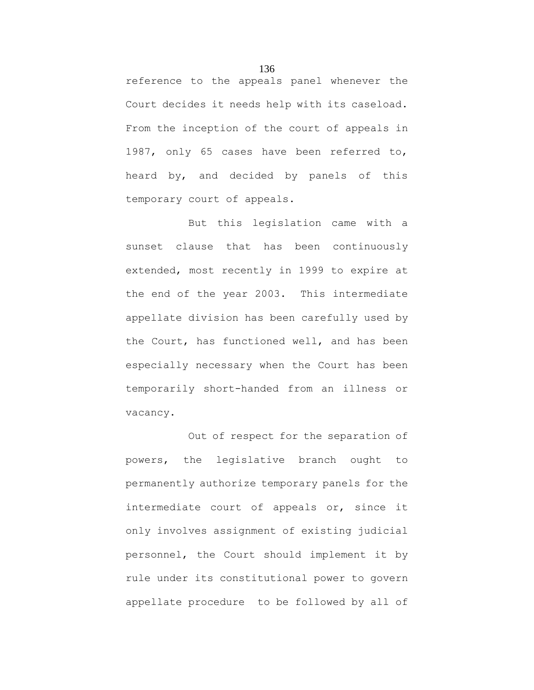reference to the appeals panel whenever the Court decides it needs help with its caseload. From the inception of the court of appeals in 1987, only 65 cases have been referred to, heard by, and decided by panels of this temporary court of appeals.

But this legislation came with a sunset clause that has been continuously extended, most recently in 1999 to expire at the end of the year 2003. This intermediate appellate division has been carefully used by the Court, has functioned well, and has been especially necessary when the Court has been temporarily short-handed from an illness or vacancy.

Out of respect for the separation of powers, the legislative branch ought to permanently authorize temporary panels for the intermediate court of appeals or, since it only involves assignment of existing judicial personnel, the Court should implement it by rule under its constitutional power to govern appellate procedure to be followed by all of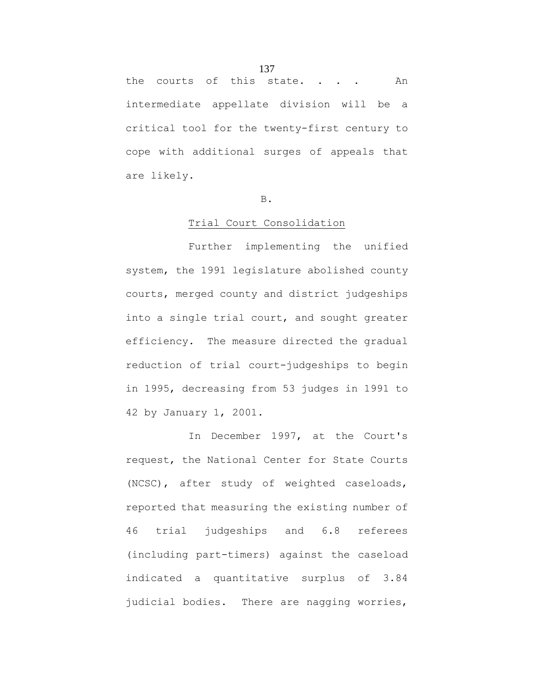the courts of this state. . . . An intermediate appellate division will be a critical tool for the twenty-first century to cope with additional surges of appeals that are likely.

#### B.

## Trial Court Consolidation

Further implementing the unified system, the 1991 legislature abolished county courts, merged county and district judgeships into a single trial court, and sought greater efficiency. The measure directed the gradual reduction of trial court-judgeships to begin in 1995, decreasing from 53 judges in 1991 to 42 by January 1, 2001.

In December 1997, at the Court's request, the National Center for State Courts (NCSC), after study of weighted caseloads, reported that measuring the existing number of 46 trial judgeships and 6.8 referees (including part-timers) against the caseload indicated a quantitative surplus of 3.84 judicial bodies. There are nagging worries,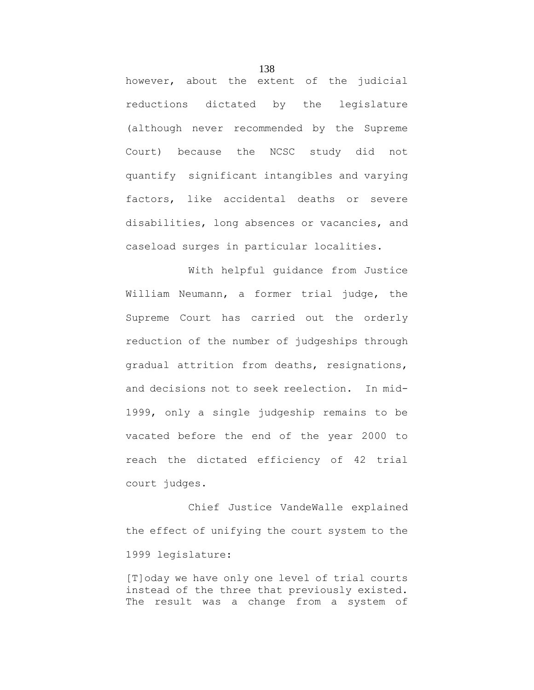however, about the extent of the judicial reductions dictated by the legislature (although never recommended by the Supreme Court) because the NCSC study did not quantify significant intangibles and varying factors, like accidental deaths or severe disabilities, long absences or vacancies, and caseload surges in particular localities.

With helpful guidance from Justice William Neumann, a former trial judge, the Supreme Court has carried out the orderly reduction of the number of judgeships through gradual attrition from deaths, resignations, and decisions not to seek reelection. In mid-1999, only a single judgeship remains to be vacated before the end of the year 2000 to reach the dictated efficiency of 42 trial court judges.

Chief Justice VandeWalle explained the effect of unifying the court system to the 1999 legislature:

[T]oday we have only one level of trial courts instead of the three that previously existed. The result was a change from a system of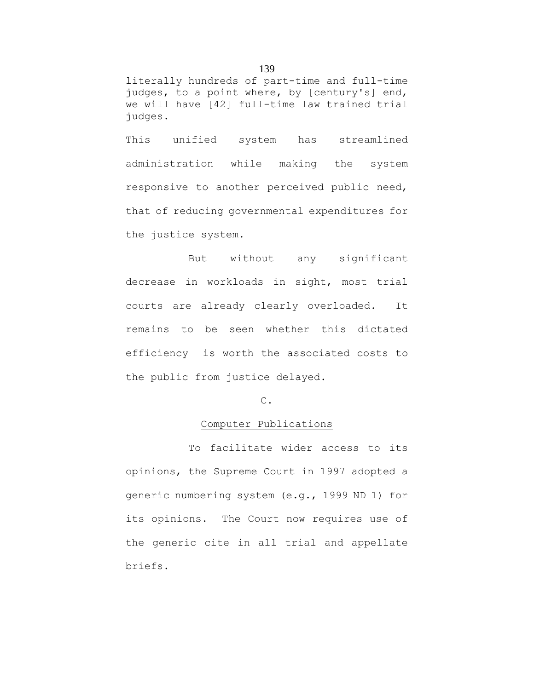literally hundreds of part-time and full-time judges, to a point where, by [century's] end, we will have [42] full-time law trained trial judges.

This unified system has streamlined administration while making the system responsive to another perceived public need, that of reducing governmental expenditures for the justice system.

But without any significant decrease in workloads in sight, most trial courts are already clearly overloaded. It remains to be seen whether this dictated efficiency is worth the associated costs to the public from justice delayed.

#### C.

## Computer Publications

To facilitate wider access to its opinions, the Supreme Court in 1997 adopted a generic numbering system (e.g., 1999 ND 1) for its opinions. The Court now requires use of the generic cite in all trial and appellate briefs.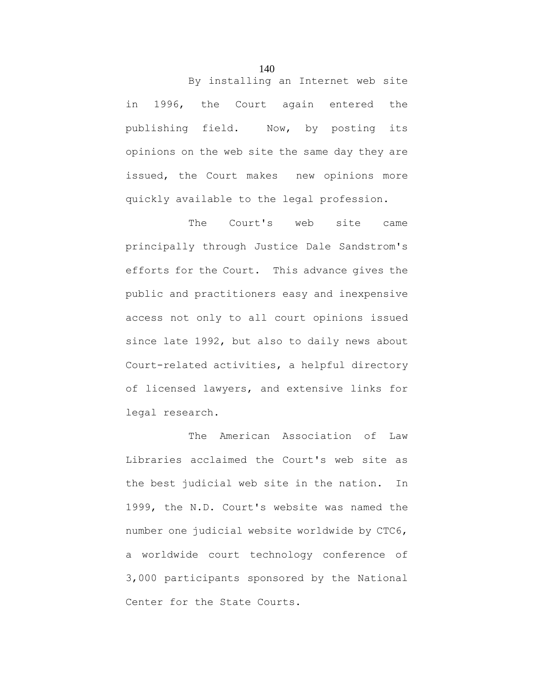in 1996, the Court again entered the publishing field. Now, by posting its opinions on the web site the same day they are issued, the Court makes new opinions more quickly available to the legal profession.

The Court's web site came principally through Justice Dale Sandstrom's efforts for the Court. This advance gives the public and practitioners easy and inexpensive access not only to all court opinions issued since late 1992, but also to daily news about Court-related activities, a helpful directory of licensed lawyers, and extensive links for legal research.

The American Association of Law Libraries acclaimed the Court's web site as the best judicial web site in the nation. In 1999, the N.D. Court's website was named the number one judicial website worldwide by CTC6, a worldwide court technology conference of 3,000 participants sponsored by the National Center for the State Courts.

140

By installing an Internet web site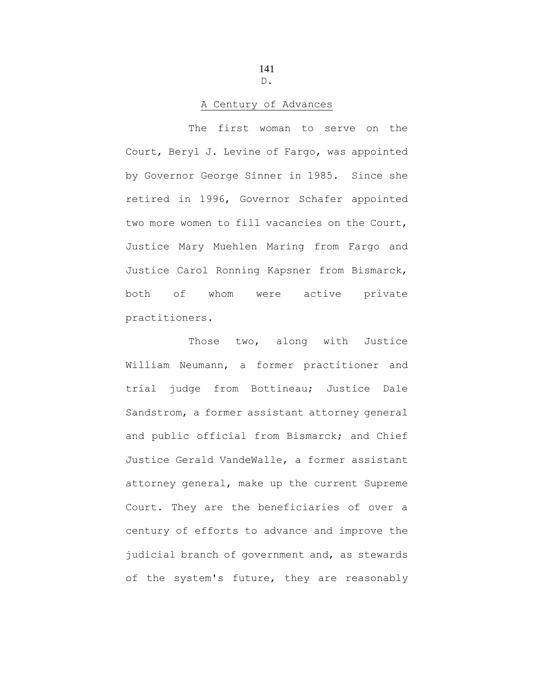141 D.

## A Century of Advances

The first woman to serve on the Court, Beryl J. Levine of Fargo, was appointed by Governor George Sinner in 1985. Since she retired in 1996, Governor Schafer appointed two more women to fill vacancies on the Court, Justice Mary Muehlen Maring from Fargo and Justice Carol Ronning Kapsner from Bismarck, both of whom were active private practitioners.

Those two, along with Justice William Neumann, a former practitioner and trial judge from Bottineau; Justice Dale Sandstrom, a former assistant attorney general and public official from Bismarck; and Chief Justice Gerald VandeWalle, a former assistant attorney general, make up the current Supreme Court. They are the beneficiaries of over a century of efforts to advance and improve the judicial branch of government and, as stewards of the system's future, they are reasonably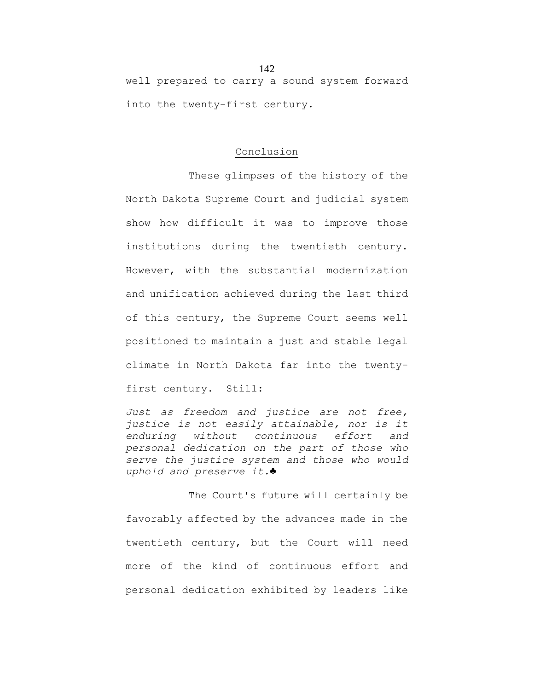well prepared to carry a sound system forward into the twenty-first century.

### Conclusion

These glimpses of the history of the North Dakota Supreme Court and judicial system show how difficult it was to improve those institutions during the twentieth century. However, with the substantial modernization and unification achieved during the last third of this century, the Supreme Court seems well positioned to maintain a just and stable legal climate in North Dakota far into the twentyfirst century. Still:

*Just as freedom and justice are not free, justice is not easily attainable, nor is it enduring without continuous effort and personal dedication on the part of those who serve the justice system and those who would uphold and preserve it.*♣

The Court's future will certainly be favorably affected by the advances made in the twentieth century, but the Court will need more of the kind of continuous effort and personal dedication exhibited by leaders like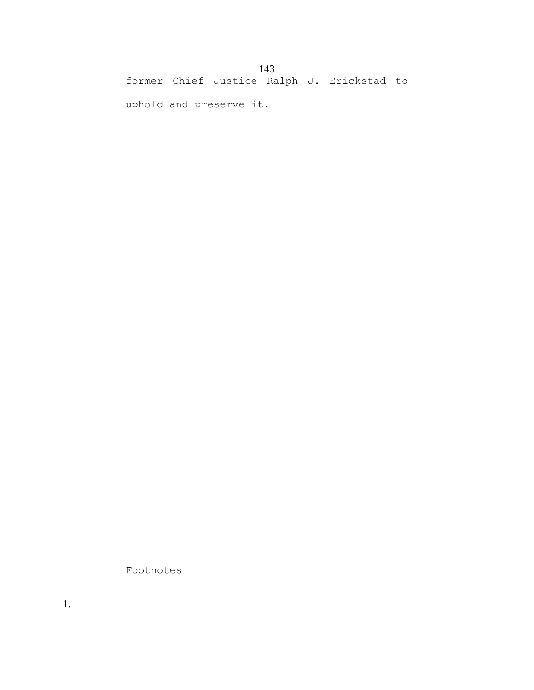former Chief Justice Ralph J. Erickstad to

uphold and preserve it.

Footnotes

1.  $\overline{a}$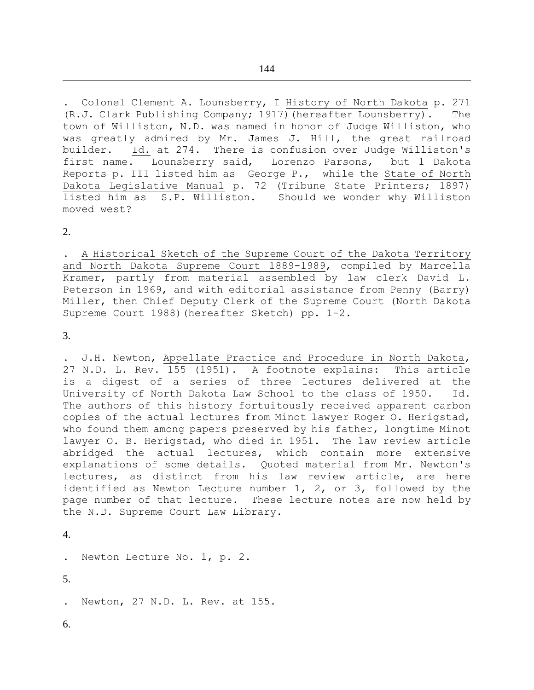. Colonel Clement A. Lounsberry, I History of North Dakota p. 271 (R.J. Clark Publishing Company; 1917)(hereafter Lounsberry). The town of Williston, N.D. was named in honor of Judge Williston, who was greatly admired by Mr. James J. Hill, the great railroad builder. Id. at 274. There is confusion over Judge Williston's first name. Lounsberry said, Lorenzo Parsons, but 1 Dakota Reports p. III listed him as George P., while the State of North Dakota Legislative Manual p. 72 (Tribune State Printers; 1897) listed him as S.P. Williston. Should we wonder why Williston moved west?

2.

 $\overline{a}$ 

. A Historical Sketch of the Supreme Court of the Dakota Territory and North Dakota Supreme Court 1889-1989, compiled by Marcella Kramer, partly from material assembled by law clerk David L. Peterson in 1969, and with editorial assistance from Penny (Barry) Miller, then Chief Deputy Clerk of the Supreme Court (North Dakota Supreme Court 1988)(hereafter Sketch) pp. 1-2.

3.

. J.H. Newton, Appellate Practice and Procedure in North Dakota, 27 N.D. L. Rev. 155 (1951). A footnote explains: This article is a digest of a series of three lectures delivered at the University of North Dakota Law School to the class of 1950. Id. The authors of this history fortuitously received apparent carbon copies of the actual lectures from Minot lawyer Roger O. Herigstad, who found them among papers preserved by his father, longtime Minot lawyer O. B. Herigstad, who died in 1951. The law review article abridged the actual lectures, which contain more extensive explanations of some details. Quoted material from Mr. Newton's lectures, as distinct from his law review article, are here identified as Newton Lecture number 1, 2, or 3, followed by the page number of that lecture. These lecture notes are now held by the N.D. Supreme Court Law Library.

4.

. Newton Lecture No. 1, p. 2.

5.

- Newton, 27 N.D. L. Rev. at 155.
- 6.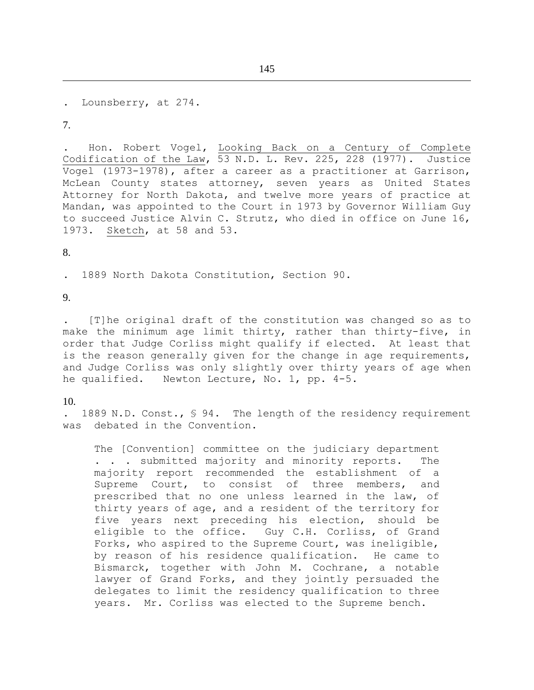145

. Lounsberry, at 274.

7.

 $\overline{a}$ 

. Hon. Robert Vogel, Looking Back on a Century of Complete Codification of the Law, 53 N.D. L. Rev. 225, 228 (1977). Justice Vogel (1973-1978), after a career as a practitioner at Garrison, McLean County states attorney, seven years as United States Attorney for North Dakota, and twelve more years of practice at Mandan, was appointed to the Court in 1973 by Governor William Guy to succeed Justice Alvin C. Strutz, who died in office on June 16, 1973. Sketch, at 58 and 53.

8.

. 1889 North Dakota Constitution, Section 90.

9.

. [T]he original draft of the constitution was changed so as to make the minimum age limit thirty, rather than thirty-five, in order that Judge Corliss might qualify if elected. At least that is the reason generally given for the change in age requirements, and Judge Corliss was only slightly over thirty years of age when he qualified. Newton Lecture, No. 1, pp. 4-5.

10.

1889 N.D. Const., § 94. The length of the residency requirement was debated in the Convention.

The [Convention] committee on the judiciary department . . . submitted majority and minority reports. The majority report recommended the establishment of a Supreme Court, to consist of three members, and prescribed that no one unless learned in the law, of thirty years of age, and a resident of the territory for five years next preceding his election, should be eligible to the office. Guy C.H. Corliss, of Grand Forks, who aspired to the Supreme Court, was ineligible, by reason of his residence qualification. He came to Bismarck, together with John M. Cochrane, a notable lawyer of Grand Forks, and they jointly persuaded the delegates to limit the residency qualification to three years. Mr. Corliss was elected to the Supreme bench.